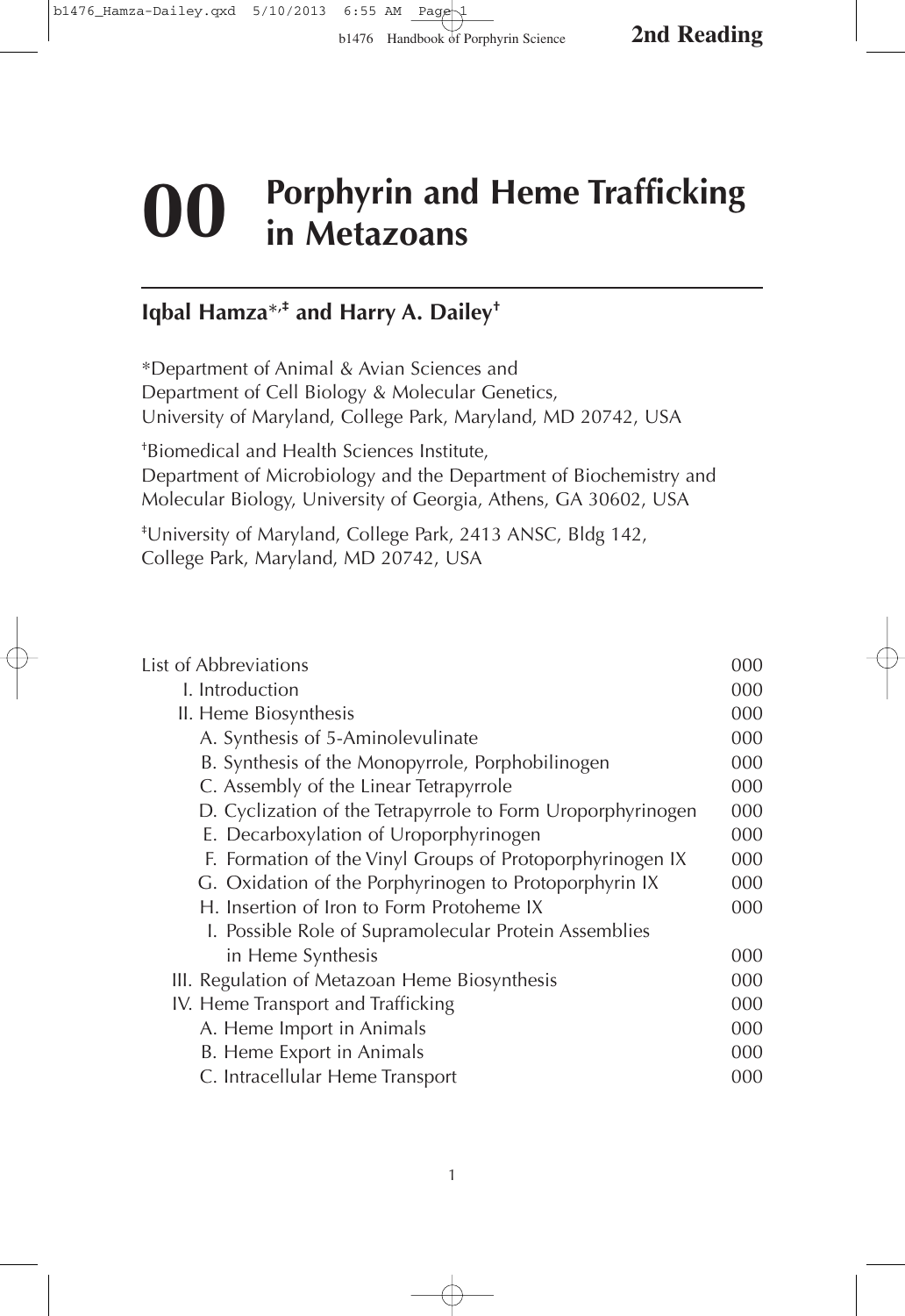# **Porphyrin and Heme Trafficking in Metazoans 00**

# **Iqbal Hamza**\***,‡ and Harry A. Dailey†**

\*Department of Animal & Avian Sciences and Department of Cell Biology & Molecular Genetics, University of Maryland, College Park, Maryland, MD 20742, USA

† Biomedical and Health Sciences Institute, Department of Microbiology and the Department of Biochemistry and Molecular Biology, University of Georgia, Athens, GA 30602, USA

‡ University of Maryland, College Park, 2413 ANSC, Bldg 142, College Park, Maryland, MD 20742, USA

| List of Abbreviations                                       | 000 |
|-------------------------------------------------------------|-----|
| I. Introduction                                             | 000 |
| II. Heme Biosynthesis                                       | 000 |
| A. Synthesis of 5-Aminolevulinate                           | 000 |
| B. Synthesis of the Monopyrrole, Porphobilinogen            | 000 |
| C. Assembly of the Linear Tetrapyrrole                      | 000 |
| D. Cyclization of the Tetrapyrrole to Form Uroporphyrinogen | 000 |
| E. Decarboxylation of Uroporphyrinogen                      | 000 |
| F. Formation of the Vinyl Groups of Protoporphyrinogen IX   | 000 |
| G. Oxidation of the Porphyrinogen to Protoporphyrin IX      | 000 |
| H. Insertion of Iron to Form Protoheme IX                   | 000 |
| I. Possible Role of Supramolecular Protein Assemblies       |     |
| in Heme Synthesis                                           | 000 |
| III. Regulation of Metazoan Heme Biosynthesis               | 000 |
| IV. Heme Transport and Trafficking                          | 000 |
| A. Heme Import in Animals                                   | 000 |
| B. Heme Export in Animals                                   | 000 |
| C. Intracellular Heme Transport                             | 000 |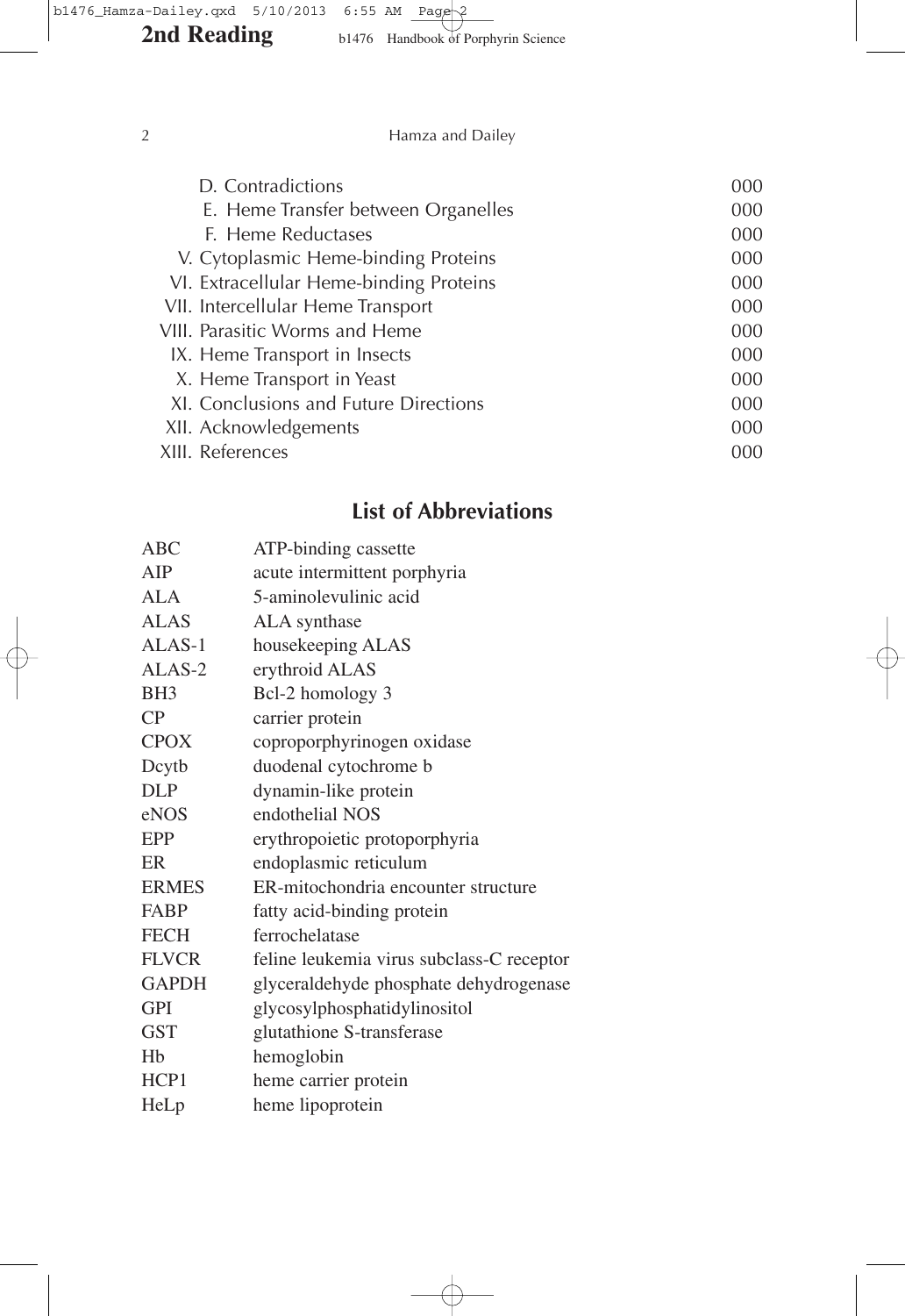2nd Reading **b1476** Handbook of Porphyrin Science

| D. Contradictions                       | 000      |
|-----------------------------------------|----------|
| E. Heme Transfer between Organelles     | $000 \,$ |
| F. Heme Reductases                      | 000      |
| V. Cytoplasmic Heme-binding Proteins    | 000      |
| VI. Extracellular Heme-binding Proteins | 000      |
| VII. Intercellular Heme Transport       | 000      |
| VIII. Parasitic Worms and Heme          | 000      |
| IX. Heme Transport in Insects           | 000      |
| X. Heme Transport in Yeast              | 000      |
| XI. Conclusions and Future Directions   | 000      |
| XII. Acknowledgements                   | 000      |
| XIII. References                        | 000      |

# **List of Abbreviations**

€

| <b>ABC</b>      | ATP-binding cassette                      |
|-----------------|-------------------------------------------|
| AIP             | acute intermittent porphyria              |
| <b>ALA</b>      | 5-aminolevulinic acid                     |
| <b>ALAS</b>     | ALA synthase                              |
| $ALAS-1$        | housekeeping ALAS                         |
| $ALAS-2$        | erythroid ALAS                            |
| BH <sub>3</sub> | Bcl-2 homology 3                          |
| CP              | carrier protein                           |
| <b>CPOX</b>     | coproporphyrinogen oxidase                |
| Dcytb           | duodenal cytochrome b                     |
| <b>DLP</b>      | dynamin-like protein                      |
| eNOS            | endothelial NOS                           |
| <b>EPP</b>      | erythropoietic protoporphyria             |
| <b>ER</b>       | endoplasmic reticulum                     |
| <b>ERMES</b>    | ER-mitochondria encounter structure       |
| FABP            | fatty acid-binding protein                |
| <b>FECH</b>     | ferrochelatase                            |
| <b>FLVCR</b>    | feline leukemia virus subclass-C receptor |
| <b>GAPDH</b>    | glyceraldehyde phosphate dehydrogenase    |
| <b>GPI</b>      | glycosylphosphatidylinositol              |
| <b>GST</b>      | glutathione S-transferase                 |
| H <sub>b</sub>  | hemoglobin                                |
| HCP1            | heme carrier protein                      |
| HeLp            | heme lipoprotein                          |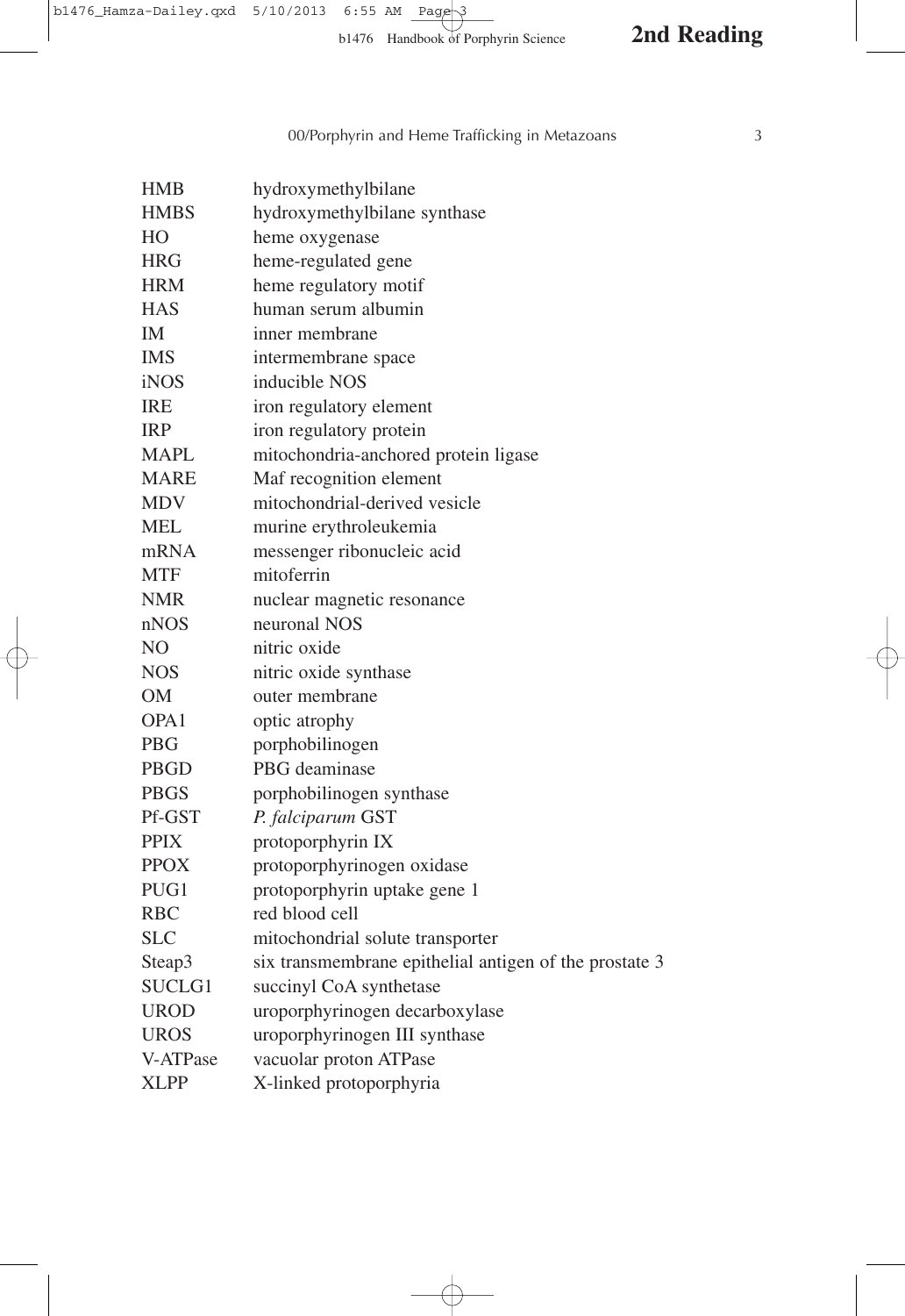# **2nd Reading**

00/Porphyrin and Heme Trafficking in Metazoans 3

| <b>HMB</b>       | hydroxymethylbilane                                    |
|------------------|--------------------------------------------------------|
| <b>HMBS</b>      | hydroxymethylbilane synthase                           |
| HO               | heme oxygenase                                         |
| <b>HRG</b>       | heme-regulated gene                                    |
| <b>HRM</b>       | heme regulatory motif                                  |
| <b>HAS</b>       | human serum albumin                                    |
| <b>IM</b>        | inner membrane                                         |
| <b>IMS</b>       | intermembrane space                                    |
| iNOS             | inducible NOS                                          |
| <b>IRE</b>       | iron regulatory element                                |
| <b>IRP</b>       | iron regulatory protein                                |
| MAPL             | mitochondria-anchored protein ligase                   |
| <b>MARE</b>      | Maf recognition element                                |
| <b>MDV</b>       | mitochondrial-derived vesicle                          |
| MEL.             | murine erythroleukemia                                 |
| mRNA             | messenger ribonucleic acid                             |
| <b>MTF</b>       | mitoferrin                                             |
| <b>NMR</b>       | nuclear magnetic resonance                             |
| nNOS             | neuronal NOS                                           |
| N <sub>O</sub>   | nitric oxide                                           |
| <b>NOS</b>       | nitric oxide synthase                                  |
| OM               | outer membrane                                         |
| OPA <sub>1</sub> | optic atrophy                                          |
| <b>PBG</b>       | porphobilinogen                                        |
| PBGD             | PBG deaminase                                          |
| <b>PBGS</b>      | porphobilinogen synthase                               |
| Pf-GST           | P. falciparum GST                                      |
| <b>PPIX</b>      | protoporphyrin IX                                      |
| <b>PPOX</b>      | protoporphyrinogen oxidase                             |
| PUG1             | protoporphyrin uptake gene 1                           |
| <b>RBC</b>       | red blood cell                                         |
| <b>SLC</b>       | mitochondrial solute transporter                       |
| Steap3           | six transmembrane epithelial antigen of the prostate 3 |
| SUCLG1           | succinyl CoA synthetase                                |
| <b>UROD</b>      | uroporphyrinogen decarboxylase                         |
| <b>UROS</b>      | uroporphyrinogen III synthase                          |
| V-ATPase         | vacuolar proton ATPase                                 |
| <b>XLPP</b>      | X-linked protoporphyria                                |
|                  |                                                        |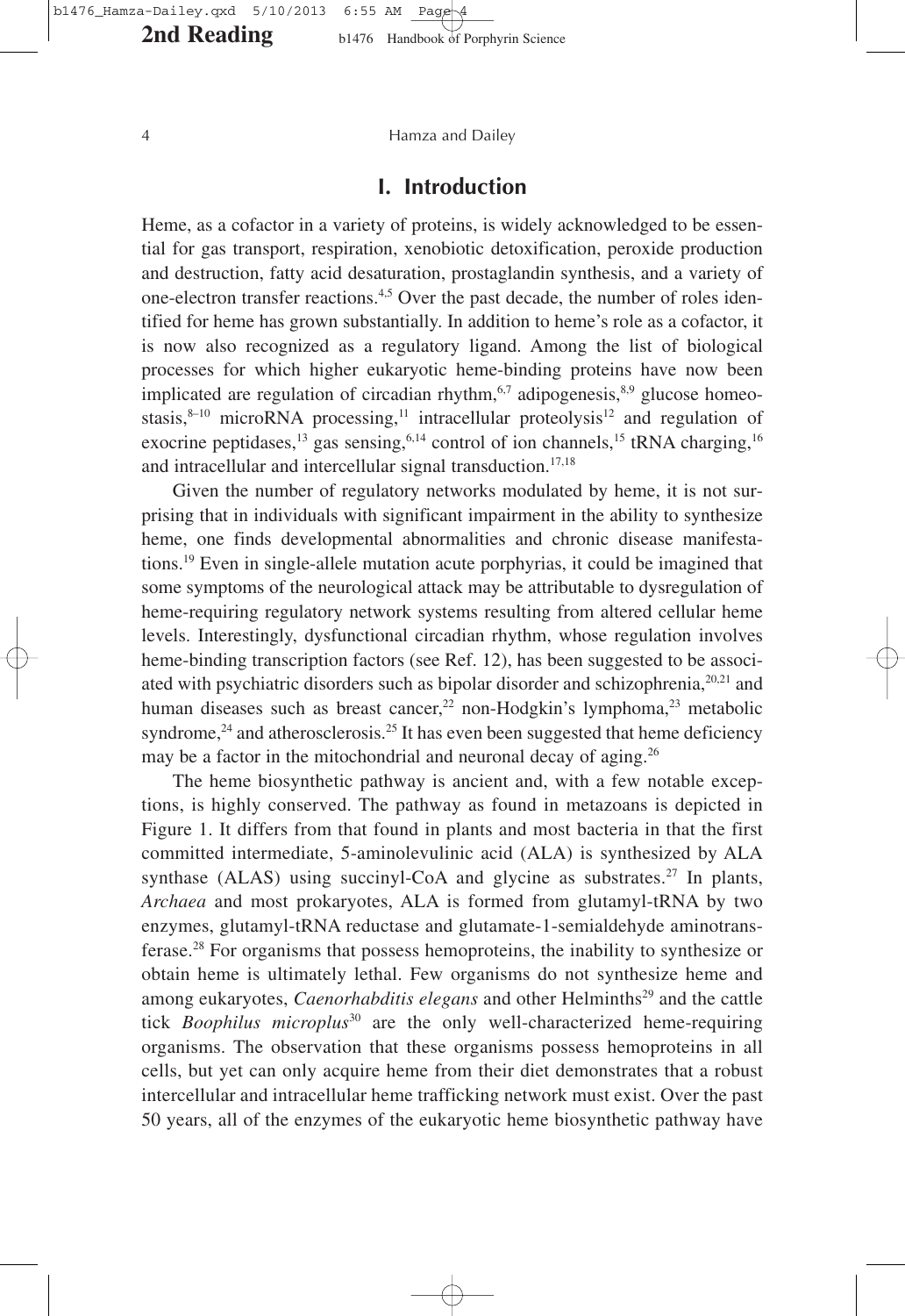b1476 Handbook of Porphyrin Science

4 Hamza and Dailey

### **I. Introduction**

Heme, as a cofactor in a variety of proteins, is widely acknowledged to be essential for gas transport, respiration, xenobiotic detoxification, peroxide production and destruction, fatty acid desaturation, prostaglandin synthesis, and a variety of one-electron transfer reactions.4,5 Over the past decade, the number of roles identified for heme has grown substantially. In addition to heme's role as a cofactor, it is now also recognized as a regulatory ligand. Among the list of biological processes for which higher eukaryotic heme-binding proteins have now been implicated are regulation of circadian rhythm, $6,7$  adipogenesis, $8,9$  glucose homeostasis,<sup>8-10</sup> microRNA processing,<sup>11</sup> intracellular proteolysis<sup>12</sup> and regulation of exocrine peptidases,<sup>13</sup> gas sensing,<sup>6,14</sup> control of ion channels,<sup>15</sup> tRNA charging,<sup>16</sup> and intracellular and intercellular signal transduction. $17,18$ 

Given the number of regulatory networks modulated by heme, it is not surprising that in individuals with significant impairment in the ability to synthesize heme, one finds developmental abnormalities and chronic disease manifestations.19 Even in single-allele mutation acute porphyrias, it could be imagined that some symptoms of the neurological attack may be attributable to dysregulation of heme-requiring regulatory network systems resulting from altered cellular heme levels. Interestingly, dysfunctional circadian rhythm, whose regulation involves heme-binding transcription factors (see Ref. 12), has been suggested to be associated with psychiatric disorders such as bipolar disorder and schizophrenia,<sup>20,21</sup> and human diseases such as breast cancer,<sup>22</sup> non-Hodgkin's lymphoma,<sup>23</sup> metabolic syndrome, $^{24}$  and atherosclerosis.<sup>25</sup> It has even been suggested that heme deficiency may be a factor in the mitochondrial and neuronal decay of aging.<sup>26</sup>

The heme biosynthetic pathway is ancient and, with a few notable exceptions, is highly conserved. The pathway as found in metazoans is depicted in Figure 1. It differs from that found in plants and most bacteria in that the first committed intermediate, 5-aminolevulinic acid (ALA) is synthesized by ALA synthase ( $ALAS$ ) using succinyl-CoA and glycine as substrates.<sup>27</sup> In plants, *Archaea* and most prokaryotes, ALA is formed from glutamyl-tRNA by two enzymes, glutamyl-tRNA reductase and glutamate-1-semialdehyde aminotransferase.28 For organisms that possess hemoproteins, the inability to synthesize or obtain heme is ultimately lethal. Few organisms do not synthesize heme and among eukaryotes, *Caenorhabditis elegans* and other Helminths<sup>29</sup> and the cattle tick *Boophilus microplus*<sup>30</sup> are the only well-characterized heme-requiring organisms. The observation that these organisms possess hemoproteins in all cells, but yet can only acquire heme from their diet demonstrates that a robust intercellular and intracellular heme trafficking network must exist. Over the past 50 years, all of the enzymes of the eukaryotic heme biosynthetic pathway have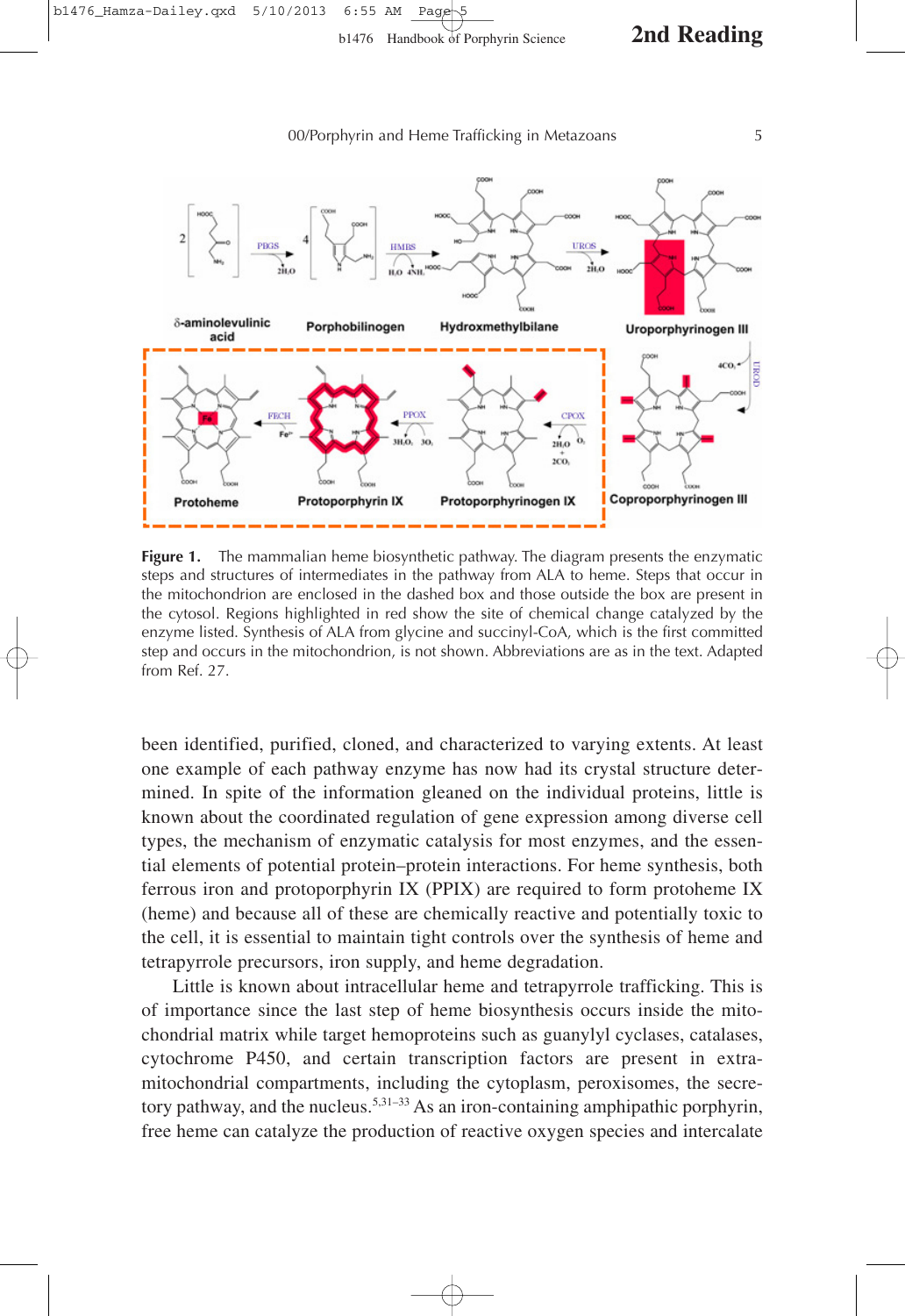# **2nd Reading**





**Figure 1.** The mammalian heme biosynthetic pathway. The diagram presents the enzymatic steps and structures of intermediates in the pathway from ALA to heme. Steps that occur in the mitochondrion are enclosed in the dashed box and those outside the box are present in the cytosol. Regions highlighted in red show the site of chemical change catalyzed by the enzyme listed. Synthesis of ALA from glycine and succinyl-CoA, which is the first committed step and occurs in the mitochondrion, is not shown. Abbreviations are as in the text. Adapted from Ref. 27.

been identified, purified, cloned, and characterized to varying extents. At least one example of each pathway enzyme has now had its crystal structure determined. In spite of the information gleaned on the individual proteins, little is known about the coordinated regulation of gene expression among diverse cell types, the mechanism of enzymatic catalysis for most enzymes, and the essential elements of potential protein–protein interactions. For heme synthesis, both ferrous iron and protoporphyrin IX (PPIX) are required to form protoheme IX (heme) and because all of these are chemically reactive and potentially toxic to the cell, it is essential to maintain tight controls over the synthesis of heme and tetrapyrrole precursors, iron supply, and heme degradation.

Little is known about intracellular heme and tetrapyrrole trafficking. This is of importance since the last step of heme biosynthesis occurs inside the mitochondrial matrix while target hemoproteins such as guanylyl cyclases, catalases, cytochrome P450, and certain transcription factors are present in extramitochondrial compartments, including the cytoplasm, peroxisomes, the secretory pathway, and the nucleus.<sup>5,31–33</sup> As an iron-containing amphipathic porphyrin, free heme can catalyze the production of reactive oxygen species and intercalate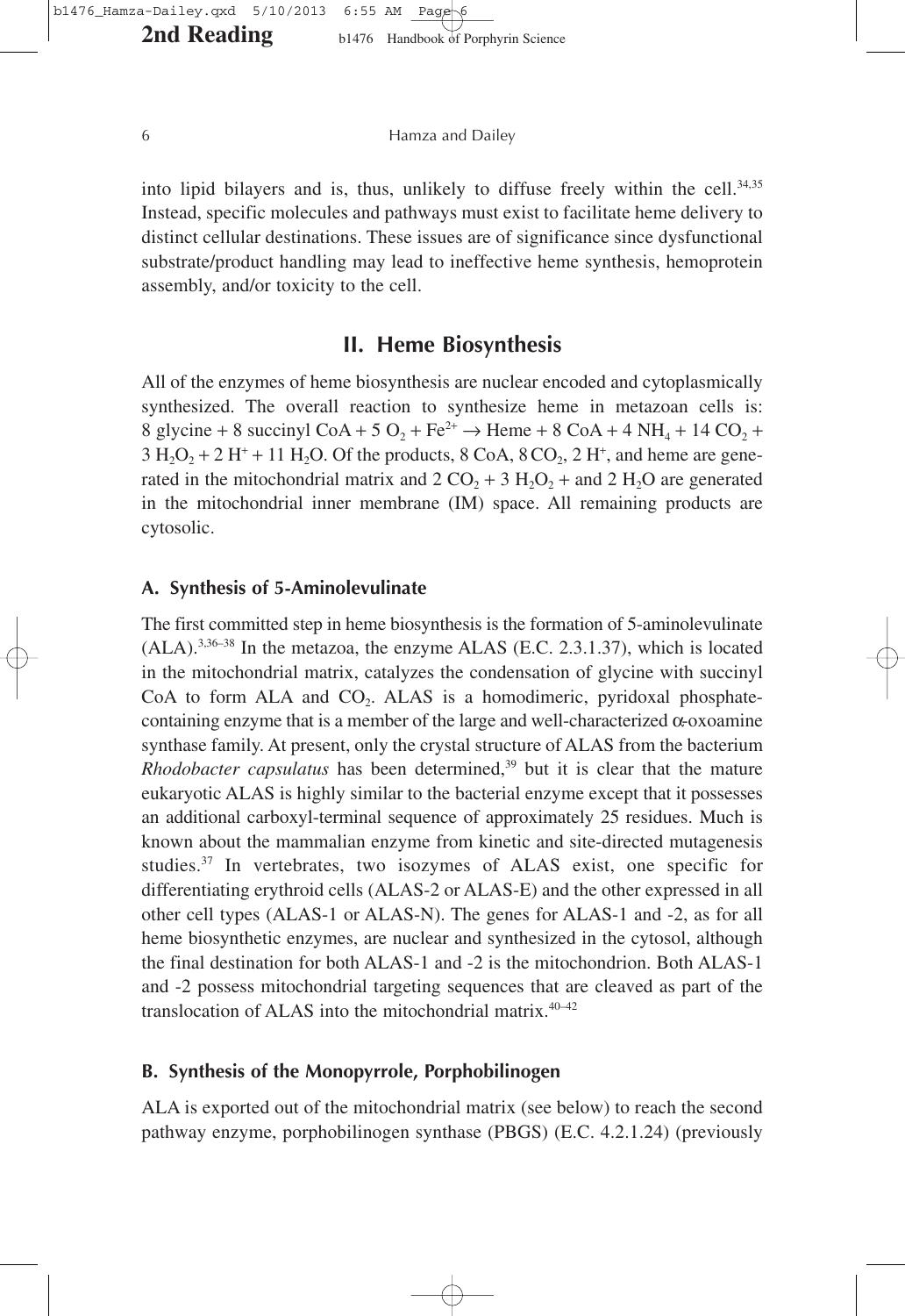b1476 Handbook of Porphyrin Science

#### 6 Hamza and Dailey

into lipid bilayers and is, thus, unlikely to diffuse freely within the cell. $34,35$ Instead, specific molecules and pathways must exist to facilitate heme delivery to distinct cellular destinations. These issues are of significance since dysfunctional substrate/product handling may lead to ineffective heme synthesis, hemoprotein assembly, and/or toxicity to the cell.

### **II. Heme Biosynthesis**

All of the enzymes of heme biosynthesis are nuclear encoded and cytoplasmically synthesized. The overall reaction to synthesize heme in metazoan cells is: 8 glycine + 8 succinyl CoA + 5 O<sub>2</sub> + Fe<sup>2+</sup>  $\rightarrow$  Heme + 8 CoA + 4 NH<sub>4</sub> + 14 CO<sub>2</sub> +  $3 H<sub>2</sub>O<sub>2</sub> + 2 H<sup>+</sup> + 11 H<sub>2</sub>O$ . Of the products, 8 CoA, 8 CO<sub>2</sub>, 2 H<sup>+</sup>, and heme are generated in the mitochondrial matrix and  $2 \text{ CO}_2 + 3 \text{ H}_2\text{O}_2 +$  and  $2 \text{ H}_2\text{O}$  are generated in the mitochondrial inner membrane (IM) space. All remaining products are cytosolic.

### **A. Synthesis of 5-Aminolevulinate**

The first committed step in heme biosynthesis is the formation of 5-aminolevulinate  $(ALA).$ <sup>3,36–38</sup> In the metazoa, the enzyme ALAS (E.C. 2.3.1.37), which is located in the mitochondrial matrix, catalyzes the condensation of glycine with succinyl CoA to form ALA and  $CO<sub>2</sub>$ . ALAS is a homodimeric, pyridoxal phosphatecontaining enzyme that is a member of the large and well-characterized α-oxoamine synthase family. At present, only the crystal structure of ALAS from the bacterium *Rhodobacter capsulatus* has been determined,<sup>39</sup> but it is clear that the mature eukaryotic ALAS is highly similar to the bacterial enzyme except that it possesses an additional carboxyl-terminal sequence of approximately 25 residues. Much is known about the mammalian enzyme from kinetic and site-directed mutagenesis studies.37 In vertebrates, two isozymes of ALAS exist, one specific for differentiating erythroid cells (ALAS-2 or ALAS-E) and the other expressed in all other cell types (ALAS-1 or ALAS-N). The genes for ALAS-1 and -2, as for all heme biosynthetic enzymes, are nuclear and synthesized in the cytosol, although the final destination for both ALAS-1 and -2 is the mitochondrion. Both ALAS-1 and -2 possess mitochondrial targeting sequences that are cleaved as part of the translocation of ALAS into the mitochondrial matrix.<sup>40-42</sup>

### **B. Synthesis of the Monopyrrole, Porphobilinogen**

ALA is exported out of the mitochondrial matrix (see below) to reach the second pathway enzyme, porphobilinogen synthase (PBGS) (E.C. 4.2.1.24) (previously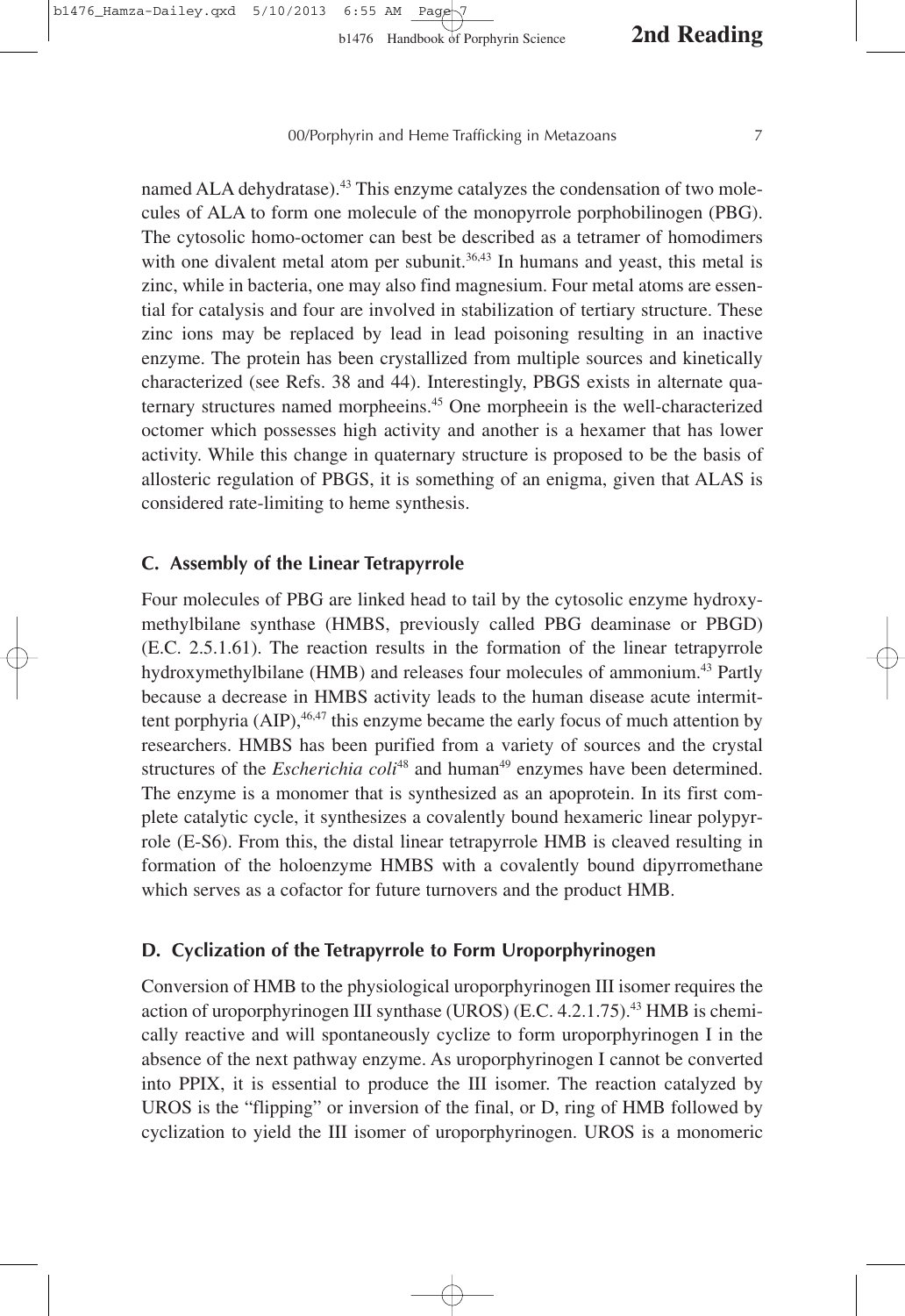# **2nd Reading**

#### 00/Porphyrin and Heme Trafficking in Metazoans 7

named ALA dehydratase).<sup>43</sup> This enzyme catalyzes the condensation of two molecules of ALA to form one molecule of the monopyrrole porphobilinogen (PBG). The cytosolic homo-octomer can best be described as a tetramer of homodimers with one divalent metal atom per subunit.<sup>36,43</sup> In humans and yeast, this metal is zinc, while in bacteria, one may also find magnesium. Four metal atoms are essential for catalysis and four are involved in stabilization of tertiary structure. These zinc ions may be replaced by lead in lead poisoning resulting in an inactive enzyme. The protein has been crystallized from multiple sources and kinetically characterized (see Refs. 38 and 44). Interestingly, PBGS exists in alternate quaternary structures named morpheeins.45 One morpheein is the well-characterized octomer which possesses high activity and another is a hexamer that has lower activity. While this change in quaternary structure is proposed to be the basis of allosteric regulation of PBGS, it is something of an enigma, given that ALAS is considered rate-limiting to heme synthesis.

### **C. Assembly of the Linear Tetrapyrrole**

Four molecules of PBG are linked head to tail by the cytosolic enzyme hydroxymethylbilane synthase (HMBS, previously called PBG deaminase or PBGD) (E.C. 2.5.1.61). The reaction results in the formation of the linear tetrapyrrole hydroxymethylbilane (HMB) and releases four molecules of ammonium.<sup>43</sup> Partly because a decrease in HMBS activity leads to the human disease acute intermittent porphyria  $(AIP)$ ,<sup>46,47</sup> this enzyme became the early focus of much attention by researchers. HMBS has been purified from a variety of sources and the crystal structures of the *Escherichia coli*<sup>48</sup> and human<sup>49</sup> enzymes have been determined. The enzyme is a monomer that is synthesized as an apoprotein. In its first complete catalytic cycle, it synthesizes a covalently bound hexameric linear polypyrrole (E-S6). From this, the distal linear tetrapyrrole HMB is cleaved resulting in formation of the holoenzyme HMBS with a covalently bound dipyrromethane which serves as a cofactor for future turnovers and the product HMB.

### **D. Cyclization of the Tetrapyrrole to Form Uroporphyrinogen**

Conversion of HMB to the physiological uroporphyrinogen III isomer requires the action of uroporphyrinogen III synthase (UROS) (E.C. 4.2.1.75).<sup>43</sup> HMB is chemically reactive and will spontaneously cyclize to form uroporphyrinogen I in the absence of the next pathway enzyme. As uroporphyrinogen I cannot be converted into PPIX, it is essential to produce the III isomer. The reaction catalyzed by UROS is the "flipping" or inversion of the final, or D, ring of HMB followed by cyclization to yield the III isomer of uroporphyrinogen. UROS is a monomeric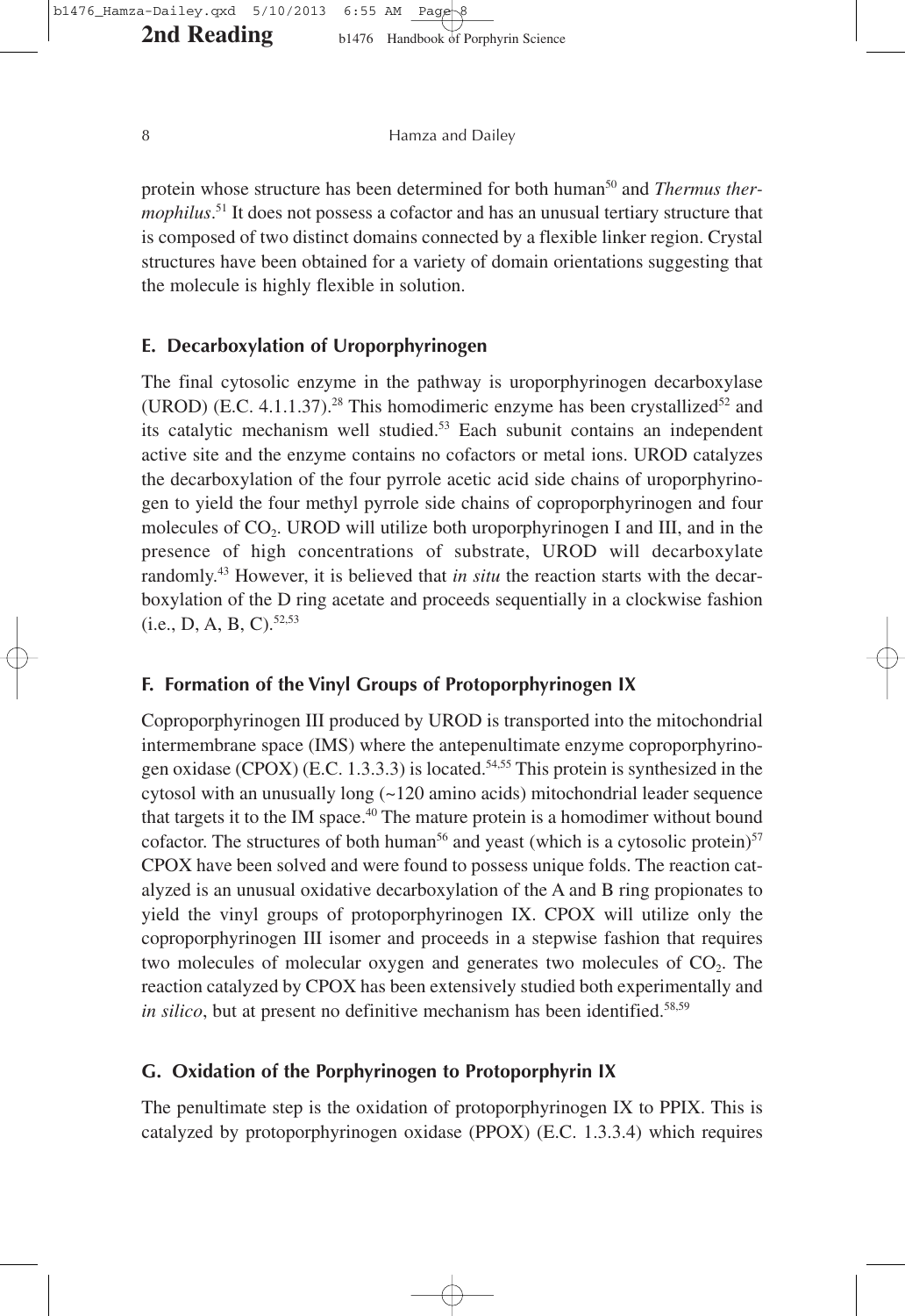b1476 Handbook of Porphyrin Science

8 **Hamza** and Dailey

protein whose structure has been determined for both human<sup>50</sup> and *Thermus thermophilus*. <sup>51</sup> It does not possess a cofactor and has an unusual tertiary structure that is composed of two distinct domains connected by a flexible linker region. Crystal structures have been obtained for a variety of domain orientations suggesting that the molecule is highly flexible in solution.

### **E. Decarboxylation of Uroporphyrinogen**

The final cytosolic enzyme in the pathway is uroporphyrinogen decarboxylase (UROD) (E.C. 4.1.1.37).<sup>28</sup> This homodimeric enzyme has been crystallized<sup>52</sup> and its catalytic mechanism well studied.<sup>53</sup> Each subunit contains an independent active site and the enzyme contains no cofactors or metal ions. UROD catalyzes the decarboxylation of the four pyrrole acetic acid side chains of uroporphyrinogen to yield the four methyl pyrrole side chains of coproporphyrinogen and four molecules of  $CO<sub>2</sub>$ . UROD will utilize both uroporphyrinogen I and III, and in the presence of high concentrations of substrate, UROD will decarboxylate randomly.43 However, it is believed that *in situ* the reaction starts with the decarboxylation of the D ring acetate and proceeds sequentially in a clockwise fashion  $(i.e., D, A, B, C).$ <sup>52,53</sup>

### **F. Formation of the Vinyl Groups of Protoporphyrinogen IX**

Coproporphyrinogen III produced by UROD is transported into the mitochondrial intermembrane space (IMS) where the antepenultimate enzyme coproporphyrinogen oxidase (CPOX) (E.C. 1.3.3.3) is located.<sup>54,55</sup> This protein is synthesized in the cytosol with an unusually long (~120 amino acids) mitochondrial leader sequence that targets it to the IM space.<sup>40</sup> The mature protein is a homodimer without bound cofactor. The structures of both human<sup>56</sup> and yeast (which is a cytosolic protein)<sup>57</sup> CPOX have been solved and were found to possess unique folds. The reaction catalyzed is an unusual oxidative decarboxylation of the A and B ring propionates to yield the vinyl groups of protoporphyrinogen IX. CPOX will utilize only the coproporphyrinogen III isomer and proceeds in a stepwise fashion that requires two molecules of molecular oxygen and generates two molecules of  $CO<sub>2</sub>$ . The reaction catalyzed by CPOX has been extensively studied both experimentally and *in silico*, but at present no definitive mechanism has been identified.<sup>58,59</sup>

### **G. Oxidation of the Porphyrinogen to Protoporphyrin IX**

The penultimate step is the oxidation of protoporphyrinogen IX to PPIX. This is catalyzed by protoporphyrinogen oxidase (PPOX) (E.C. 1.3.3.4) which requires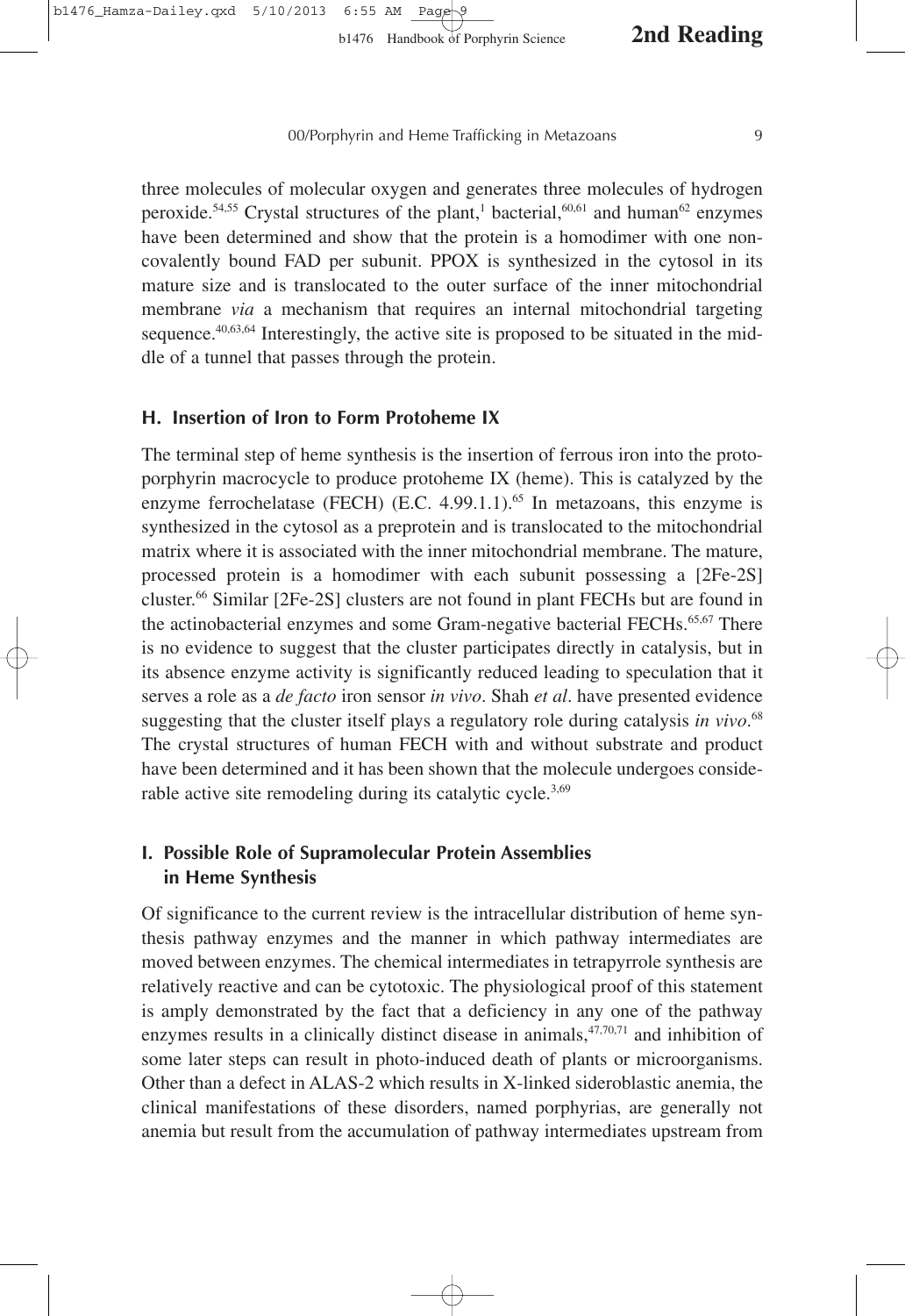# **2nd Reading**

#### 00/Porphyrin and Heme Trafficking in Metazoans 9

three molecules of molecular oxygen and generates three molecules of hydrogen peroxide.<sup>54,55</sup> Crystal structures of the plant,<sup>1</sup> bacterial,<sup>60,61</sup> and human<sup>62</sup> enzymes have been determined and show that the protein is a homodimer with one noncovalently bound FAD per subunit. PPOX is synthesized in the cytosol in its mature size and is translocated to the outer surface of the inner mitochondrial membrane *via* a mechanism that requires an internal mitochondrial targeting sequence.<sup>40,63,64</sup> Interestingly, the active site is proposed to be situated in the middle of a tunnel that passes through the protein.

### **H. Insertion of Iron to Form Protoheme IX**

The terminal step of heme synthesis is the insertion of ferrous iron into the protoporphyrin macrocycle to produce protoheme IX (heme). This is catalyzed by the enzyme ferrochelatase (FECH) (E.C. 4.99.1.1). $^{65}$  In metazoans, this enzyme is synthesized in the cytosol as a preprotein and is translocated to the mitochondrial matrix where it is associated with the inner mitochondrial membrane. The mature, processed protein is a homodimer with each subunit possessing a [2Fe-2S] cluster.66 Similar [2Fe-2S] clusters are not found in plant FECHs but are found in the actinobacterial enzymes and some Gram-negative bacterial FECHs.<sup>65,67</sup> There is no evidence to suggest that the cluster participates directly in catalysis, but in its absence enzyme activity is significantly reduced leading to speculation that it serves a role as a *de facto* iron sensor *in vivo*. Shah *et al*. have presented evidence suggesting that the cluster itself plays a regulatory role during catalysis *in vivo*. 68 The crystal structures of human FECH with and without substrate and product have been determined and it has been shown that the molecule undergoes considerable active site remodeling during its catalytic cycle.<sup>3,69</sup>

### **I. Possible Role of Supramolecular Protein Assemblies in Heme Synthesis**

Of significance to the current review is the intracellular distribution of heme synthesis pathway enzymes and the manner in which pathway intermediates are moved between enzymes. The chemical intermediates in tetrapyrrole synthesis are relatively reactive and can be cytotoxic. The physiological proof of this statement is amply demonstrated by the fact that a deficiency in any one of the pathway enzymes results in a clinically distinct disease in animals, $47,70,71$  and inhibition of some later steps can result in photo-induced death of plants or microorganisms. Other than a defect in ALAS-2 which results in X-linked sideroblastic anemia, the clinical manifestations of these disorders, named porphyrias, are generally not anemia but result from the accumulation of pathway intermediates upstream from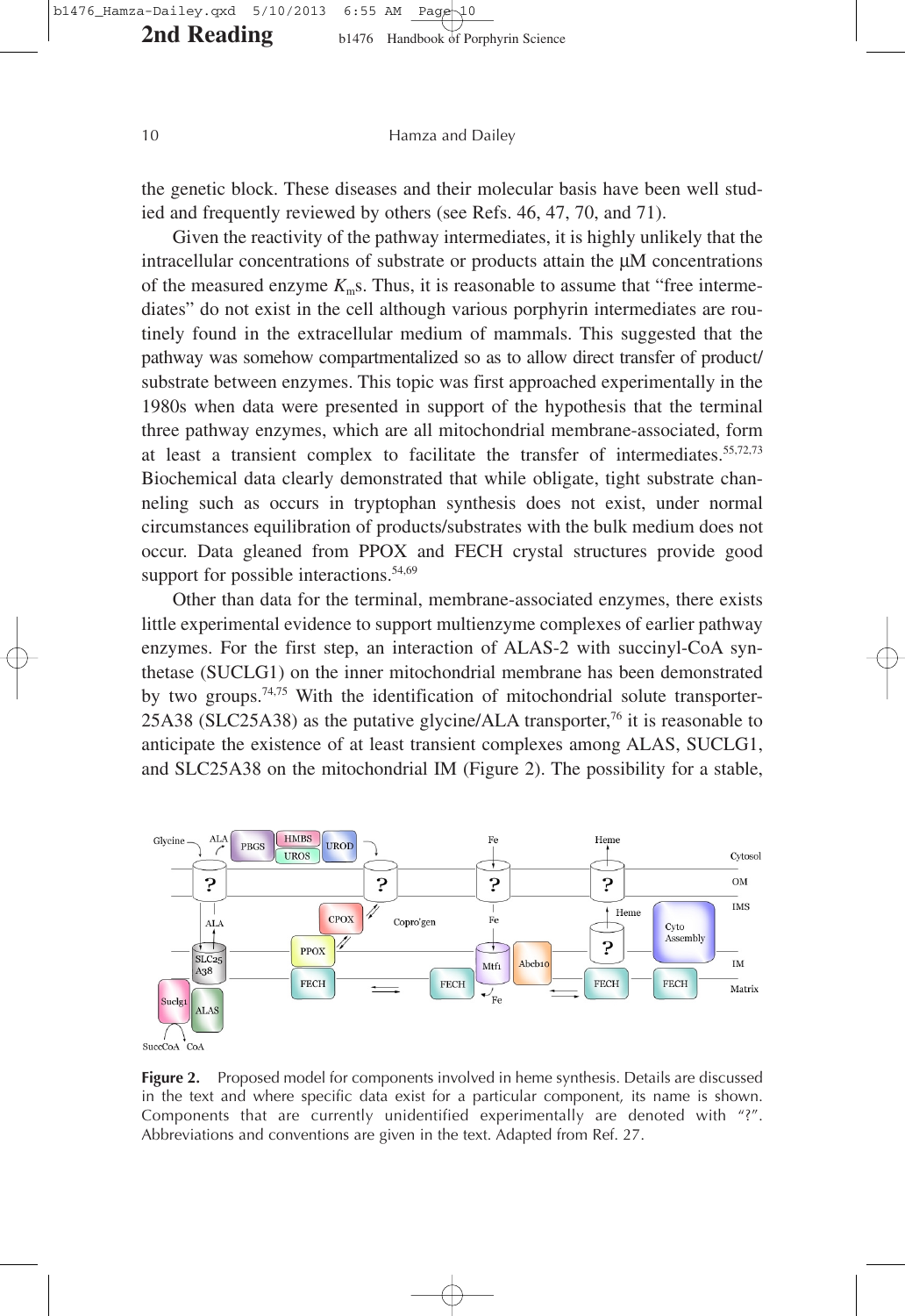b1476 Handbook of Porphyrin Science

10 **Hamza** and Dailey

the genetic block. These diseases and their molecular basis have been well studied and frequently reviewed by others (see Refs. 46, 47, 70, and 71).

Given the reactivity of the pathway intermediates, it is highly unlikely that the intracellular concentrations of substrate or products attain the µM concentrations of the measured enzyme  $K<sub>m</sub>$ s. Thus, it is reasonable to assume that "free intermediates" do not exist in the cell although various porphyrin intermediates are routinely found in the extracellular medium of mammals. This suggested that the pathway was somehow compartmentalized so as to allow direct transfer of product/ substrate between enzymes. This topic was first approached experimentally in the 1980s when data were presented in support of the hypothesis that the terminal three pathway enzymes, which are all mitochondrial membrane-associated, form at least a transient complex to facilitate the transfer of intermediates.55,72,73 Biochemical data clearly demonstrated that while obligate, tight substrate channeling such as occurs in tryptophan synthesis does not exist, under normal circumstances equilibration of products/substrates with the bulk medium does not occur. Data gleaned from PPOX and FECH crystal structures provide good support for possible interactions. $54,69$ 

Other than data for the terminal, membrane-associated enzymes, there exists little experimental evidence to support multienzyme complexes of earlier pathway enzymes. For the first step, an interaction of ALAS-2 with succinyl-CoA synthetase (SUCLG1) on the inner mitochondrial membrane has been demonstrated by two groups.<sup>74,75</sup> With the identification of mitochondrial solute transporter-25A38 (SLC25A38) as the putative glycine/ALA transporter,<sup>76</sup> it is reasonable to anticipate the existence of at least transient complexes among ALAS, SUCLG1, and SLC25A38 on the mitochondrial IM (Figure 2). The possibility for a stable,



**Figure 2.** Proposed model for components involved in heme synthesis. Details are discussed in the text and where specific data exist for a particular component, its name is shown. Components that are currently unidentified experimentally are denoted with "?". Abbreviations and conventions are given in the text. Adapted from Ref. 27.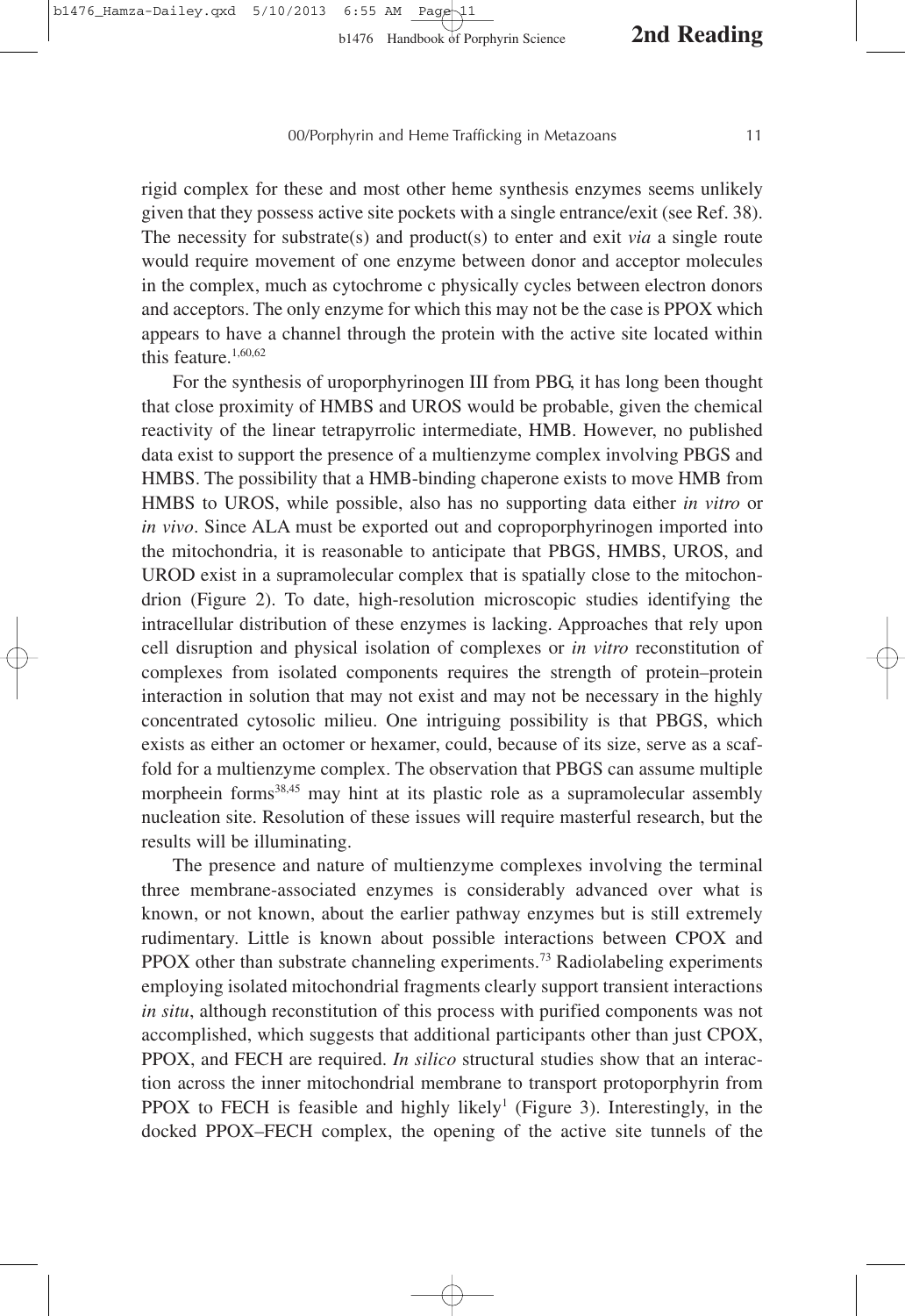#### 00/Porphyrin and Heme Trafficking in Metazoans 11

rigid complex for these and most other heme synthesis enzymes seems unlikely given that they possess active site pockets with a single entrance/exit (see Ref. 38). The necessity for substrate(s) and product(s) to enter and exit *via* a single route would require movement of one enzyme between donor and acceptor molecules in the complex, much as cytochrome c physically cycles between electron donors and acceptors. The only enzyme for which this may not be the case is PPOX which appears to have a channel through the protein with the active site located within this feature.<sup>1,60,62</sup>

For the synthesis of uroporphyrinogen III from PBG, it has long been thought that close proximity of HMBS and UROS would be probable, given the chemical reactivity of the linear tetrapyrrolic intermediate, HMB. However, no published data exist to support the presence of a multienzyme complex involving PBGS and HMBS. The possibility that a HMB-binding chaperone exists to move HMB from HMBS to UROS, while possible, also has no supporting data either *in vitro* or *in vivo*. Since ALA must be exported out and coproporphyrinogen imported into the mitochondria, it is reasonable to anticipate that PBGS, HMBS, UROS, and UROD exist in a supramolecular complex that is spatially close to the mitochondrion (Figure 2). To date, high-resolution microscopic studies identifying the intracellular distribution of these enzymes is lacking. Approaches that rely upon cell disruption and physical isolation of complexes or *in vitro* reconstitution of complexes from isolated components requires the strength of protein–protein interaction in solution that may not exist and may not be necessary in the highly concentrated cytosolic milieu. One intriguing possibility is that PBGS, which exists as either an octomer or hexamer, could, because of its size, serve as a scaffold for a multienzyme complex. The observation that PBGS can assume multiple morpheein forms<sup>38,45</sup> may hint at its plastic role as a supramolecular assembly nucleation site. Resolution of these issues will require masterful research, but the results will be illuminating.

The presence and nature of multienzyme complexes involving the terminal three membrane-associated enzymes is considerably advanced over what is known, or not known, about the earlier pathway enzymes but is still extremely rudimentary. Little is known about possible interactions between CPOX and PPOX other than substrate channeling experiments.<sup>73</sup> Radiolabeling experiments employing isolated mitochondrial fragments clearly support transient interactions *in situ*, although reconstitution of this process with purified components was not accomplished, which suggests that additional participants other than just CPOX, PPOX, and FECH are required. *In silico* structural studies show that an interaction across the inner mitochondrial membrane to transport protoporphyrin from PPOX to FECH is feasible and highly likely<sup>1</sup> (Figure 3). Interestingly, in the docked PPOX–FECH complex, the opening of the active site tunnels of the

b1476\_Hamza-Dailey.qxd 5/10/2013

b1476 Handbook of Porphyrin Science

**2nd Reading**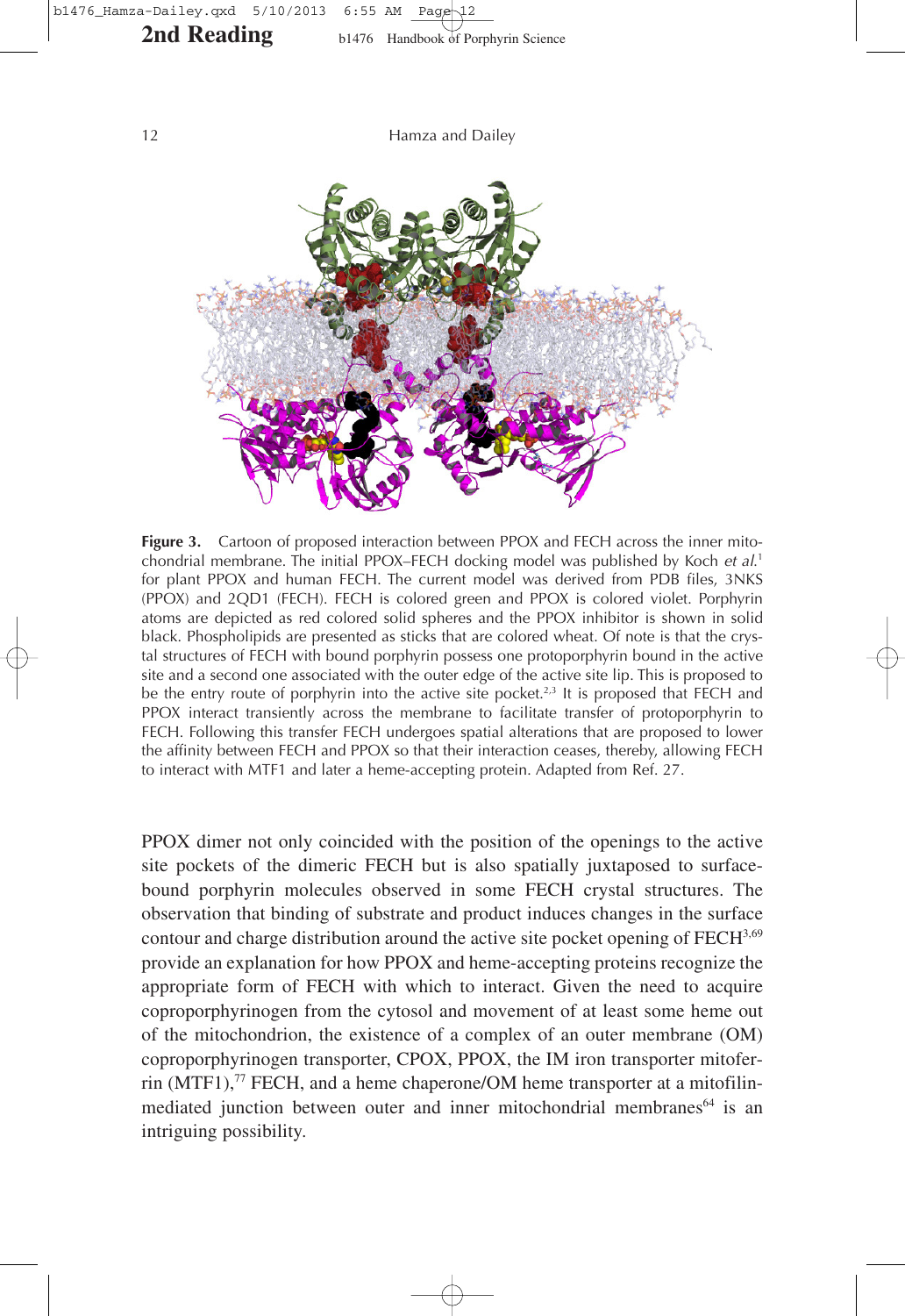b1476 Handbook of Porphyrin Science

12 **Hamza** and Dailey



**Figure 3.** Cartoon of proposed interaction between PPOX and FECH across the inner mitochondrial membrane. The initial PPOX–FECH docking model was published by Koch *et al*. 1 for plant PPOX and human FECH. The current model was derived from PDB files, 3NKS (PPOX) and 2QD1 (FECH). FECH is colored green and PPOX is colored violet. Porphyrin atoms are depicted as red colored solid spheres and the PPOX inhibitor is shown in solid black. Phospholipids are presented as sticks that are colored wheat. Of note is that the crystal structures of FECH with bound porphyrin possess one protoporphyrin bound in the active site and a second one associated with the outer edge of the active site lip. This is proposed to be the entry route of porphyrin into the active site pocket.<sup>2,3</sup> It is proposed that FECH and PPOX interact transiently across the membrane to facilitate transfer of protoporphyrin to FECH. Following this transfer FECH undergoes spatial alterations that are proposed to lower the affinity between FECH and PPOX so that their interaction ceases, thereby, allowing FECH to interact with MTF1 and later a heme-accepting protein. Adapted from Ref. 27.

PPOX dimer not only coincided with the position of the openings to the active site pockets of the dimeric FECH but is also spatially juxtaposed to surfacebound porphyrin molecules observed in some FECH crystal structures. The observation that binding of substrate and product induces changes in the surface contour and charge distribution around the active site pocket opening of FECH<sup>3,69</sup> provide an explanation for how PPOX and heme-accepting proteins recognize the appropriate form of FECH with which to interact. Given the need to acquire coproporphyrinogen from the cytosol and movement of at least some heme out of the mitochondrion, the existence of a complex of an outer membrane (OM) coproporphyrinogen transporter, CPOX, PPOX, the IM iron transporter mitoferrin  $(MTF1)$ ,<sup>77</sup> FECH, and a heme chaperone/OM heme transporter at a mitofilinmediated junction between outer and inner mitochondrial membranes<sup>64</sup> is an intriguing possibility.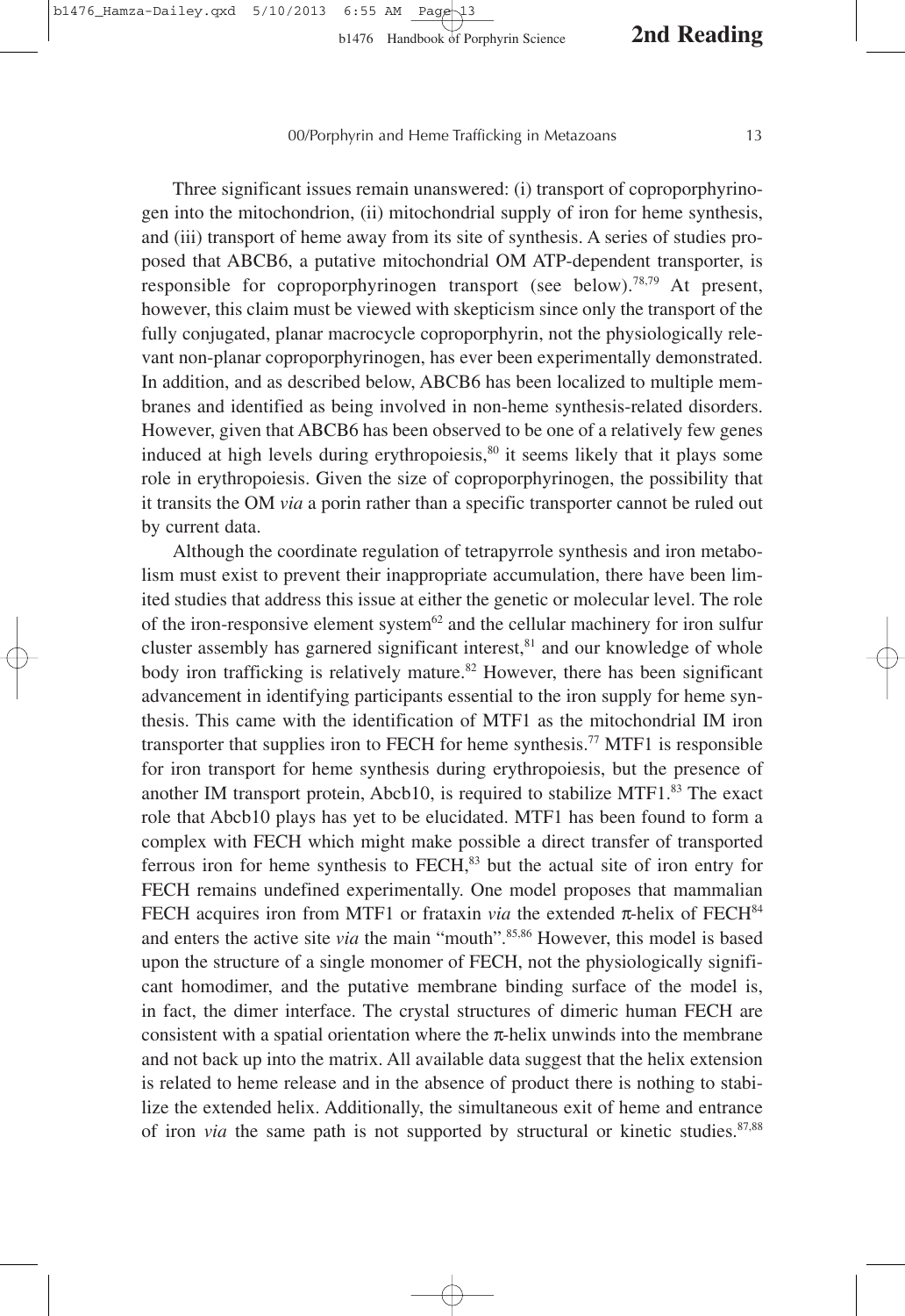### **2nd Reading**

#### 00/Porphyrin and Heme Trafficking in Metazoans 13

Three significant issues remain unanswered: (i) transport of coproporphyrinogen into the mitochondrion, (ii) mitochondrial supply of iron for heme synthesis, and (iii) transport of heme away from its site of synthesis. A series of studies proposed that ABCB6, a putative mitochondrial OM ATP-dependent transporter, is responsible for coproporphyrinogen transport (see below).<sup>78,79</sup> At present, however, this claim must be viewed with skepticism since only the transport of the fully conjugated, planar macrocycle coproporphyrin, not the physiologically relevant non-planar coproporphyrinogen, has ever been experimentally demonstrated. In addition, and as described below, ABCB6 has been localized to multiple membranes and identified as being involved in non-heme synthesis-related disorders. However, given that ABCB6 has been observed to be one of a relatively few genes induced at high levels during erythropoiesis,<sup>80</sup> it seems likely that it plays some role in erythropoiesis. Given the size of coproporphyrinogen, the possibility that it transits the OM *via* a porin rather than a specific transporter cannot be ruled out by current data.

Although the coordinate regulation of tetrapyrrole synthesis and iron metabolism must exist to prevent their inappropriate accumulation, there have been limited studies that address this issue at either the genetic or molecular level. The role of the iron-responsive element system<sup>62</sup> and the cellular machinery for iron sulfur cluster assembly has garnered significant interest, $81$  and our knowledge of whole body iron trafficking is relatively mature.<sup>82</sup> However, there has been significant advancement in identifying participants essential to the iron supply for heme synthesis. This came with the identification of MTF1 as the mitochondrial IM iron transporter that supplies iron to FECH for heme synthesis.77 MTF1 is responsible for iron transport for heme synthesis during erythropoiesis, but the presence of another IM transport protein, Abcb10, is required to stabilize MTF1. $^{83}$  The exact role that Abcb10 plays has yet to be elucidated. MTF1 has been found to form a complex with FECH which might make possible a direct transfer of transported ferrous iron for heme synthesis to  $FECH<sub>33</sub>$  but the actual site of iron entry for FECH remains undefined experimentally. One model proposes that mammalian FECH acquires iron from MTF1 or frataxin *via* the extended  $\pi$ -helix of FECH<sup>84</sup> and enters the active site *via* the main "mouth".<sup>85,86</sup> However, this model is based upon the structure of a single monomer of FECH, not the physiologically significant homodimer, and the putative membrane binding surface of the model is, in fact, the dimer interface. The crystal structures of dimeric human FECH are consistent with a spatial orientation where the  $\pi$ -helix unwinds into the membrane and not back up into the matrix. All available data suggest that the helix extension is related to heme release and in the absence of product there is nothing to stabilize the extended helix. Additionally, the simultaneous exit of heme and entrance of iron *via* the same path is not supported by structural or kinetic studies.<sup>87,88</sup>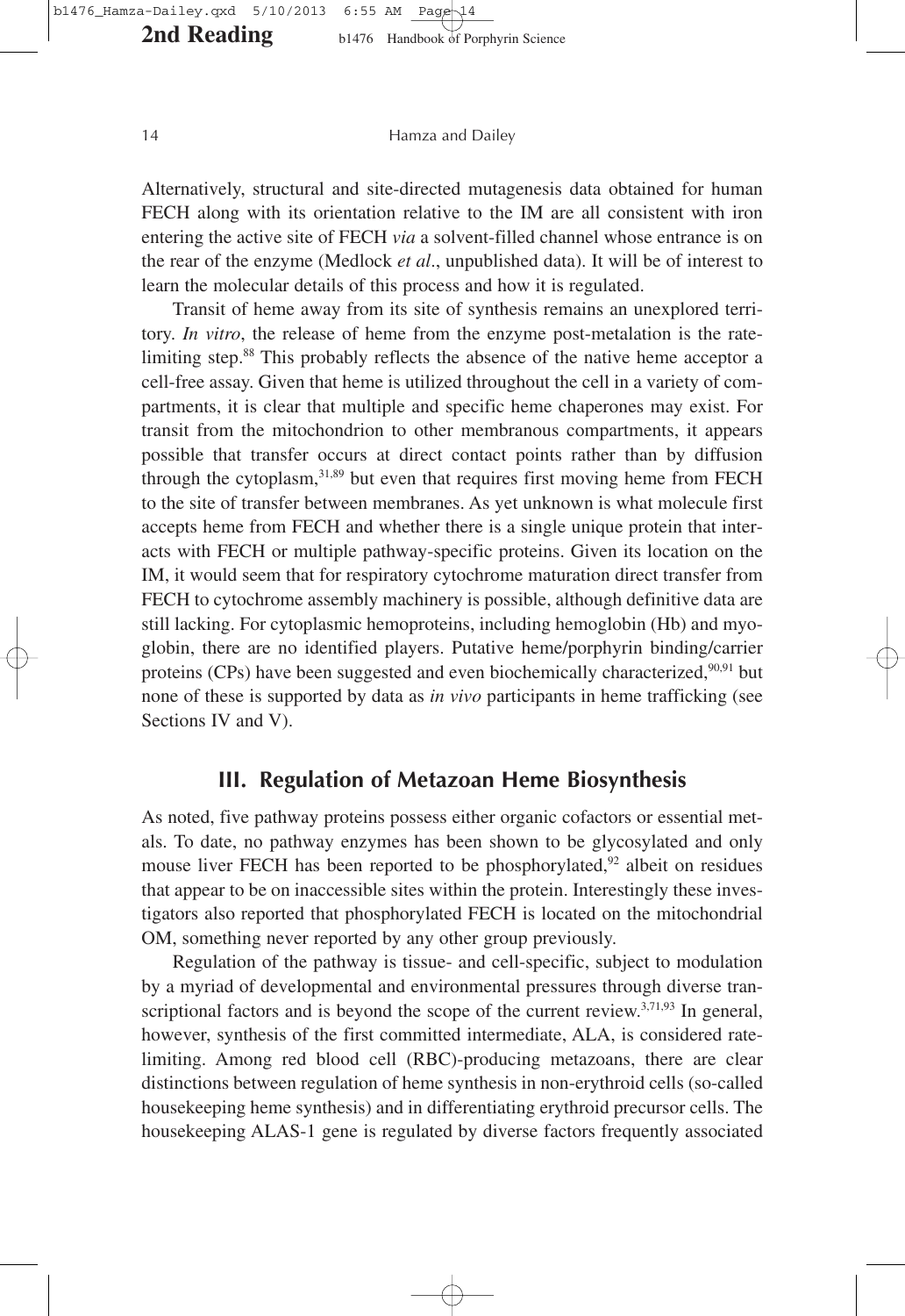b1476 Handbook of Porphyrin Science

#### 14 **Hamza** and Dailey

Alternatively, structural and site-directed mutagenesis data obtained for human FECH along with its orientation relative to the IM are all consistent with iron entering the active site of FECH *via* a solvent-filled channel whose entrance is on the rear of the enzyme (Medlock *et al*., unpublished data). It will be of interest to learn the molecular details of this process and how it is regulated.

Transit of heme away from its site of synthesis remains an unexplored territory. *In vitro*, the release of heme from the enzyme post-metalation is the ratelimiting step.<sup>88</sup> This probably reflects the absence of the native heme acceptor a cell-free assay. Given that heme is utilized throughout the cell in a variety of compartments, it is clear that multiple and specific heme chaperones may exist. For transit from the mitochondrion to other membranous compartments, it appears possible that transfer occurs at direct contact points rather than by diffusion through the cytoplasm, $31,89$  but even that requires first moving heme from FECH to the site of transfer between membranes. As yet unknown is what molecule first accepts heme from FECH and whether there is a single unique protein that interacts with FECH or multiple pathway-specific proteins. Given its location on the IM, it would seem that for respiratory cytochrome maturation direct transfer from FECH to cytochrome assembly machinery is possible, although definitive data are still lacking. For cytoplasmic hemoproteins, including hemoglobin (Hb) and myoglobin, there are no identified players. Putative heme/porphyrin binding/carrier proteins (CPs) have been suggested and even biochemically characterized,90,91 but none of these is supported by data as *in vivo* participants in heme trafficking (see Sections IV and V).

### **III. Regulation of Metazoan Heme Biosynthesis**

As noted, five pathway proteins possess either organic cofactors or essential metals. To date, no pathway enzymes has been shown to be glycosylated and only mouse liver FECH has been reported to be phosphorylated,<sup>92</sup> albeit on residues that appear to be on inaccessible sites within the protein. Interestingly these investigators also reported that phosphorylated FECH is located on the mitochondrial OM, something never reported by any other group previously.

Regulation of the pathway is tissue- and cell-specific, subject to modulation by a myriad of developmental and environmental pressures through diverse transcriptional factors and is beyond the scope of the current review.<sup>3,71,93</sup> In general, however, synthesis of the first committed intermediate, ALA, is considered ratelimiting. Among red blood cell (RBC)-producing metazoans, there are clear distinctions between regulation of heme synthesis in non-erythroid cells (so-called housekeeping heme synthesis) and in differentiating erythroid precursor cells. The housekeeping ALAS-1 gene is regulated by diverse factors frequently associated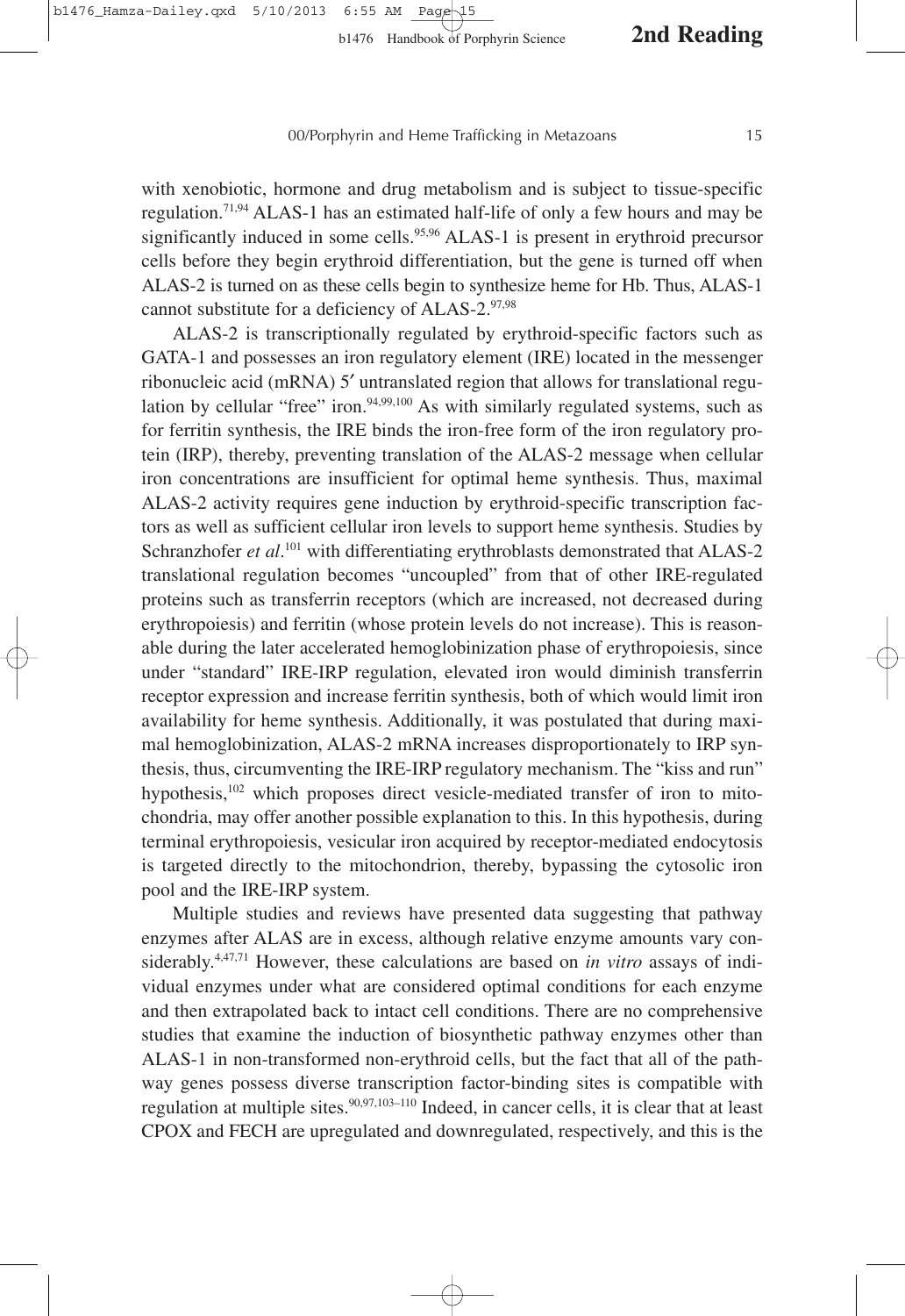with xenobiotic, hormone and drug metabolism and is subject to tissue-specific regulation.71,94 ALAS-1 has an estimated half-life of only a few hours and may be significantly induced in some cells.<sup>95,96</sup> ALAS-1 is present in erythroid precursor cells before they begin erythroid differentiation, but the gene is turned off when ALAS-2 is turned on as these cells begin to synthesize heme for Hb. Thus, ALAS-1 cannot substitute for a deficiency of ALAS-2.97,98

ALAS-2 is transcriptionally regulated by erythroid-specific factors such as GATA-1 and possesses an iron regulatory element (IRE) located in the messenger ribonucleic acid (mRNA) 5′ untranslated region that allows for translational regulation by cellular "free" iron. $94,99,100$  As with similarly regulated systems, such as for ferritin synthesis, the IRE binds the iron-free form of the iron regulatory protein (IRP), thereby, preventing translation of the ALAS-2 message when cellular iron concentrations are insufficient for optimal heme synthesis. Thus, maximal ALAS-2 activity requires gene induction by erythroid-specific transcription factors as well as sufficient cellular iron levels to support heme synthesis. Studies by Schranzhofer et al.<sup>101</sup> with differentiating erythroblasts demonstrated that ALAS-2 translational regulation becomes "uncoupled" from that of other IRE-regulated proteins such as transferrin receptors (which are increased, not decreased during erythropoiesis) and ferritin (whose protein levels do not increase). This is reasonable during the later accelerated hemoglobinization phase of erythropoiesis, since under "standard" IRE-IRP regulation, elevated iron would diminish transferrin receptor expression and increase ferritin synthesis, both of which would limit iron availability for heme synthesis. Additionally, it was postulated that during maximal hemoglobinization, ALAS-2 mRNA increases disproportionately to IRP synthesis, thus, circumventing the IRE-IRP regulatory mechanism. The "kiss and run" hypothesis, $102$  which proposes direct vesicle-mediated transfer of iron to mitochondria, may offer another possible explanation to this. In this hypothesis, during terminal erythropoiesis, vesicular iron acquired by receptor-mediated endocytosis is targeted directly to the mitochondrion, thereby, bypassing the cytosolic iron pool and the IRE-IRP system.

Multiple studies and reviews have presented data suggesting that pathway enzymes after ALAS are in excess, although relative enzyme amounts vary considerably.4,47,71 However, these calculations are based on *in vitro* assays of individual enzymes under what are considered optimal conditions for each enzyme and then extrapolated back to intact cell conditions. There are no comprehensive studies that examine the induction of biosynthetic pathway enzymes other than ALAS-1 in non-transformed non-erythroid cells, but the fact that all of the pathway genes possess diverse transcription factor-binding sites is compatible with regulation at multiple sites.90,97,103–110 Indeed, in cancer cells, it is clear that at least CPOX and FECH are upregulated and downregulated, respectively, and this is the

# **2nd Reading**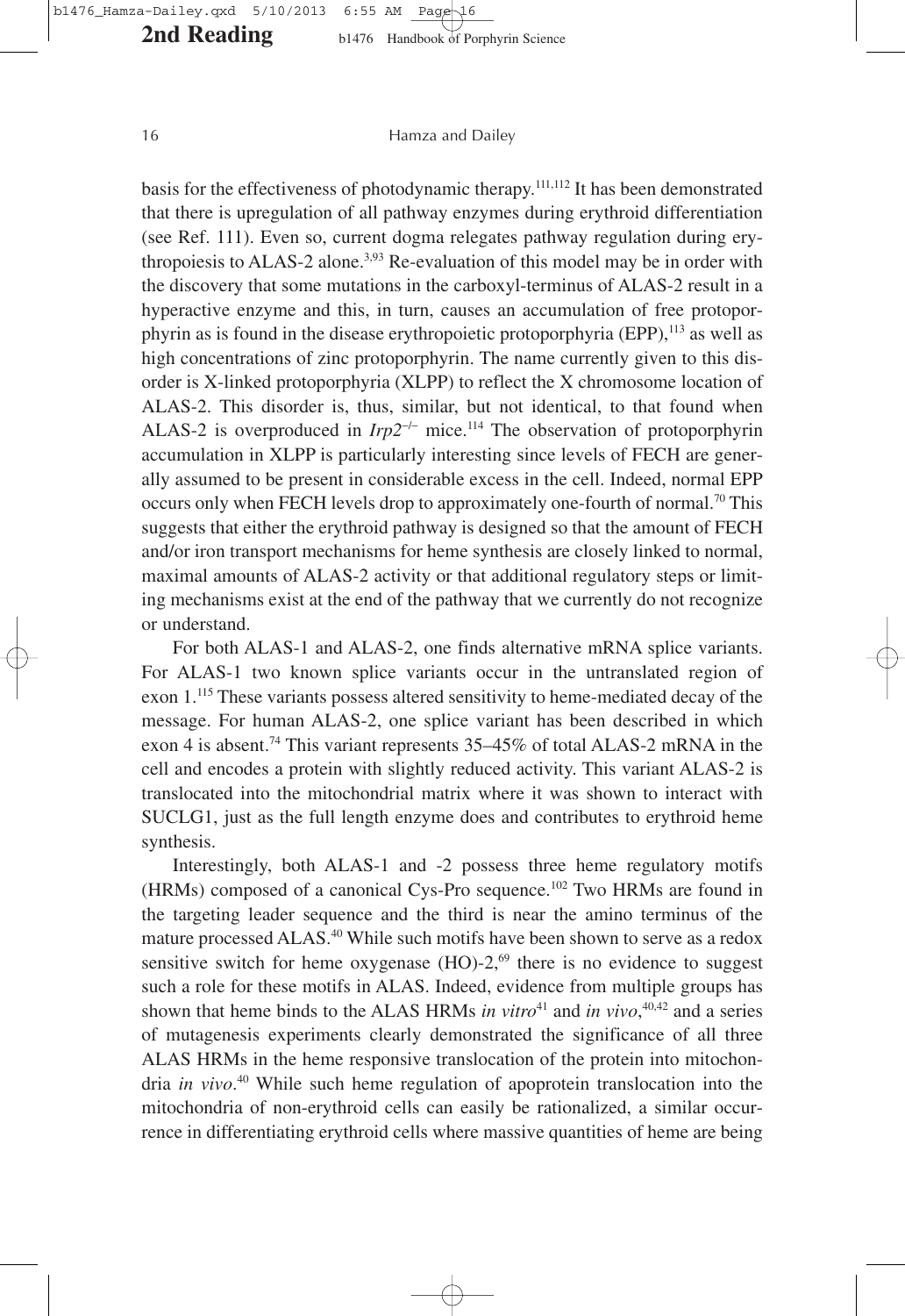b1476 Handbook of Porphyrin Science

#### 16 **Hamza** and Dailey

basis for the effectiveness of photodynamic therapy.<sup>111,112</sup> It has been demonstrated that there is upregulation of all pathway enzymes during erythroid differentiation (see Ref. 111). Even so, current dogma relegates pathway regulation during erythropoiesis to ALAS-2 alone.<sup>3,93</sup> Re-evaluation of this model may be in order with the discovery that some mutations in the carboxyl-terminus of ALAS-2 result in a hyperactive enzyme and this, in turn, causes an accumulation of free protoporphyrin as is found in the disease erythropoietic protoporphyria (EPP),<sup>113</sup> as well as high concentrations of zinc protoporphyrin. The name currently given to this disorder is X-linked protoporphyria (XLPP) to reflect the X chromosome location of ALAS-2. This disorder is, thus, similar, but not identical, to that found when ALAS-2 is overproduced in *Irp2<sup>-/−</sup>* mice.<sup>114</sup> The observation of protoporphyrin accumulation in XLPP is particularly interesting since levels of FECH are generally assumed to be present in considerable excess in the cell. Indeed, normal EPP occurs only when FECH levels drop to approximately one-fourth of normal.<sup>70</sup> This suggests that either the erythroid pathway is designed so that the amount of FECH and/or iron transport mechanisms for heme synthesis are closely linked to normal, maximal amounts of ALAS-2 activity or that additional regulatory steps or limiting mechanisms exist at the end of the pathway that we currently do not recognize or understand.

For both ALAS-1 and ALAS-2, one finds alternative mRNA splice variants. For ALAS-1 two known splice variants occur in the untranslated region of exon 1.115 These variants possess altered sensitivity to heme-mediated decay of the message. For human ALAS-2, one splice variant has been described in which exon 4 is absent.<sup>74</sup> This variant represents 35–45% of total ALAS-2 mRNA in the cell and encodes a protein with slightly reduced activity. This variant ALAS-2 is translocated into the mitochondrial matrix where it was shown to interact with SUCLG1, just as the full length enzyme does and contributes to erythroid heme synthesis.

Interestingly, both ALAS-1 and -2 possess three heme regulatory motifs (HRMs) composed of a canonical Cys-Pro sequence.102 Two HRMs are found in the targeting leader sequence and the third is near the amino terminus of the mature processed ALAS.<sup>40</sup> While such motifs have been shown to serve as a redox sensitive switch for heme oxygenase  $(HO)-2$ ,<sup>69</sup> there is no evidence to suggest such a role for these motifs in ALAS. Indeed, evidence from multiple groups has shown that heme binds to the ALAS HRMs *in vitro*<sup>41</sup> and *in vivo*, <sup>40,42</sup> and a series of mutagenesis experiments clearly demonstrated the significance of all three ALAS HRMs in the heme responsive translocation of the protein into mitochondria *in vivo*. <sup>40</sup> While such heme regulation of apoprotein translocation into the mitochondria of non-erythroid cells can easily be rationalized, a similar occurrence in differentiating erythroid cells where massive quantities of heme are being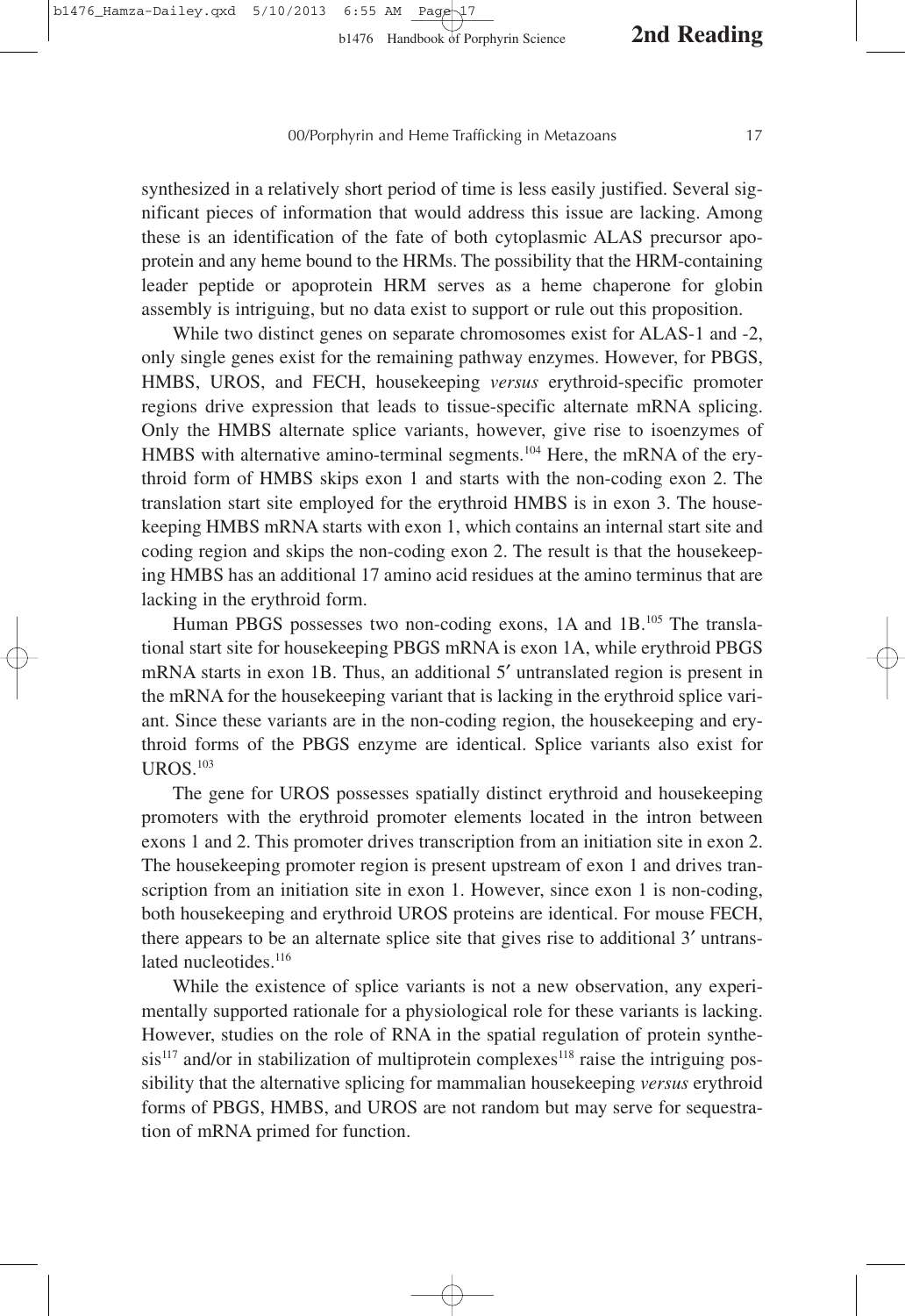#### 00/Porphyrin and Heme Trafficking in Metazoans 17

synthesized in a relatively short period of time is less easily justified. Several significant pieces of information that would address this issue are lacking. Among these is an identification of the fate of both cytoplasmic ALAS precursor apoprotein and any heme bound to the HRMs. The possibility that the HRM-containing leader peptide or apoprotein HRM serves as a heme chaperone for globin assembly is intriguing, but no data exist to support or rule out this proposition.

While two distinct genes on separate chromosomes exist for ALAS-1 and -2, only single genes exist for the remaining pathway enzymes. However, for PBGS, HMBS, UROS, and FECH, housekeeping *versus* erythroid-specific promoter regions drive expression that leads to tissue-specific alternate mRNA splicing. Only the HMBS alternate splice variants, however, give rise to isoenzymes of HMBS with alternative amino-terminal segments.<sup>104</sup> Here, the mRNA of the erythroid form of HMBS skips exon 1 and starts with the non-coding exon 2. The translation start site employed for the erythroid HMBS is in exon 3. The housekeeping HMBS mRNA starts with exon 1, which contains an internal start site and coding region and skips the non-coding exon 2. The result is that the housekeeping HMBS has an additional 17 amino acid residues at the amino terminus that are lacking in the erythroid form.

Human PBGS possesses two non-coding exons, 1A and 1B.<sup>105</sup> The translational start site for housekeeping PBGS mRNA is exon 1A, while erythroid PBGS mRNA starts in exon 1B. Thus, an additional 5′ untranslated region is present in the mRNA for the housekeeping variant that is lacking in the erythroid splice variant. Since these variants are in the non-coding region, the housekeeping and erythroid forms of the PBGS enzyme are identical. Splice variants also exist for UROS.103

The gene for UROS possesses spatially distinct erythroid and housekeeping promoters with the erythroid promoter elements located in the intron between exons 1 and 2. This promoter drives transcription from an initiation site in exon 2. The housekeeping promoter region is present upstream of exon 1 and drives transcription from an initiation site in exon 1. However, since exon 1 is non-coding, both housekeeping and erythroid UROS proteins are identical. For mouse FECH, there appears to be an alternate splice site that gives rise to additional 3′ untranslated nucleotides.<sup>116</sup>

While the existence of splice variants is not a new observation, any experimentally supported rationale for a physiological role for these variants is lacking. However, studies on the role of RNA in the spatial regulation of protein synthe $sis<sup>117</sup>$  and/or in stabilization of multiprotein complexes<sup>118</sup> raise the intriguing possibility that the alternative splicing for mammalian housekeeping *versus* erythroid forms of PBGS, HMBS, and UROS are not random but may serve for sequestration of mRNA primed for function.

b1476 Handbook of Porphyrin Science

### **2nd Reading**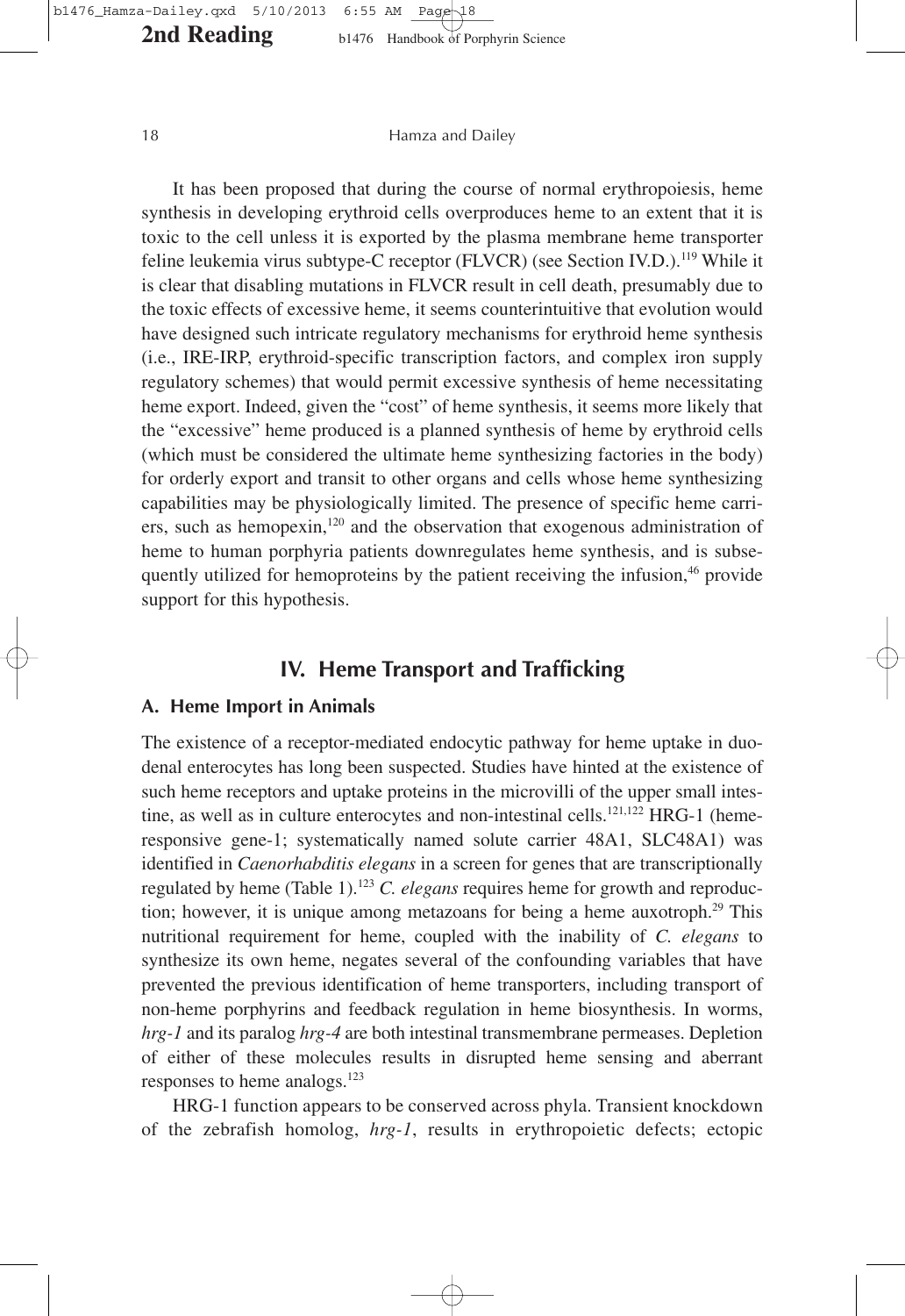b1476 Handbook of Porphyrin Science

#### 18 **Hamza** and Dailey

It has been proposed that during the course of normal erythropoiesis, heme synthesis in developing erythroid cells overproduces heme to an extent that it is toxic to the cell unless it is exported by the plasma membrane heme transporter feline leukemia virus subtype-C receptor (FLVCR) (see Section IV.D.).<sup>119</sup> While it is clear that disabling mutations in FLVCR result in cell death, presumably due to the toxic effects of excessive heme, it seems counterintuitive that evolution would have designed such intricate regulatory mechanisms for erythroid heme synthesis (i.e., IRE-IRP, erythroid-specific transcription factors, and complex iron supply regulatory schemes) that would permit excessive synthesis of heme necessitating heme export. Indeed, given the "cost" of heme synthesis, it seems more likely that the "excessive" heme produced is a planned synthesis of heme by erythroid cells (which must be considered the ultimate heme synthesizing factories in the body) for orderly export and transit to other organs and cells whose heme synthesizing capabilities may be physiologically limited. The presence of specific heme carriers, such as hemopexin,<sup>120</sup> and the observation that exogenous administration of heme to human porphyria patients downregulates heme synthesis, and is subsequently utilized for hemoproteins by the patient receiving the infusion, $46$  provide support for this hypothesis.

# **IV. Heme Transport and Trafficking**

### **A. Heme Import in Animals**

The existence of a receptor-mediated endocytic pathway for heme uptake in duodenal enterocytes has long been suspected. Studies have hinted at the existence of such heme receptors and uptake proteins in the microvilli of the upper small intestine, as well as in culture enterocytes and non-intestinal cells.<sup>121,122</sup> HRG-1 (hemeresponsive gene-1; systematically named solute carrier 48A1, SLC48A1) was identified in *Caenorhabditis elegans* in a screen for genes that are transcriptionally regulated by heme (Table 1).123 *C. elegans* requires heme for growth and reproduction; however, it is unique among metazoans for being a heme auxotroph.<sup>29</sup> This nutritional requirement for heme, coupled with the inability of *C. elegans* to synthesize its own heme, negates several of the confounding variables that have prevented the previous identification of heme transporters, including transport of non-heme porphyrins and feedback regulation in heme biosynthesis. In worms, *hrg-1* and its paralog *hrg-4* are both intestinal transmembrane permeases. Depletion of either of these molecules results in disrupted heme sensing and aberrant responses to heme analogs.123

HRG-1 function appears to be conserved across phyla. Transient knockdown of the zebrafish homolog, *hrg-1*, results in erythropoietic defects; ectopic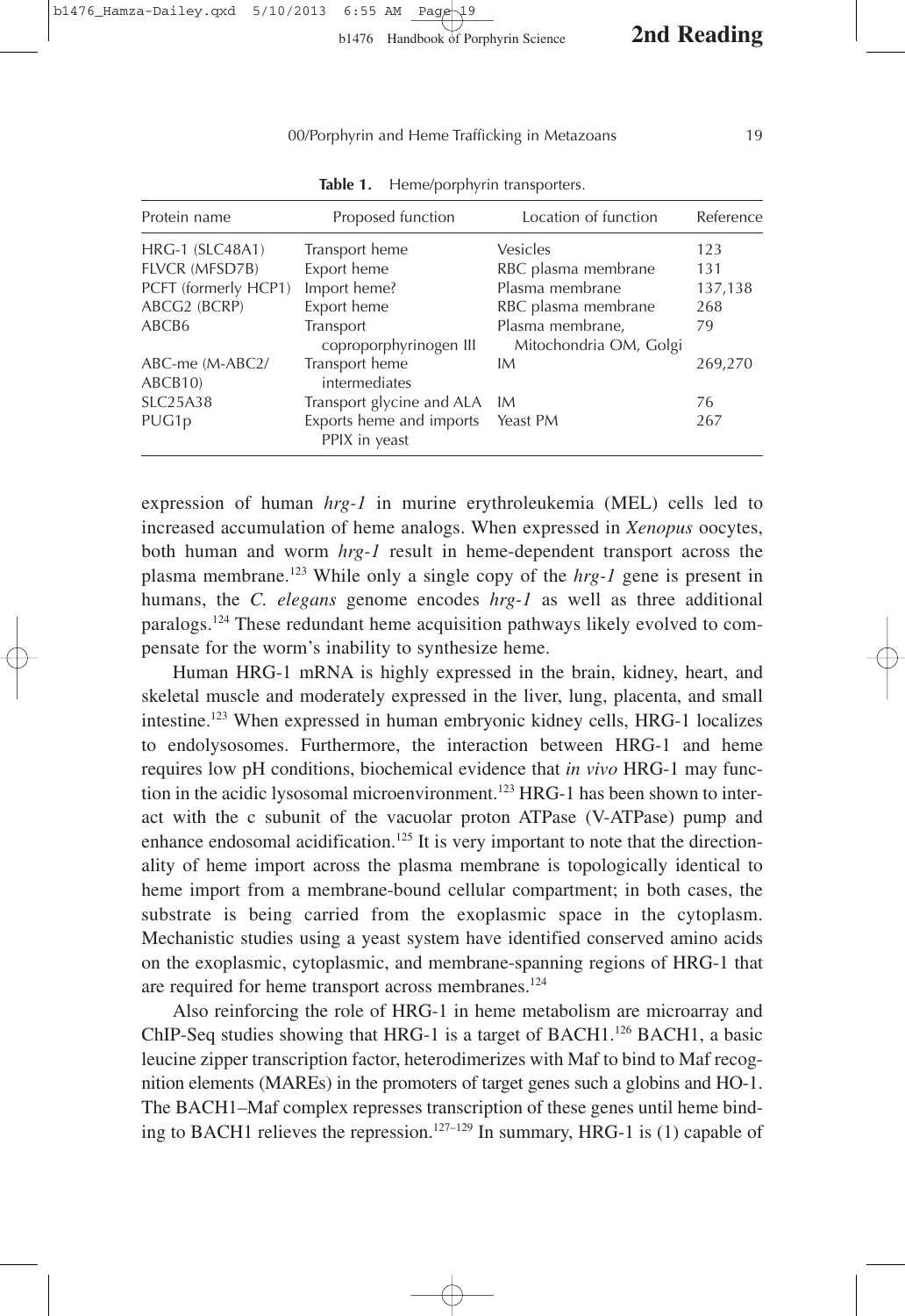# **2nd Reading**

#### 00/Porphyrin and Heme Trafficking in Metazoans 19

Table 1. Heme/porphyrin transporters.

| Protein name               | Proposed function                         | Location of function                       | Reference |
|----------------------------|-------------------------------------------|--------------------------------------------|-----------|
| HRG-1 (SLC48A1)            | Transport heme                            | Vesicles                                   | 123       |
| FLVCR (MFSD7B)             | Export heme                               | RBC plasma membrane                        | 131       |
| PCFT (formerly HCP1)       | Import heme?                              | Plasma membrane                            | 137,138   |
| ABCG2 (BCRP)               | Export heme                               | RBC plasma membrane                        | 268       |
| ABCB6                      | Transport<br>coproporphyrinogen III       | Plasma membrane,<br>Mitochondria OM, Golgi | 79        |
| ABC-me (M-ABC2/<br>ABCB10) | Transport heme<br>intermediates           | ΙM                                         | 269,270   |
| <b>SLC25A38</b>            | Transport glycine and ALA                 | IM.                                        | 76        |
| PUG1p                      | Exports heme and imports<br>PPIX in yeast | Yeast PM                                   | 267       |

expression of human *hrg-1* in murine erythroleukemia (MEL) cells led to increased accumulation of heme analogs. When expressed in *Xenopus* oocytes, both human and worm *hrg-1* result in heme-dependent transport across the plasma membrane.123 While only a single copy of the *hrg-1* gene is present in humans, the *C. elegans* genome encodes *hrg-1* as well as three additional paralogs.124 These redundant heme acquisition pathways likely evolved to compensate for the worm's inability to synthesize heme.

Human HRG-1 mRNA is highly expressed in the brain, kidney, heart, and skeletal muscle and moderately expressed in the liver, lung, placenta, and small intestine.123 When expressed in human embryonic kidney cells, HRG-1 localizes to endolysosomes. Furthermore, the interaction between HRG-1 and heme requires low pH conditions, biochemical evidence that *in vivo* HRG-1 may function in the acidic lysosomal microenvironment.<sup>123</sup> HRG-1 has been shown to interact with the c subunit of the vacuolar proton ATPase (V-ATPase) pump and enhance endosomal acidification.<sup>125</sup> It is very important to note that the directionality of heme import across the plasma membrane is topologically identical to heme import from a membrane-bound cellular compartment; in both cases, the substrate is being carried from the exoplasmic space in the cytoplasm. Mechanistic studies using a yeast system have identified conserved amino acids on the exoplasmic, cytoplasmic, and membrane-spanning regions of HRG-1 that are required for heme transport across membranes.<sup>124</sup>

Also reinforcing the role of HRG-1 in heme metabolism are microarray and ChIP-Seq studies showing that HRG-1 is a target of BACH1.<sup>126</sup> BACH1, a basic leucine zipper transcription factor, heterodimerizes with Maf to bind to Maf recognition elements (MAREs) in the promoters of target genes such a globins and HO-1. The BACH1–Maf complex represses transcription of these genes until heme binding to BACH1 relieves the repression.<sup>127-129</sup> In summary, HRG-1 is (1) capable of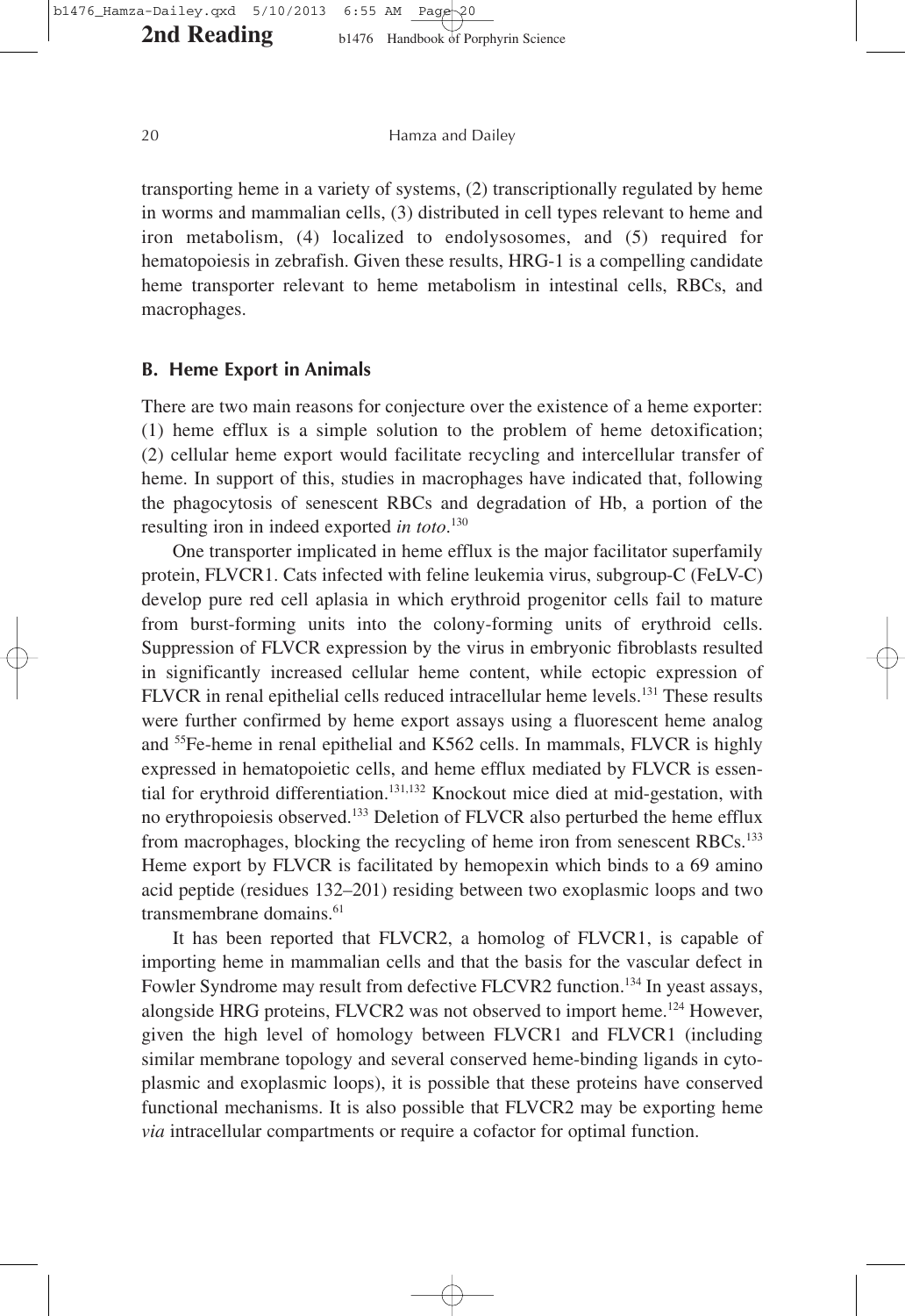b1476 Handbook of Porphyrin Science

#### 20 **Hamza** and Dailey

transporting heme in a variety of systems, (2) transcriptionally regulated by heme in worms and mammalian cells, (3) distributed in cell types relevant to heme and iron metabolism, (4) localized to endolysosomes, and (5) required for hematopoiesis in zebrafish. Given these results, HRG-1 is a compelling candidate heme transporter relevant to heme metabolism in intestinal cells, RBCs, and macrophages.

#### **B. Heme Export in Animals**

There are two main reasons for conjecture over the existence of a heme exporter: (1) heme efflux is a simple solution to the problem of heme detoxification; (2) cellular heme export would facilitate recycling and intercellular transfer of heme. In support of this, studies in macrophages have indicated that, following the phagocytosis of senescent RBCs and degradation of Hb, a portion of the resulting iron in indeed exported *in toto*. 130

One transporter implicated in heme efflux is the major facilitator superfamily protein, FLVCR1. Cats infected with feline leukemia virus, subgroup-C (FeLV-C) develop pure red cell aplasia in which erythroid progenitor cells fail to mature from burst-forming units into the colony-forming units of erythroid cells. Suppression of FLVCR expression by the virus in embryonic fibroblasts resulted in significantly increased cellular heme content, while ectopic expression of FLVCR in renal epithelial cells reduced intracellular heme levels.<sup>131</sup> These results were further confirmed by heme export assays using a fluorescent heme analog and 55Fe-heme in renal epithelial and K562 cells. In mammals, FLVCR is highly expressed in hematopoietic cells, and heme efflux mediated by FLVCR is essential for erythroid differentiation.<sup>131,132</sup> Knockout mice died at mid-gestation, with no erythropoiesis observed.133 Deletion of FLVCR also perturbed the heme efflux from macrophages, blocking the recycling of heme iron from senescent RBCs.<sup>133</sup> Heme export by FLVCR is facilitated by hemopexin which binds to a 69 amino acid peptide (residues 132–201) residing between two exoplasmic loops and two transmembrane domains.<sup>61</sup>

It has been reported that FLVCR2, a homolog of FLVCR1, is capable of importing heme in mammalian cells and that the basis for the vascular defect in Fowler Syndrome may result from defective FLCVR2 function.<sup>134</sup> In yeast assays, alongside HRG proteins, FLVCR2 was not observed to import heme.<sup>124</sup> However, given the high level of homology between FLVCR1 and FLVCR1 (including similar membrane topology and several conserved heme-binding ligands in cytoplasmic and exoplasmic loops), it is possible that these proteins have conserved functional mechanisms. It is also possible that FLVCR2 may be exporting heme *via* intracellular compartments or require a cofactor for optimal function.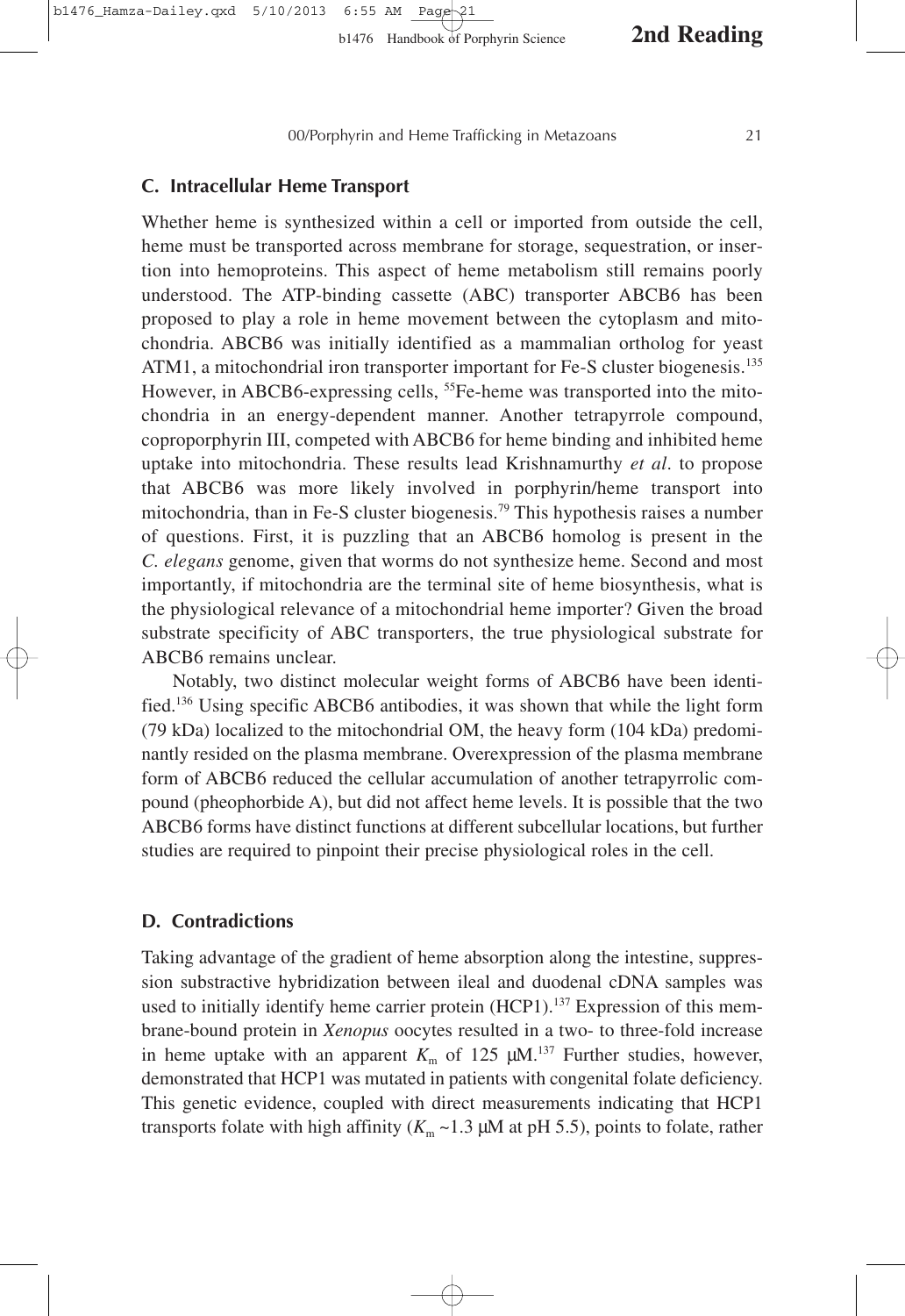00/Porphyrin and Heme Trafficking in Metazoans 21

### **C. Intracellular Heme Transport**

b1476\_Hamza-Dailey.qxd 5/10/2013 6:55

Whether heme is synthesized within a cell or imported from outside the cell, heme must be transported across membrane for storage, sequestration, or insertion into hemoproteins. This aspect of heme metabolism still remains poorly understood. The ATP-binding cassette (ABC) transporter ABCB6 has been proposed to play a role in heme movement between the cytoplasm and mitochondria. ABCB6 was initially identified as a mammalian ortholog for yeast ATM1, a mitochondrial iron transporter important for Fe-S cluster biogenesis.<sup>135</sup> However, in ABCB6-expressing cells, <sup>55</sup>Fe-heme was transported into the mitochondria in an energy-dependent manner. Another tetrapyrrole compound, coproporphyrin III, competed with ABCB6 for heme binding and inhibited heme uptake into mitochondria. These results lead Krishnamurthy *et al*. to propose that ABCB6 was more likely involved in porphyrin/heme transport into mitochondria, than in Fe-S cluster biogenesis.79 This hypothesis raises a number of questions. First, it is puzzling that an ABCB6 homolog is present in the *C. elegans* genome, given that worms do not synthesize heme. Second and most importantly, if mitochondria are the terminal site of heme biosynthesis, what is the physiological relevance of a mitochondrial heme importer? Given the broad substrate specificity of ABC transporters, the true physiological substrate for ABCB6 remains unclear.

Notably, two distinct molecular weight forms of ABCB6 have been identified.136 Using specific ABCB6 antibodies, it was shown that while the light form (79 kDa) localized to the mitochondrial OM, the heavy form (104 kDa) predominantly resided on the plasma membrane. Overexpression of the plasma membrane form of ABCB6 reduced the cellular accumulation of another tetrapyrrolic compound (pheophorbide A), but did not affect heme levels. It is possible that the two ABCB6 forms have distinct functions at different subcellular locations, but further studies are required to pinpoint their precise physiological roles in the cell.

### **D. Contradictions**

Taking advantage of the gradient of heme absorption along the intestine, suppression substractive hybridization between ileal and duodenal cDNA samples was used to initially identify heme carrier protein (HCP1).<sup>137</sup> Expression of this membrane-bound protein in *Xenopus* oocytes resulted in a two- to three-fold increase in heme uptake with an apparent  $K_m$  of 125  $\mu$ M.<sup>137</sup> Further studies, however, demonstrated that HCP1 was mutated in patients with congenital folate deficiency. This genetic evidence, coupled with direct measurements indicating that HCP1 transports folate with high affinity  $(K_m \sim 1.3 \mu M)$  at pH 5.5), points to folate, rather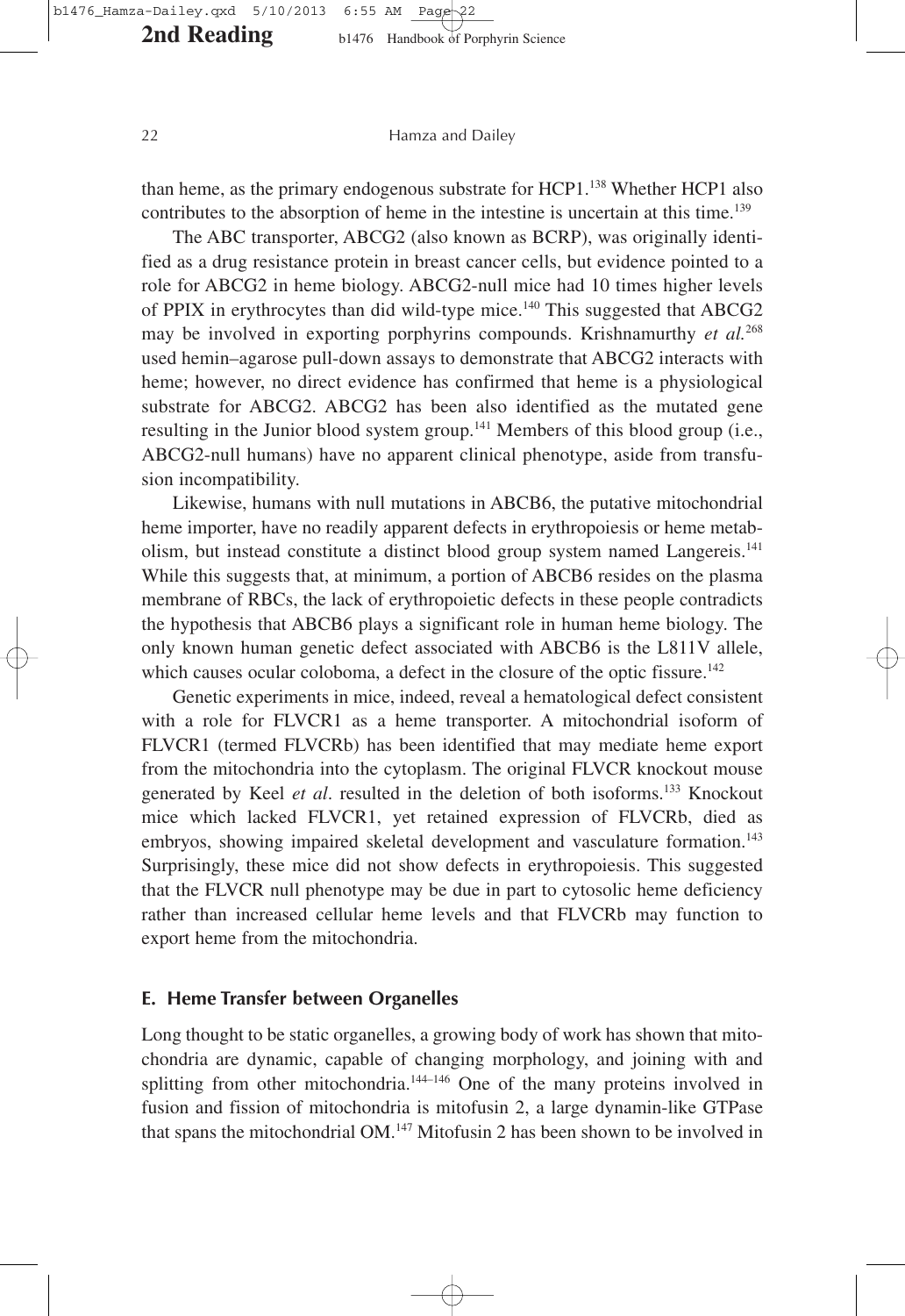b1476 Handbook of Porphyrin Science

#### 22 **Hamza** and Dailey

than heme, as the primary endogenous substrate for HCP1.<sup>138</sup> Whether HCP1 also contributes to the absorption of heme in the intestine is uncertain at this time.<sup>139</sup>

The ABC transporter, ABCG2 (also known as BCRP), was originally identified as a drug resistance protein in breast cancer cells, but evidence pointed to a role for ABCG2 in heme biology. ABCG2-null mice had 10 times higher levels of PPIX in erythrocytes than did wild-type mice.<sup>140</sup> This suggested that ABCG2 may be involved in exporting porphyrins compounds. Krishnamurthy *et al.*<sup>268</sup> used hemin–agarose pull-down assays to demonstrate that ABCG2 interacts with heme; however, no direct evidence has confirmed that heme is a physiological substrate for ABCG2. ABCG2 has been also identified as the mutated gene resulting in the Junior blood system group.<sup>141</sup> Members of this blood group (i.e., ABCG2-null humans) have no apparent clinical phenotype, aside from transfusion incompatibility.

Likewise, humans with null mutations in ABCB6, the putative mitochondrial heme importer, have no readily apparent defects in erythropoiesis or heme metabolism, but instead constitute a distinct blood group system named Langereis.<sup>141</sup> While this suggests that, at minimum, a portion of ABCB6 resides on the plasma membrane of RBCs, the lack of erythropoietic defects in these people contradicts the hypothesis that ABCB6 plays a significant role in human heme biology. The only known human genetic defect associated with ABCB6 is the L811V allele, which causes ocular coloboma, a defect in the closure of the optic fissure.<sup>142</sup>

Genetic experiments in mice, indeed, reveal a hematological defect consistent with a role for FLVCR1 as a heme transporter. A mitochondrial isoform of FLVCR1 (termed FLVCRb) has been identified that may mediate heme export from the mitochondria into the cytoplasm. The original FLVCR knockout mouse generated by Keel *et al.* resulted in the deletion of both isoforms.<sup>133</sup> Knockout mice which lacked FLVCR1, yet retained expression of FLVCRb, died as embryos, showing impaired skeletal development and vasculature formation.<sup>143</sup> Surprisingly, these mice did not show defects in erythropoiesis. This suggested that the FLVCR null phenotype may be due in part to cytosolic heme deficiency rather than increased cellular heme levels and that FLVCRb may function to export heme from the mitochondria.

### **E. Heme Transfer between Organelles**

Long thought to be static organelles, a growing body of work has shown that mitochondria are dynamic, capable of changing morphology, and joining with and splitting from other mitochondria.<sup>144-146</sup> One of the many proteins involved in fusion and fission of mitochondria is mitofusin 2, a large dynamin-like GTPase that spans the mitochondrial OM.<sup>147</sup> Mitofusin 2 has been shown to be involved in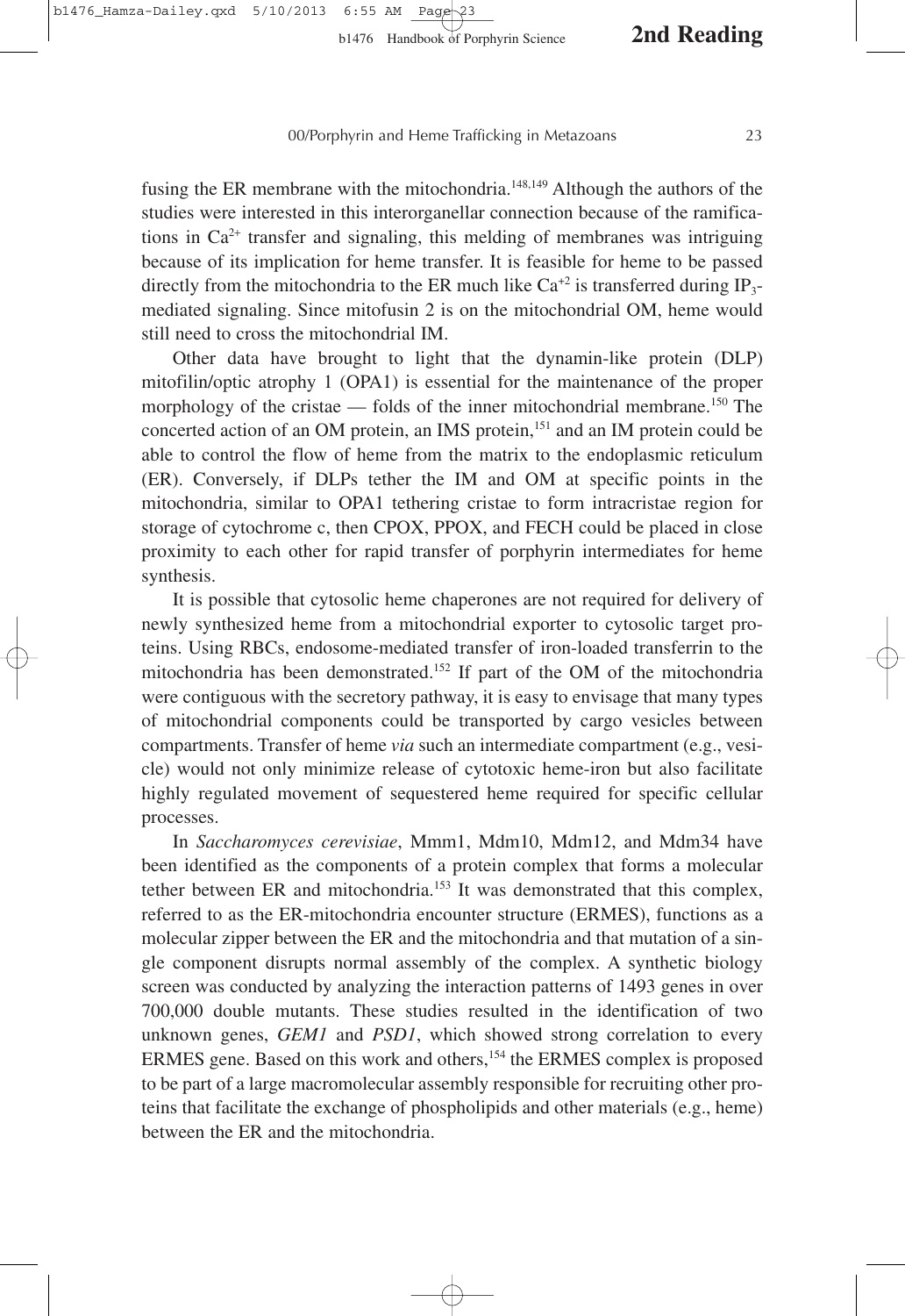#### 00/Porphyrin and Heme Trafficking in Metazoans 23

b1476 Handbook of Porphyrin Science

fusing the ER membrane with the mitochondria.<sup>148,149</sup> Although the authors of the studies were interested in this interorganellar connection because of the ramifications in  $Ca^{2+}$  transfer and signaling, this melding of membranes was intriguing because of its implication for heme transfer. It is feasible for heme to be passed directly from the mitochondria to the ER much like  $Ca^{+2}$  is transferred during IP<sub>3</sub>mediated signaling. Since mitofusin 2 is on the mitochondrial OM, heme would still need to cross the mitochondrial IM.

Other data have brought to light that the dynamin-like protein (DLP) mitofilin/optic atrophy 1 (OPA1) is essential for the maintenance of the proper morphology of the cristae — folds of the inner mitochondrial membrane.<sup>150</sup> The concerted action of an OM protein, an IMS protein,<sup>151</sup> and an IM protein could be able to control the flow of heme from the matrix to the endoplasmic reticulum (ER). Conversely, if DLPs tether the IM and OM at specific points in the mitochondria, similar to OPA1 tethering cristae to form intracristae region for storage of cytochrome c, then CPOX, PPOX, and FECH could be placed in close proximity to each other for rapid transfer of porphyrin intermediates for heme synthesis.

It is possible that cytosolic heme chaperones are not required for delivery of newly synthesized heme from a mitochondrial exporter to cytosolic target proteins. Using RBCs, endosome-mediated transfer of iron-loaded transferrin to the mitochondria has been demonstrated.152 If part of the OM of the mitochondria were contiguous with the secretory pathway, it is easy to envisage that many types of mitochondrial components could be transported by cargo vesicles between compartments. Transfer of heme *via* such an intermediate compartment (e.g., vesicle) would not only minimize release of cytotoxic heme-iron but also facilitate highly regulated movement of sequestered heme required for specific cellular processes.

In *Saccharomyces cerevisiae*, Mmm1, Mdm10, Mdm12, and Mdm34 have been identified as the components of a protein complex that forms a molecular tether between ER and mitochondria.<sup>153</sup> It was demonstrated that this complex, referred to as the ER-mitochondria encounter structure (ERMES), functions as a molecular zipper between the ER and the mitochondria and that mutation of a single component disrupts normal assembly of the complex. A synthetic biology screen was conducted by analyzing the interaction patterns of 1493 genes in over 700,000 double mutants. These studies resulted in the identification of two unknown genes, *GEM1* and *PSD1*, which showed strong correlation to every ERMES gene. Based on this work and others,<sup>154</sup> the ERMES complex is proposed to be part of a large macromolecular assembly responsible for recruiting other proteins that facilitate the exchange of phospholipids and other materials (e.g., heme) between the ER and the mitochondria.

**2nd Reading**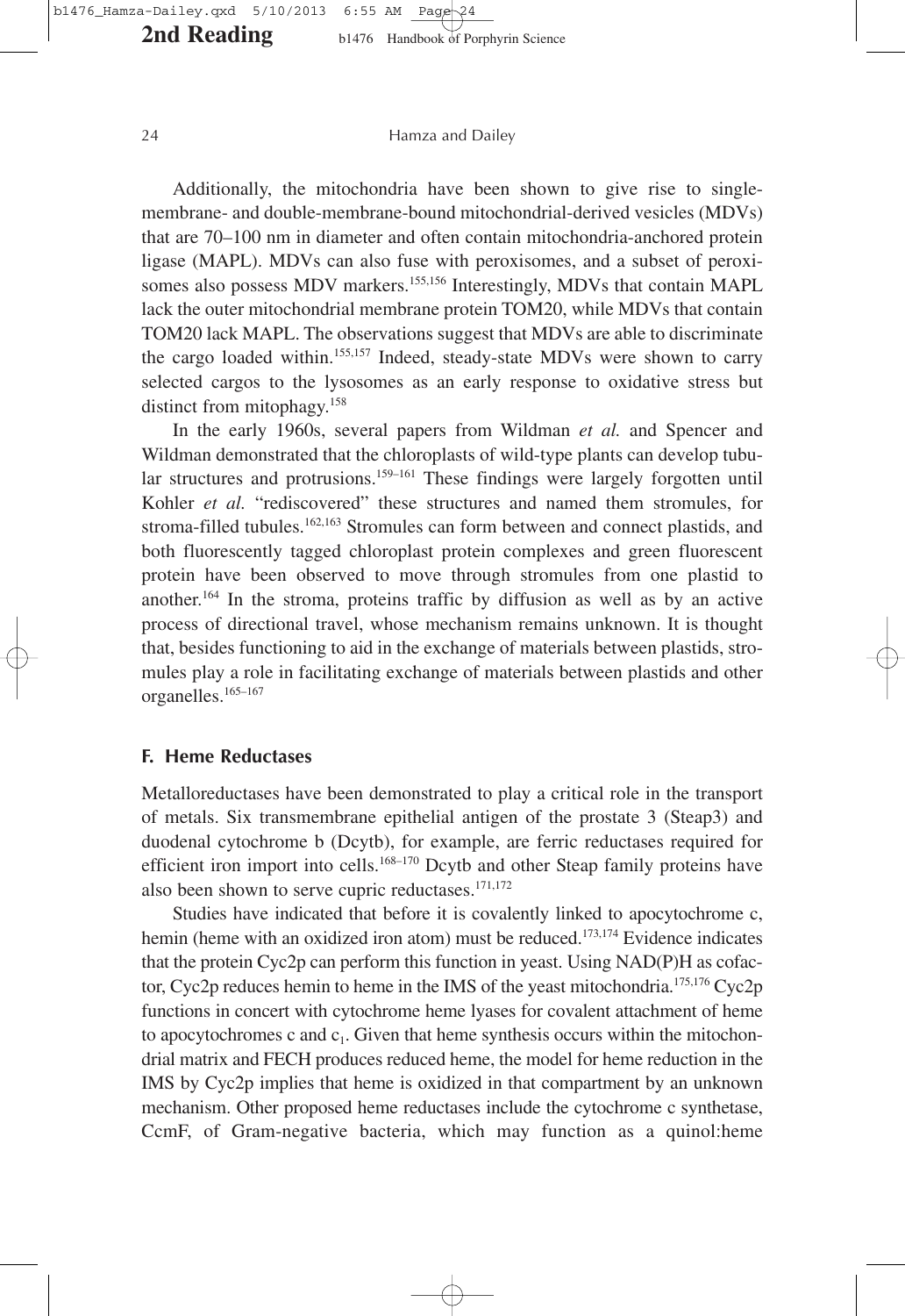b1476 Handbook of Porphyrin Science

#### 24 **Hamza** and Dailey

Additionally, the mitochondria have been shown to give rise to singlemembrane- and double-membrane-bound mitochondrial-derived vesicles (MDVs) that are 70–100 nm in diameter and often contain mitochondria-anchored protein ligase (MAPL). MDVs can also fuse with peroxisomes, and a subset of peroxisomes also possess MDV markers.<sup>155,156</sup> Interestingly, MDVs that contain MAPL lack the outer mitochondrial membrane protein TOM20, while MDVs that contain TOM20 lack MAPL. The observations suggest that MDVs are able to discriminate the cargo loaded within.<sup>155,157</sup> Indeed, steady-state MDVs were shown to carry selected cargos to the lysosomes as an early response to oxidative stress but distinct from mitophagy.<sup>158</sup>

In the early 1960s, several papers from Wildman *et al.* and Spencer and Wildman demonstrated that the chloroplasts of wild-type plants can develop tubular structures and protrusions.<sup>159–161</sup> These findings were largely forgotten until Kohler *et al.* "rediscovered" these structures and named them stromules, for stroma-filled tubules.<sup>162,163</sup> Stromules can form between and connect plastids, and both fluorescently tagged chloroplast protein complexes and green fluorescent protein have been observed to move through stromules from one plastid to another.164 In the stroma, proteins traffic by diffusion as well as by an active process of directional travel, whose mechanism remains unknown. It is thought that, besides functioning to aid in the exchange of materials between plastids, stromules play a role in facilitating exchange of materials between plastids and other organelles.165–167

#### **F. Heme Reductases**

Metalloreductases have been demonstrated to play a critical role in the transport of metals. Six transmembrane epithelial antigen of the prostate 3 (Steap3) and duodenal cytochrome b (Dcytb), for example, are ferric reductases required for efficient iron import into cells. $168-170$  Dcytb and other Steap family proteins have also been shown to serve cupric reductases.<sup>171,172</sup>

Studies have indicated that before it is covalently linked to apocytochrome c, hemin (heme with an oxidized iron atom) must be reduced.<sup>173,174</sup> Evidence indicates that the protein Cyc2p can perform this function in yeast. Using NAD(P)H as cofactor, Cyc2p reduces hemin to heme in the IMS of the yeast mitochondria.<sup>175,176</sup> Cyc2p functions in concert with cytochrome heme lyases for covalent attachment of heme to apocytochromes c and  $c_1$ . Given that heme synthesis occurs within the mitochondrial matrix and FECH produces reduced heme, the model for heme reduction in the IMS by Cyc2p implies that heme is oxidized in that compartment by an unknown mechanism. Other proposed heme reductases include the cytochrome c synthetase, CcmF, of Gram-negative bacteria, which may function as a quinol:heme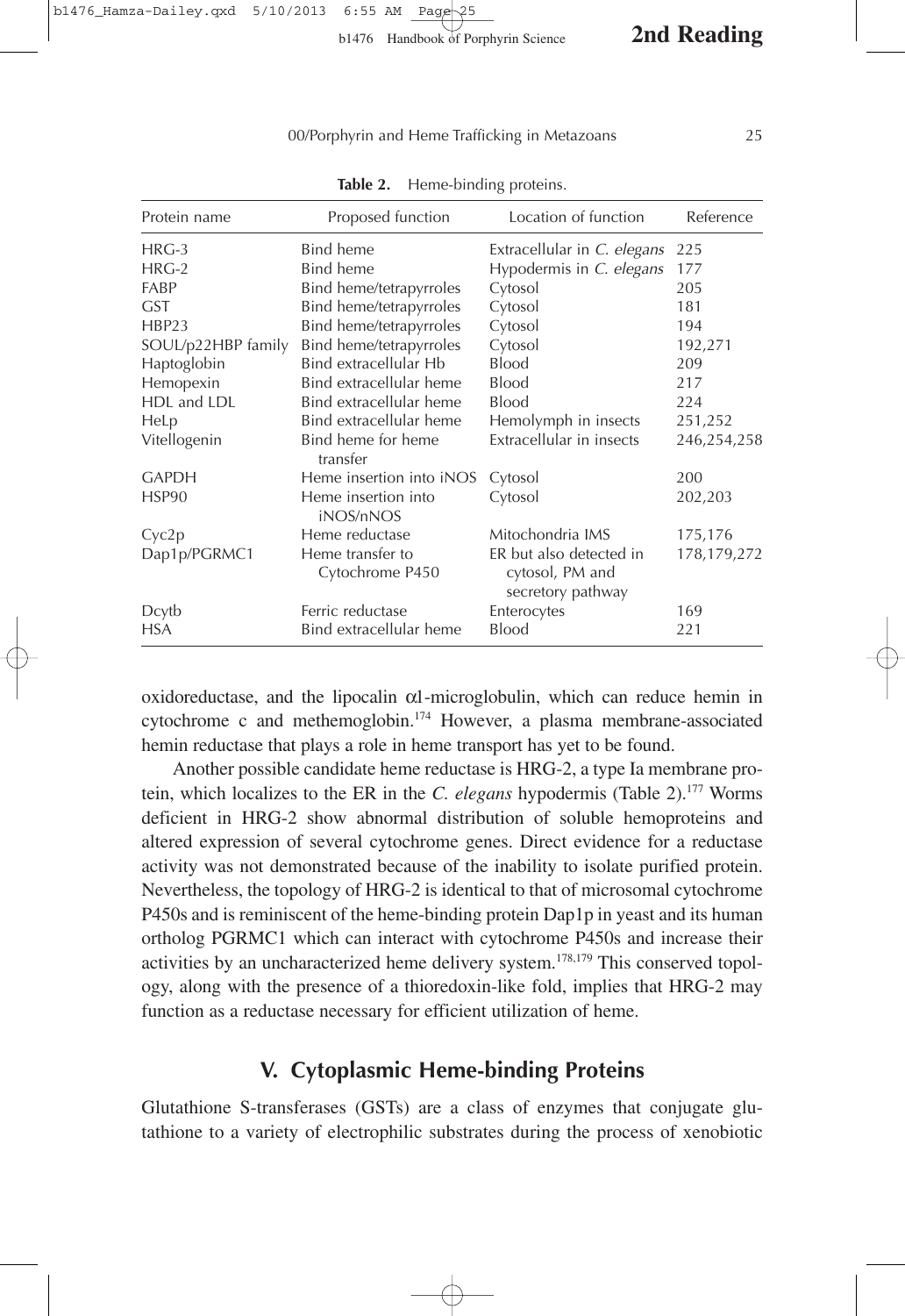# **2nd Reading**

#### 00/Porphyrin and Heme Trafficking in Metazoans 25

| Protein name       | Proposed function                   | Location of function                                            | Reference   |
|--------------------|-------------------------------------|-----------------------------------------------------------------|-------------|
| HRG-3              | <b>Bind heme</b>                    | Extracellular in C. elegans                                     | 225         |
| $HRG-2$            | <b>Bind heme</b>                    | Hypodermis in C. elegans                                        | 177         |
| FABP               | Bind heme/tetrapyrroles             | Cytosol                                                         | 205         |
| <b>GST</b>         | Bind heme/tetrapyrroles             | Cytosol                                                         | 181         |
| HBP23              | Bind heme/tetrapyrroles             | Cytosol                                                         | 194         |
| SOUL/p22HBP family | Bind heme/tetrapyrroles             | Cytosol                                                         | 192,271     |
| Haptoglobin        | Bind extracellular Hb               | Blood                                                           | 209         |
| Hemopexin          | Bind extracellular heme             | <b>Blood</b>                                                    | 217         |
| HDL and LDL        | Bind extracellular heme             | <b>Blood</b>                                                    | 224         |
| HeLp               | Bind extracellular heme             | Hemolymph in insects                                            | 251,252     |
| Vitellogenin       | Bind heme for heme<br>transfer      | Extracellular in insects                                        | 246,254,258 |
| <b>GAPDH</b>       | Heme insertion into iNOS            | Cytosol                                                         | 200         |
| HSP90              | Heme insertion into<br>iNOS/nNOS    | Cytosol                                                         | 202,203     |
| Cyc <sub>2</sub> p | Heme reductase                      | Mitochondria IMS                                                | 175,176     |
| Dap1p/PGRMC1       | Heme transfer to<br>Cytochrome P450 | ER but also detected in<br>cytosol, PM and<br>secretory pathway | 178,179,272 |
| Dcytb              | Ferric reductase                    | Enterocytes                                                     | 169         |
| HSA                | Bind extracellular heme             | <b>Blood</b>                                                    | 221         |
|                    |                                     |                                                                 |             |

**Table 2.** Heme-binding proteins.

oxidoreductase, and the lipocalin α1-microglobulin, which can reduce hemin in cytochrome c and methemoglobin.174 However, a plasma membrane-associated hemin reductase that plays a role in heme transport has yet to be found.

Another possible candidate heme reductase is HRG-2, a type Ia membrane protein, which localizes to the ER in the *C. elegans* hypodermis (Table 2).177 Worms deficient in HRG-2 show abnormal distribution of soluble hemoproteins and altered expression of several cytochrome genes. Direct evidence for a reductase activity was not demonstrated because of the inability to isolate purified protein. Nevertheless, the topology of HRG-2 is identical to that of microsomal cytochrome P450s and is reminiscent of the heme-binding protein Dap1p in yeast and its human ortholog PGRMC1 which can interact with cytochrome P450s and increase their activities by an uncharacterized heme delivery system.<sup>178,179</sup> This conserved topology, along with the presence of a thioredoxin-like fold, implies that HRG-2 may function as a reductase necessary for efficient utilization of heme.

# **V. Cytoplasmic Heme-binding Proteins**

Glutathione S-transferases (GSTs) are a class of enzymes that conjugate glutathione to a variety of electrophilic substrates during the process of xenobiotic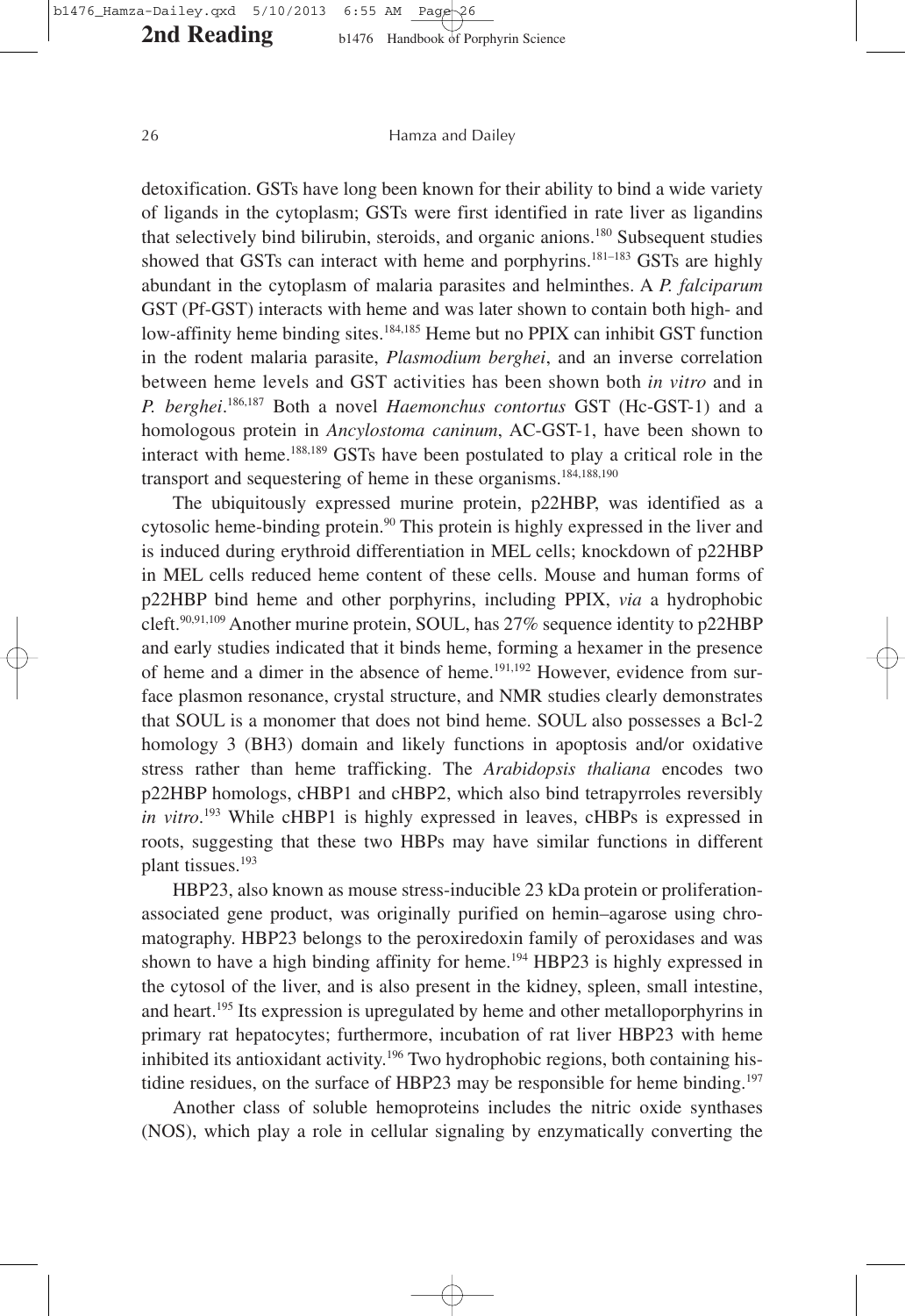b1476 Handbook of Porphyrin Science

#### 26 **Hamza** and Dailey

detoxification. GSTs have long been known for their ability to bind a wide variety of ligands in the cytoplasm; GSTs were first identified in rate liver as ligandins that selectively bind bilirubin, steroids, and organic anions.180 Subsequent studies showed that GSTs can interact with heme and porphyrins.<sup>181–183</sup> GSTs are highly abundant in the cytoplasm of malaria parasites and helminthes. A *P. falciparum* GST (Pf-GST) interacts with heme and was later shown to contain both high- and low-affinity heme binding sites.<sup>184,185</sup> Heme but no PPIX can inhibit GST function in the rodent malaria parasite, *Plasmodium berghei*, and an inverse correlation between heme levels and GST activities has been shown both *in vitro* and in *P. berghei*. 186,187 Both a novel *Haemonchus contortus* GST (Hc-GST-1) and a homologous protein in *Ancylostoma caninum*, AC-GST-1, have been shown to interact with heme.188,189 GSTs have been postulated to play a critical role in the transport and sequestering of heme in these organisms.<sup>184,188,190</sup>

The ubiquitously expressed murine protein, p22HBP, was identified as a cytosolic heme-binding protein.<sup>90</sup> This protein is highly expressed in the liver and is induced during erythroid differentiation in MEL cells; knockdown of p22HBP in MEL cells reduced heme content of these cells. Mouse and human forms of p22HBP bind heme and other porphyrins, including PPIX, *via* a hydrophobic cleft.<sup>90,91,109</sup> Another murine protein, SOUL, has 27% sequence identity to p22HBP and early studies indicated that it binds heme, forming a hexamer in the presence of heme and a dimer in the absence of heme.<sup>191,192</sup> However, evidence from surface plasmon resonance, crystal structure, and NMR studies clearly demonstrates that SOUL is a monomer that does not bind heme. SOUL also possesses a Bcl-2 homology 3 (BH3) domain and likely functions in apoptosis and/or oxidative stress rather than heme trafficking. The *Arabidopsis thaliana* encodes two p22HBP homologs, cHBP1 and cHBP2, which also bind tetrapyrroles reversibly *in vitro*. <sup>193</sup> While cHBP1 is highly expressed in leaves, cHBPs is expressed in roots, suggesting that these two HBPs may have similar functions in different plant tissues.193

HBP23, also known as mouse stress-inducible 23 kDa protein or proliferationassociated gene product, was originally purified on hemin–agarose using chromatography. HBP23 belongs to the peroxiredoxin family of peroxidases and was shown to have a high binding affinity for heme.<sup>194</sup> HBP23 is highly expressed in the cytosol of the liver, and is also present in the kidney, spleen, small intestine, and heart.<sup>195</sup> Its expression is upregulated by heme and other metalloporphyrins in primary rat hepatocytes; furthermore, incubation of rat liver HBP23 with heme inhibited its antioxidant activity.<sup>196</sup> Two hydrophobic regions, both containing histidine residues, on the surface of HBP23 may be responsible for heme binding.<sup>197</sup>

Another class of soluble hemoproteins includes the nitric oxide synthases (NOS), which play a role in cellular signaling by enzymatically converting the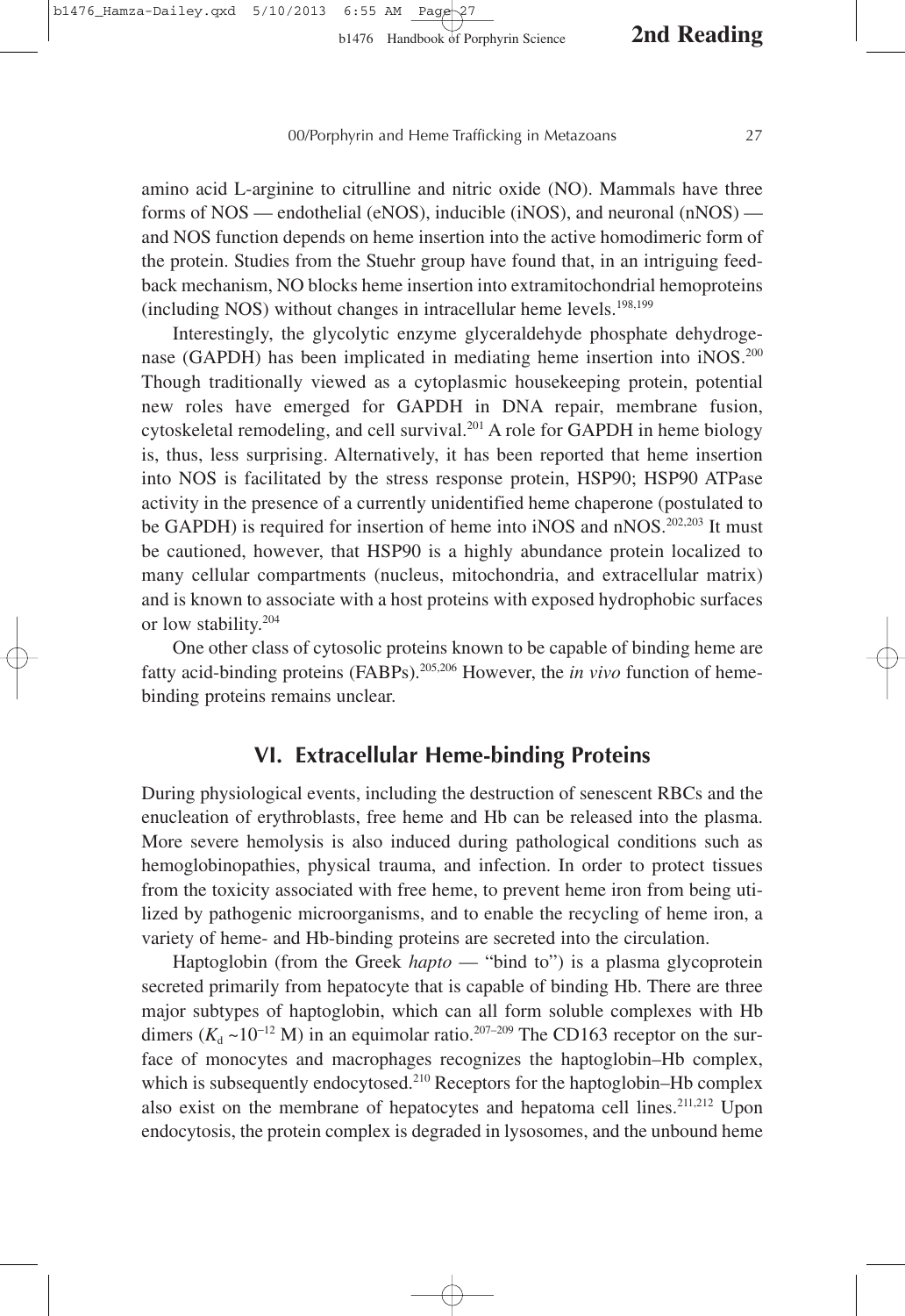# **2nd Reading**

#### 00/Porphyrin and Heme Trafficking in Metazoans 27

amino acid L-arginine to citrulline and nitric oxide (NO). Mammals have three forms of NOS — endothelial (eNOS), inducible (iNOS), and neuronal (nNOS) and NOS function depends on heme insertion into the active homodimeric form of the protein. Studies from the Stuehr group have found that, in an intriguing feedback mechanism, NO blocks heme insertion into extramitochondrial hemoproteins (including NOS) without changes in intracellular heme levels.198,199

Interestingly, the glycolytic enzyme glyceraldehyde phosphate dehydrogenase (GAPDH) has been implicated in mediating heme insertion into iNOS.<sup>200</sup> Though traditionally viewed as a cytoplasmic housekeeping protein, potential new roles have emerged for GAPDH in DNA repair, membrane fusion, cytoskeletal remodeling, and cell survival.<sup>201</sup> A role for GAPDH in heme biology is, thus, less surprising. Alternatively, it has been reported that heme insertion into NOS is facilitated by the stress response protein, HSP90; HSP90 ATPase activity in the presence of a currently unidentified heme chaperone (postulated to be GAPDH) is required for insertion of heme into iNOS and nNOS.<sup>202,203</sup> It must be cautioned, however, that HSP90 is a highly abundance protein localized to many cellular compartments (nucleus, mitochondria, and extracellular matrix) and is known to associate with a host proteins with exposed hydrophobic surfaces or low stability.204

One other class of cytosolic proteins known to be capable of binding heme are fatty acid-binding proteins (FABPs).205,206 However, the *in vivo* function of hemebinding proteins remains unclear.

# **VI. Extracellular Heme-binding Proteins**

During physiological events, including the destruction of senescent RBCs and the enucleation of erythroblasts, free heme and Hb can be released into the plasma. More severe hemolysis is also induced during pathological conditions such as hemoglobinopathies, physical trauma, and infection. In order to protect tissues from the toxicity associated with free heme, to prevent heme iron from being utilized by pathogenic microorganisms, and to enable the recycling of heme iron, a variety of heme- and Hb-binding proteins are secreted into the circulation.

Haptoglobin (from the Greek *hapto* — "bind to") is a plasma glycoprotein secreted primarily from hepatocyte that is capable of binding Hb. There are three major subtypes of haptoglobin, which can all form soluble complexes with Hb dimers ( $K_d \sim 10^{-12}$  M) in an equimolar ratio.<sup>207–209</sup> The CD163 receptor on the surface of monocytes and macrophages recognizes the haptoglobin–Hb complex, which is subsequently endocytosed.<sup>210</sup> Receptors for the haptoglobin–Hb complex also exist on the membrane of hepatocytes and hepatoma cell lines. $211,212$  Upon endocytosis, the protein complex is degraded in lysosomes, and the unbound heme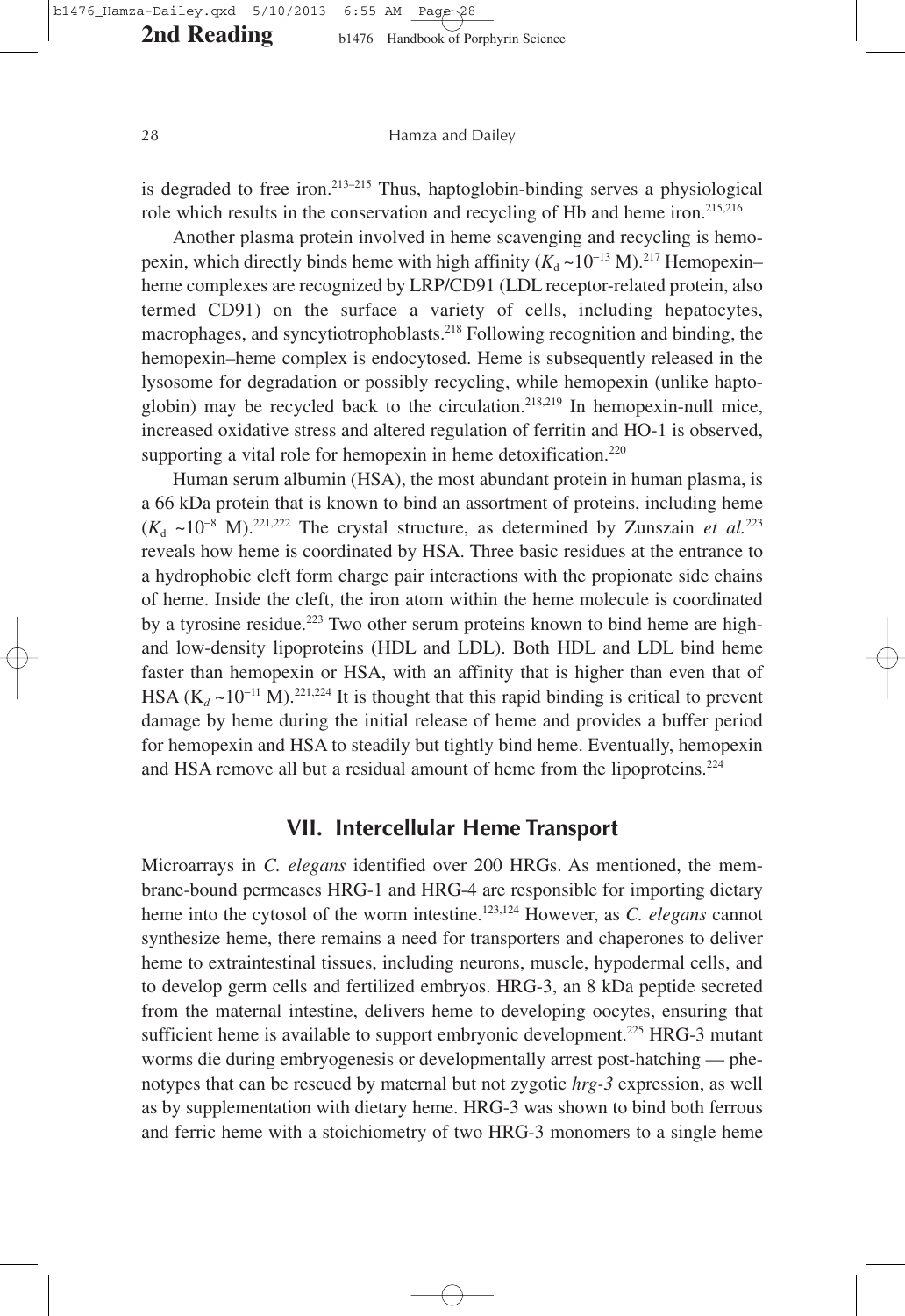b1476 Handbook of Porphyrin Science

28 **Hamza** and Dailey

is degraded to free iron.<sup>213-215</sup> Thus, haptoglobin-binding serves a physiological role which results in the conservation and recycling of Hb and heme iron.<sup>215,216</sup>

Another plasma protein involved in heme scavenging and recycling is hemopexin, which directly binds heme with high affinity  $(K_d \sim 10^{-13} \text{ M})$ .<sup>217</sup> Hemopexin– heme complexes are recognized by LRP/CD91 (LDL receptor-related protein, also termed CD91) on the surface a variety of cells, including hepatocytes, macrophages, and syncytiotrophoblasts.<sup>218</sup> Following recognition and binding, the hemopexin–heme complex is endocytosed. Heme is subsequently released in the lysosome for degradation or possibly recycling, while hemopexin (unlike haptoglobin) may be recycled back to the circulation.<sup>218,219</sup> In hemopexin-null mice, increased oxidative stress and altered regulation of ferritin and HO-1 is observed, supporting a vital role for hemopexin in heme detoxification.<sup>220</sup>

Human serum albumin (HSA), the most abundant protein in human plasma, is a 66 kDa protein that is known to bind an assortment of proteins, including heme  $(K_d \sim 10^{-8}$  M).<sup>221,222</sup> The crystal structure, as determined by Zunszain *et al.*<sup>223</sup> reveals how heme is coordinated by HSA. Three basic residues at the entrance to a hydrophobic cleft form charge pair interactions with the propionate side chains of heme. Inside the cleft, the iron atom within the heme molecule is coordinated by a tyrosine residue.<sup>223</sup> Two other serum proteins known to bind heme are highand low-density lipoproteins (HDL and LDL). Both HDL and LDL bind heme faster than hemopexin or HSA, with an affinity that is higher than even that of HSA ( $K_d \sim 10^{-11}$  M).<sup>221,224</sup> It is thought that this rapid binding is critical to prevent damage by heme during the initial release of heme and provides a buffer period for hemopexin and HSA to steadily but tightly bind heme. Eventually, hemopexin and HSA remove all but a residual amount of heme from the lipoproteins.<sup>224</sup>

# **VII. Intercellular Heme Transport**

Microarrays in *C. elegans* identified over 200 HRGs. As mentioned, the membrane-bound permeases HRG-1 and HRG-4 are responsible for importing dietary heme into the cytosol of the worm intestine.123,124 However, as *C. elegans* cannot synthesize heme, there remains a need for transporters and chaperones to deliver heme to extraintestinal tissues, including neurons, muscle, hypodermal cells, and to develop germ cells and fertilized embryos. HRG-3, an 8 kDa peptide secreted from the maternal intestine, delivers heme to developing oocytes, ensuring that sufficient heme is available to support embryonic development.<sup>225</sup> HRG-3 mutant worms die during embryogenesis or developmentally arrest post-hatching — phenotypes that can be rescued by maternal but not zygotic *hrg-3* expression, as well as by supplementation with dietary heme. HRG-3 was shown to bind both ferrous and ferric heme with a stoichiometry of two HRG-3 monomers to a single heme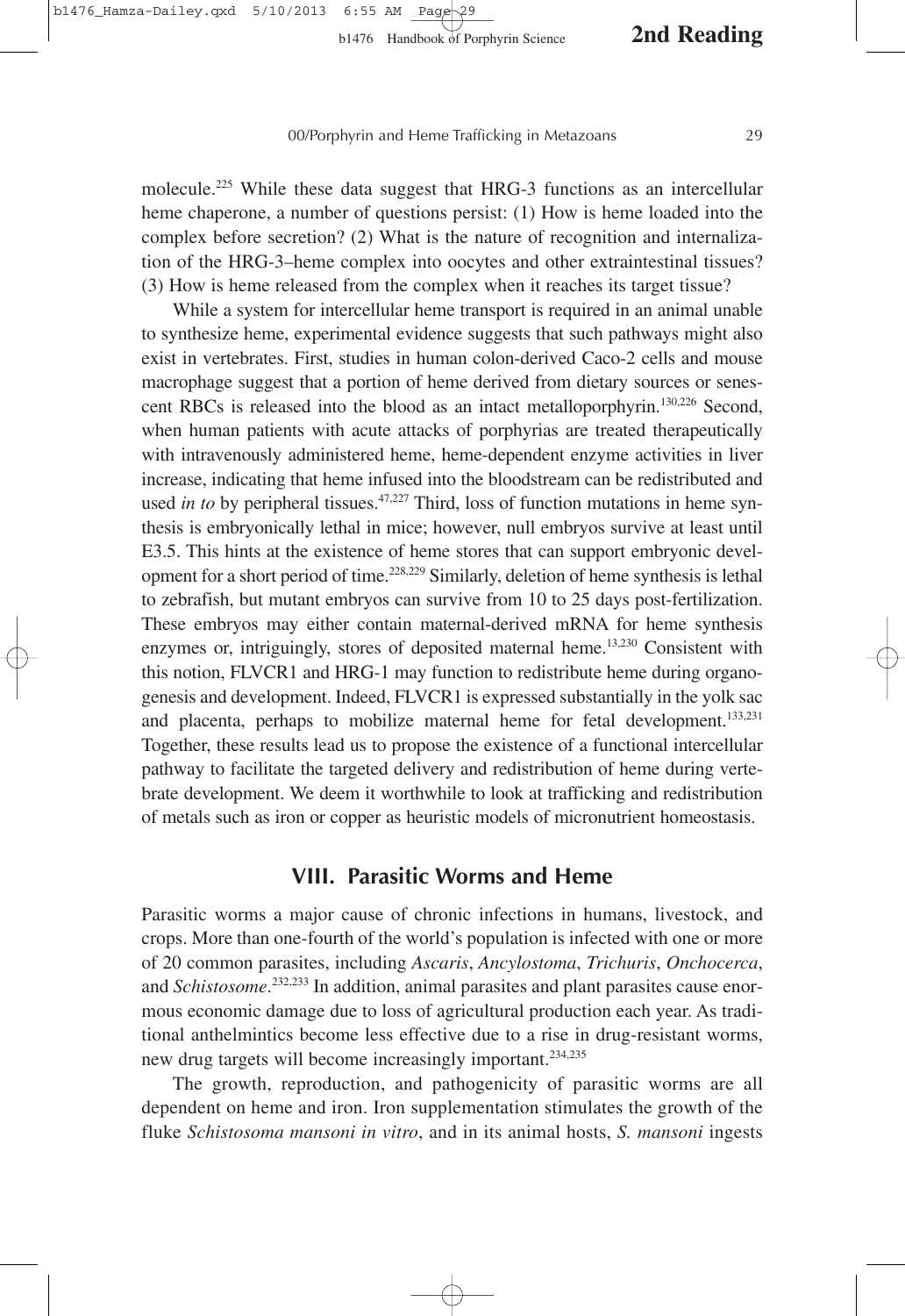# **2nd Reading**

#### 00/Porphyrin and Heme Trafficking in Metazoans 29

molecule.<sup>225</sup> While these data suggest that HRG-3 functions as an intercellular heme chaperone, a number of questions persist: (1) How is heme loaded into the complex before secretion? (2) What is the nature of recognition and internalization of the HRG-3–heme complex into oocytes and other extraintestinal tissues? (3) How is heme released from the complex when it reaches its target tissue?

While a system for intercellular heme transport is required in an animal unable to synthesize heme, experimental evidence suggests that such pathways might also exist in vertebrates. First, studies in human colon-derived Caco-2 cells and mouse macrophage suggest that a portion of heme derived from dietary sources or senescent RBCs is released into the blood as an intact metalloporphyrin.130,226 Second, when human patients with acute attacks of porphyrias are treated therapeutically with intravenously administered heme, heme-dependent enzyme activities in liver increase, indicating that heme infused into the bloodstream can be redistributed and used *in to* by peripheral tissues.<sup>47,227</sup> Third, loss of function mutations in heme synthesis is embryonically lethal in mice; however, null embryos survive at least until E3.5. This hints at the existence of heme stores that can support embryonic development for a short period of time.228,229 Similarly, deletion of heme synthesis is lethal to zebrafish, but mutant embryos can survive from 10 to 25 days post-fertilization. These embryos may either contain maternal-derived mRNA for heme synthesis enzymes or, intriguingly, stores of deposited maternal heme.<sup>13,230</sup> Consistent with this notion, FLVCR1 and HRG-1 may function to redistribute heme during organogenesis and development. Indeed, FLVCR1 is expressed substantially in the yolk sac and placenta, perhaps to mobilize maternal heme for fetal development.<sup>133,231</sup> Together, these results lead us to propose the existence of a functional intercellular pathway to facilitate the targeted delivery and redistribution of heme during vertebrate development. We deem it worthwhile to look at trafficking and redistribution of metals such as iron or copper as heuristic models of micronutrient homeostasis.

### **VIII. Parasitic Worms and Heme**

Parasitic worms a major cause of chronic infections in humans, livestock, and crops. More than one-fourth of the world's population is infected with one or more of 20 common parasites, including *Ascaris*, *Ancylostoma*, *Trichuris*, *Onchocerca*, and *Schistosome*. 232,233 In addition, animal parasites and plant parasites cause enormous economic damage due to loss of agricultural production each year. As traditional anthelmintics become less effective due to a rise in drug-resistant worms, new drug targets will become increasingly important.<sup>234,235</sup>

The growth, reproduction, and pathogenicity of parasitic worms are all dependent on heme and iron. Iron supplementation stimulates the growth of the fluke *Schistosoma mansoni in vitro*, and in its animal hosts, *S. mansoni* ingests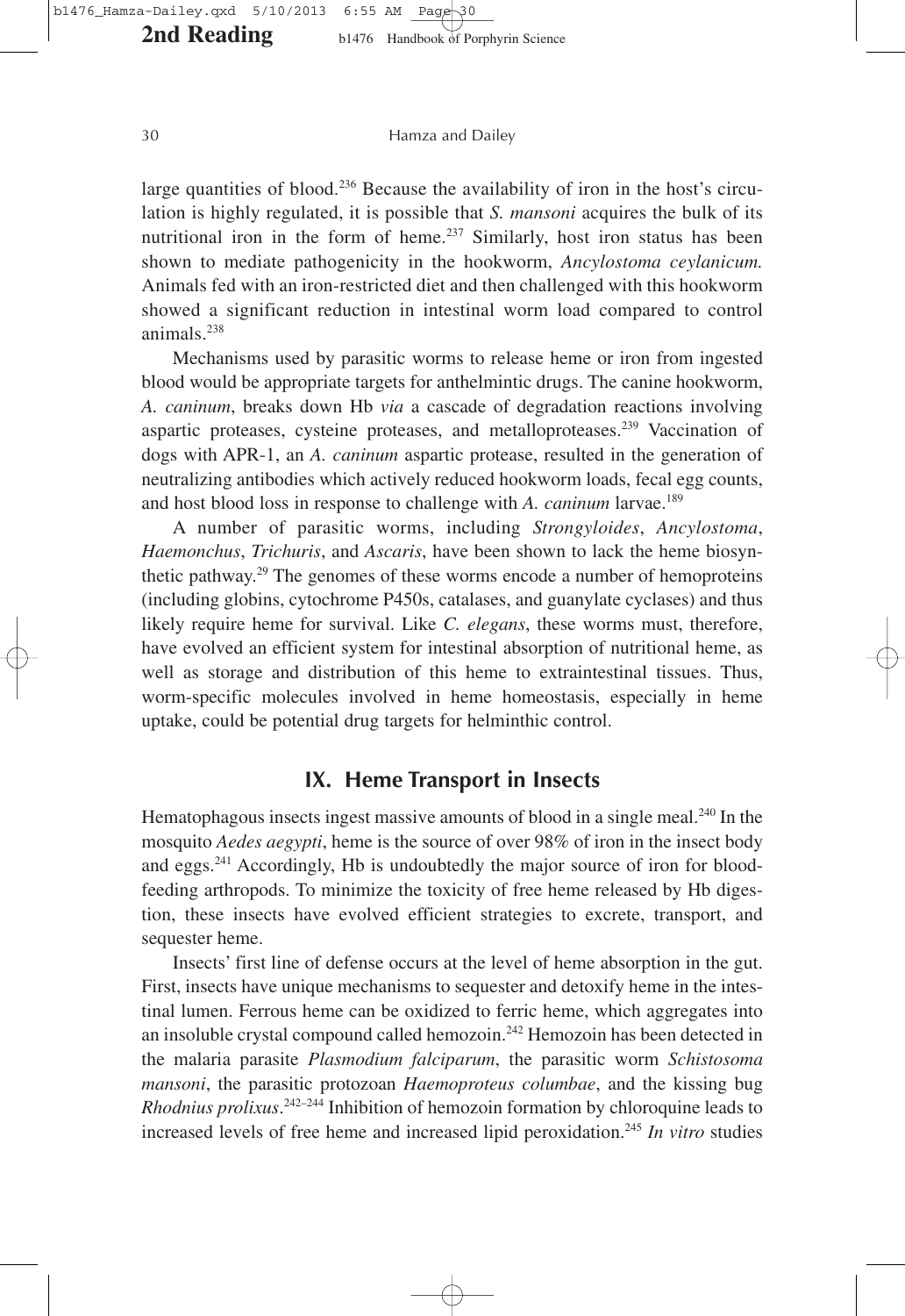b1476 Handbook of Porphyrin Science

#### 30 Hamza and Dailey

large quantities of blood.<sup>236</sup> Because the availability of iron in the host's circulation is highly regulated, it is possible that *S. mansoni* acquires the bulk of its nutritional iron in the form of heme.<sup>237</sup> Similarly, host iron status has been shown to mediate pathogenicity in the hookworm, *Ancylostoma ceylanicum.* Animals fed with an iron-restricted diet and then challenged with this hookworm showed a significant reduction in intestinal worm load compared to control animals.<sup>238</sup>

Mechanisms used by parasitic worms to release heme or iron from ingested blood would be appropriate targets for anthelmintic drugs. The canine hookworm, *A. caninum*, breaks down Hb *via* a cascade of degradation reactions involving aspartic proteases, cysteine proteases, and metalloproteases.<sup>239</sup> Vaccination of dogs with APR-1, an *A. caninum* aspartic protease, resulted in the generation of neutralizing antibodies which actively reduced hookworm loads, fecal egg counts, and host blood loss in response to challenge with *A. caninum* larvae.<sup>189</sup>

A number of parasitic worms, including *Strongyloides*, *Ancylostoma*, *Haemonchus*, *Trichuris*, and *Ascaris*, have been shown to lack the heme biosynthetic pathway.29 The genomes of these worms encode a number of hemoproteins (including globins, cytochrome P450s, catalases, and guanylate cyclases) and thus likely require heme for survival. Like *C. elegans*, these worms must, therefore, have evolved an efficient system for intestinal absorption of nutritional heme, as well as storage and distribution of this heme to extraintestinal tissues. Thus, worm-specific molecules involved in heme homeostasis, especially in heme uptake, could be potential drug targets for helminthic control.

### **IX. Heme Transport in Insects**

Hematophagous insects ingest massive amounts of blood in a single meal.<sup>240</sup> In the mosquito *Aedes aegypti*, heme is the source of over 98% of iron in the insect body and eggs.241 Accordingly, Hb is undoubtedly the major source of iron for bloodfeeding arthropods. To minimize the toxicity of free heme released by Hb digestion, these insects have evolved efficient strategies to excrete, transport, and sequester heme.

Insects' first line of defense occurs at the level of heme absorption in the gut. First, insects have unique mechanisms to sequester and detoxify heme in the intestinal lumen. Ferrous heme can be oxidized to ferric heme, which aggregates into an insoluble crystal compound called hemozoin.<sup>242</sup> Hemozoin has been detected in the malaria parasite *Plasmodium falciparum*, the parasitic worm *Schistosoma mansoni*, the parasitic protozoan *Haemoproteus columbae*, and the kissing bug *Rhodnius prolixus*. 242–244 Inhibition of hemozoin formation by chloroquine leads to increased levels of free heme and increased lipid peroxidation.245 *In vitro* studies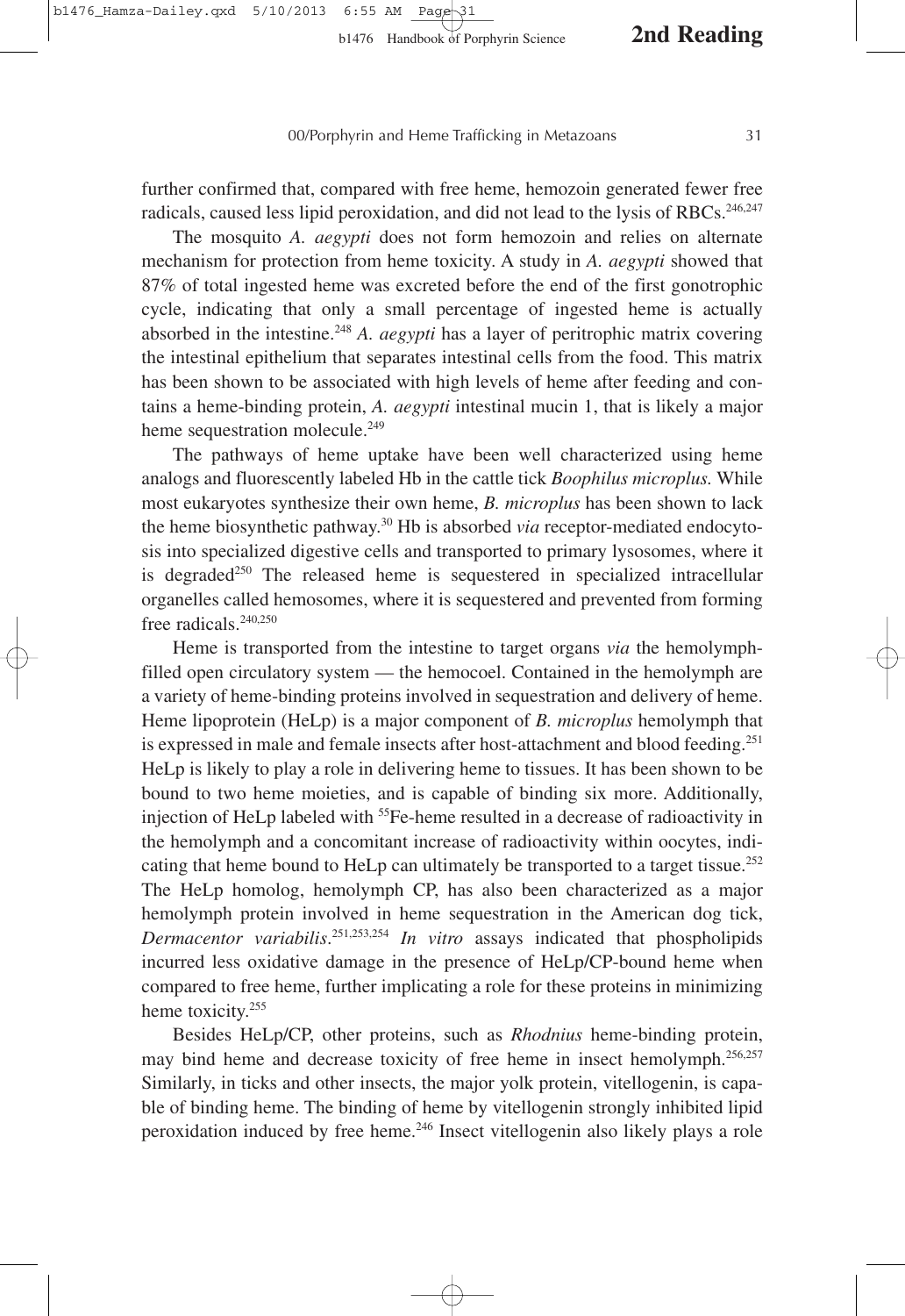b1476\_Hamza-Dailey.qxd 5/10/2013 6:55

further confirmed that, compared with free heme, hemozoin generated fewer free radicals, caused less lipid peroxidation, and did not lead to the lysis of RBCs.<sup>246,247</sup>

The mosquito *A. aegypti* does not form hemozoin and relies on alternate mechanism for protection from heme toxicity. A study in *A. aegypti* showed that 87% of total ingested heme was excreted before the end of the first gonotrophic cycle, indicating that only a small percentage of ingested heme is actually absorbed in the intestine.<sup>248</sup> A. *aegypti* has a layer of peritrophic matrix covering the intestinal epithelium that separates intestinal cells from the food. This matrix has been shown to be associated with high levels of heme after feeding and contains a heme-binding protein, *A. aegypti* intestinal mucin 1, that is likely a major heme sequestration molecule.<sup>249</sup>

The pathways of heme uptake have been well characterized using heme analogs and fluorescently labeled Hb in the cattle tick *Boophilus microplus.* While most eukaryotes synthesize their own heme, *B. microplus* has been shown to lack the heme biosynthetic pathway.30 Hb is absorbed *via* receptor-mediated endocytosis into specialized digestive cells and transported to primary lysosomes, where it is degraded<sup>250</sup> The released heme is sequestered in specialized intracellular organelles called hemosomes, where it is sequestered and prevented from forming free radicals.<sup>240,250</sup>

Heme is transported from the intestine to target organs *via* the hemolymphfilled open circulatory system — the hemocoel. Contained in the hemolymph are a variety of heme-binding proteins involved in sequestration and delivery of heme. Heme lipoprotein (HeLp) is a major component of *B. microplus* hemolymph that is expressed in male and female insects after host-attachment and blood feeding.<sup>251</sup> HeLp is likely to play a role in delivering heme to tissues. It has been shown to be bound to two heme moieties, and is capable of binding six more. Additionally, injection of HeLp labeled with 55Fe-heme resulted in a decrease of radioactivity in the hemolymph and a concomitant increase of radioactivity within oocytes, indicating that heme bound to HeLp can ultimately be transported to a target tissue.<sup>252</sup> The HeLp homolog, hemolymph CP, has also been characterized as a major hemolymph protein involved in heme sequestration in the American dog tick, *Dermacentor variabilis*. 251,253,254 *In vitro* assays indicated that phospholipids incurred less oxidative damage in the presence of HeLp/CP-bound heme when compared to free heme, further implicating a role for these proteins in minimizing heme toxicity.<sup>255</sup>

Besides HeLp/CP, other proteins, such as *Rhodnius* heme-binding protein, may bind heme and decrease toxicity of free heme in insect hemolymph.<sup>256,257</sup> Similarly, in ticks and other insects, the major yolk protein, vitellogenin, is capable of binding heme. The binding of heme by vitellogenin strongly inhibited lipid peroxidation induced by free heme.<sup>246</sup> Insect vitellogenin also likely plays a role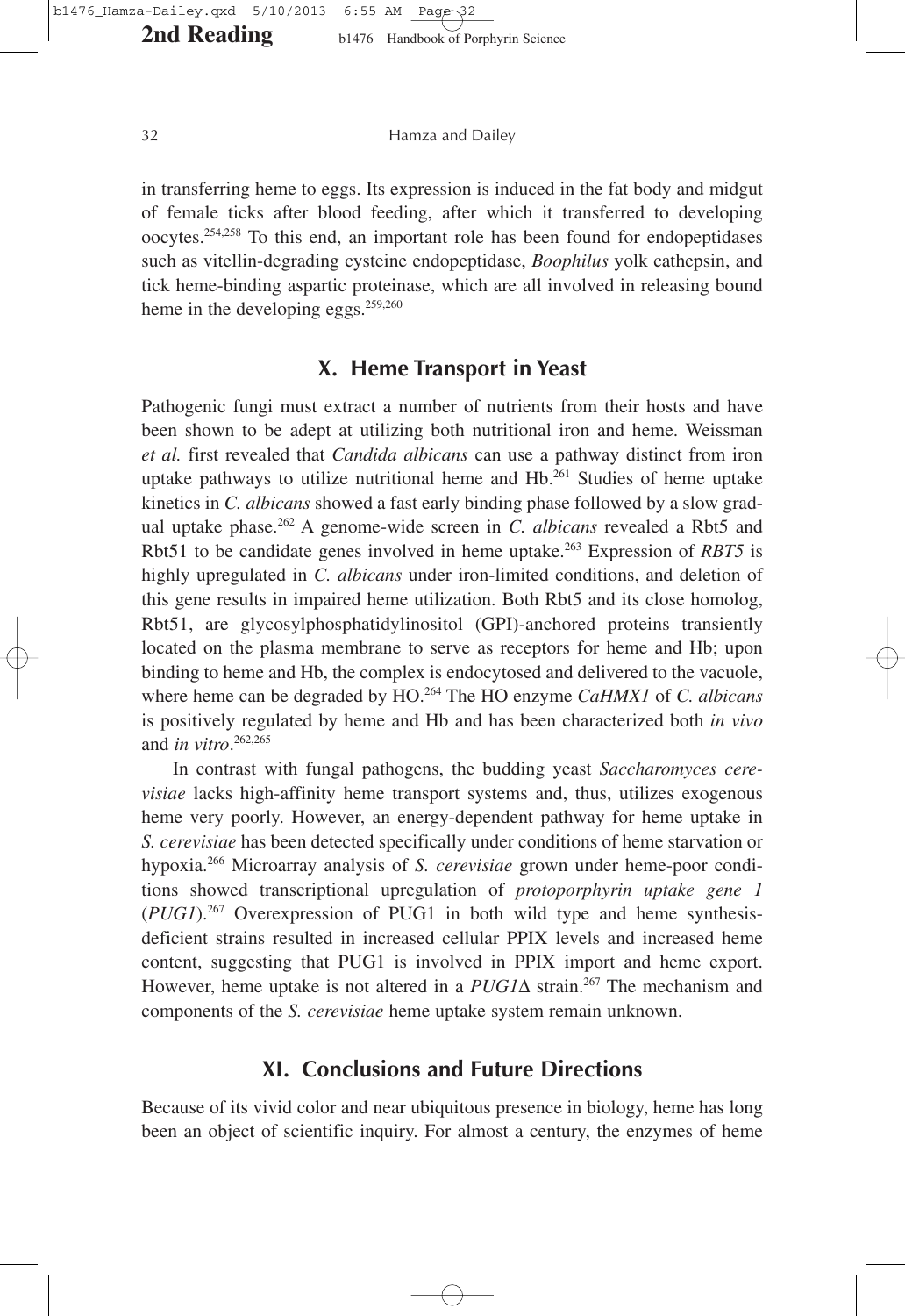b1476 Handbook of Porphyrin Science

#### 32 Hamza and Dailey

in transferring heme to eggs. Its expression is induced in the fat body and midgut of female ticks after blood feeding, after which it transferred to developing oocytes.254,258 To this end, an important role has been found for endopeptidases such as vitellin-degrading cysteine endopeptidase, *Boophilus* yolk cathepsin, and tick heme-binding aspartic proteinase, which are all involved in releasing bound heme in the developing eggs.<sup>259,260</sup>

# **X. Heme Transport in Yeast**

Pathogenic fungi must extract a number of nutrients from their hosts and have been shown to be adept at utilizing both nutritional iron and heme. Weissman *et al.* first revealed that *Candida albicans* can use a pathway distinct from iron uptake pathways to utilize nutritional heme and  $Hb$ <sup>261</sup> Studies of heme uptake kinetics in *C. albicans* showed a fast early binding phase followed by a slow gradual uptake phase.262 A genome-wide screen in *C. albicans* revealed a Rbt5 and Rbt51 to be candidate genes involved in heme uptake.263 Expression of *RBT5* is highly upregulated in *C. albicans* under iron-limited conditions, and deletion of this gene results in impaired heme utilization. Both Rbt5 and its close homolog, Rbt51, are glycosylphosphatidylinositol (GPI)-anchored proteins transiently located on the plasma membrane to serve as receptors for heme and Hb; upon binding to heme and Hb, the complex is endocytosed and delivered to the vacuole, where heme can be degraded by HO.264 The HO enzyme *CaHMX1* of *C. albicans* is positively regulated by heme and Hb and has been characterized both *in vivo* and *in vitro*. 262,265

In contrast with fungal pathogens, the budding yeast *Saccharomyces cerevisiae* lacks high-affinity heme transport systems and, thus, utilizes exogenous heme very poorly. However, an energy-dependent pathway for heme uptake in *S. cerevisiae* has been detected specifically under conditions of heme starvation or hypoxia.266 Microarray analysis of *S. cerevisiae* grown under heme-poor conditions showed transcriptional upregulation of *protoporphyrin uptake gene 1* (*PUG1*).267 Overexpression of PUG1 in both wild type and heme synthesisdeficient strains resulted in increased cellular PPIX levels and increased heme content, suggesting that PUG1 is involved in PPIX import and heme export. However, heme uptake is not altered in a *PUG1*∆ strain.<sup>267</sup> The mechanism and components of the *S. cerevisiae* heme uptake system remain unknown.

# **XI. Conclusions and Future Directions**

Because of its vivid color and near ubiquitous presence in biology, heme has long been an object of scientific inquiry. For almost a century, the enzymes of heme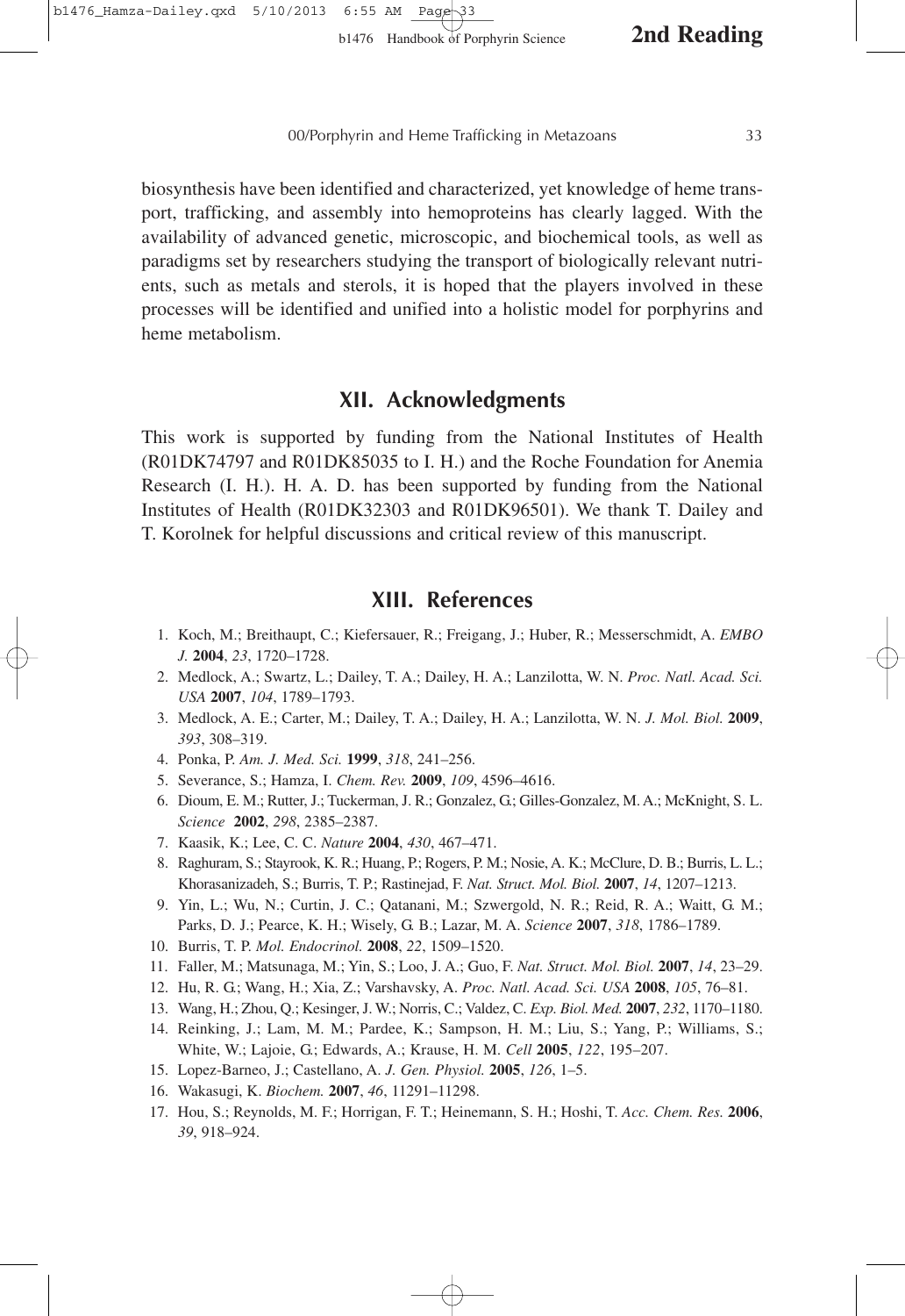**2nd Reading**

00/Porphyrin and Heme Trafficking in Metazoans 33

biosynthesis have been identified and characterized, yet knowledge of heme transport, trafficking, and assembly into hemoproteins has clearly lagged. With the availability of advanced genetic, microscopic, and biochemical tools, as well as paradigms set by researchers studying the transport of biologically relevant nutrients, such as metals and sterols, it is hoped that the players involved in these processes will be identified and unified into a holistic model for porphyrins and heme metabolism.

# **XII. Acknowledgments**

This work is supported by funding from the National Institutes of Health (R01DK74797 and R01DK85035 to I. H.) and the Roche Foundation for Anemia Research (I. H.). H. A. D. has been supported by funding from the National Institutes of Health (R01DK32303 and R01DK96501). We thank T. Dailey and T. Korolnek for helpful discussions and critical review of this manuscript.

### **XIII. References**

- 1. Koch, M.; Breithaupt, C.; Kiefersauer, R.; Freigang, J.; Huber, R.; Messerschmidt, A. *EMBO J.* **2004**, *23*, 1720–1728.
- 2. Medlock, A.; Swartz, L.; Dailey, T. A.; Dailey, H. A.; Lanzilotta, W. N. *Proc. Natl. Acad. Sci. USA* **2007**, *104*, 1789–1793.
- 3. Medlock, A. E.; Carter, M.; Dailey, T. A.; Dailey, H. A.; Lanzilotta, W. N. *J. Mol. Biol.* **2009**, *393*, 308–319.
- 4. Ponka, P. *Am. J. Med. Sci.* **1999**, *318*, 241–256.
- 5. Severance, S.; Hamza, I. *Chem. Rev.* **2009**, *109*, 4596–4616.
- 6. Dioum, E. M.; Rutter, J.; Tuckerman, J. R.; Gonzalez, G.; Gilles-Gonzalez, M. A.; McKnight, S. L. *Science* **2002**, *298*, 2385–2387.
- 7. Kaasik, K.; Lee, C. C. *Nature* **2004**, *430*, 467–471.
- 8. Raghuram, S.; Stayrook, K. R.; Huang, P.; Rogers, P. M.; Nosie, A. K.; McClure, D. B.; Burris, L. L.; Khorasanizadeh, S.; Burris, T. P.; Rastinejad, F. *Nat. Struct. Mol. Biol.* **2007**, *14*, 1207–1213.
- 9. Yin, L.; Wu, N.; Curtin, J. C.; Qatanani, M.; Szwergold, N. R.; Reid, R. A.; Waitt, G. M.; Parks, D. J.; Pearce, K. H.; Wisely, G. B.; Lazar, M. A. *Science* **2007**, *318*, 1786–1789.
- 10. Burris, T. P. *Mol. Endocrinol.* **2008**, *22*, 1509–1520.
- 11. Faller, M.; Matsunaga, M.; Yin, S.; Loo, J. A.; Guo, F. *Nat. Struct. Mol. Biol.* **2007**, *14*, 23–29.
- 12. Hu, R. G.; Wang, H.; Xia, Z.; Varshavsky, A. *Proc. Natl. Acad. Sci. USA* **2008**, *105*, 76–81.
- 13. Wang, H.; Zhou, Q.; Kesinger, J. W.; Norris, C.; Valdez, C. *Exp. Biol. Med.* **2007**, *232*, 1170–1180.
- 14. Reinking, J.; Lam, M. M.; Pardee, K.; Sampson, H. M.; Liu, S.; Yang, P.; Williams, S.; White, W.; Lajoie, G.; Edwards, A.; Krause, H. M. *Cell* **2005**, *122*, 195–207.
- 15. Lopez-Barneo, J.; Castellano, A. *J. Gen. Physiol.* **2005**, *126*, 1–5.
- 16. Wakasugi, K. *Biochem.* **2007**, *46*, 11291–11298.
- 17. Hou, S.; Reynolds, M. F.; Horrigan, F. T.; Heinemann, S. H.; Hoshi, T. *Acc. Chem. Res.* **2006**, *39*, 918–924.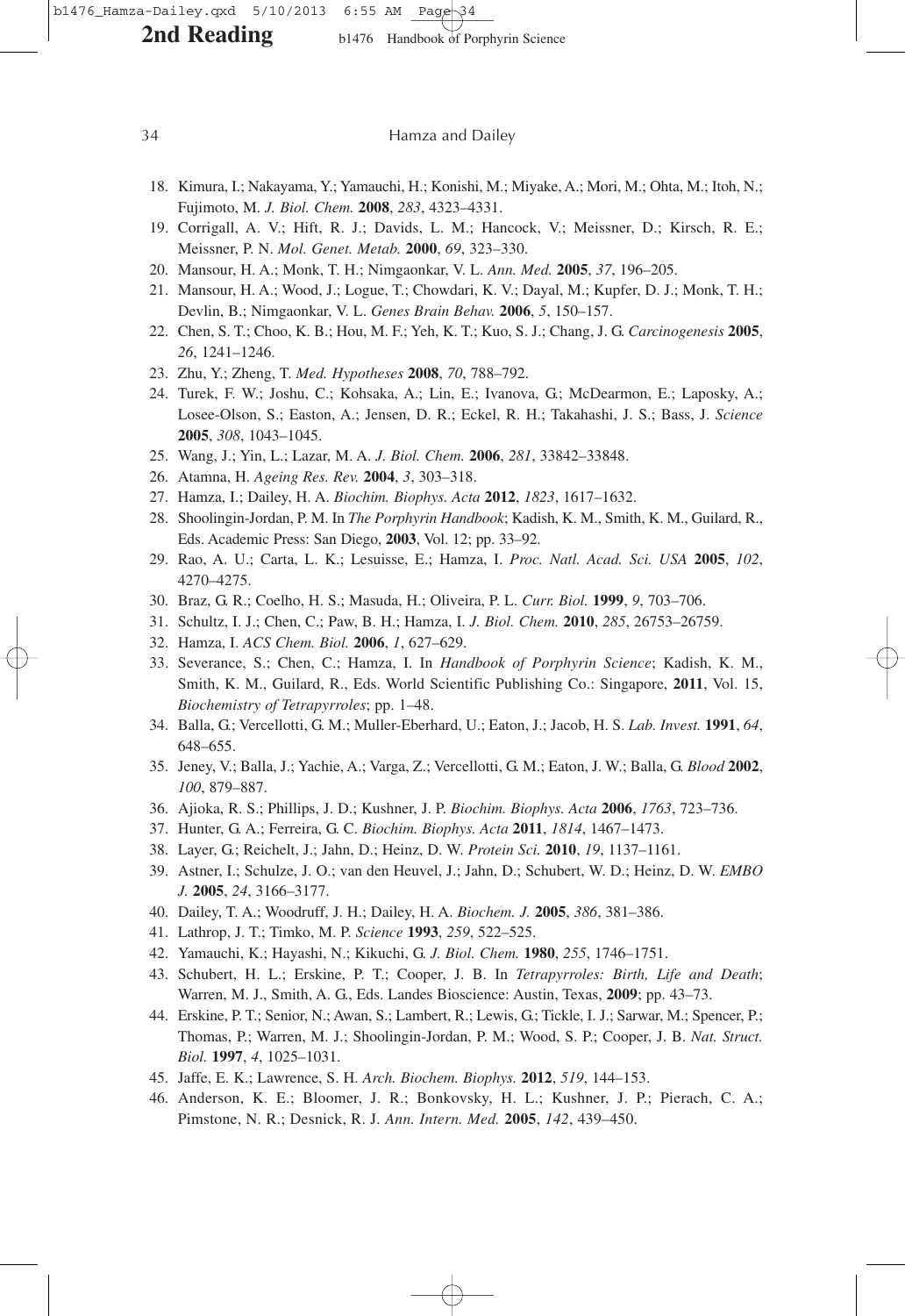b1476 Handbook of Porphyrin Science

#### 34 Hamza and Dailey

- 18. Kimura, I.; Nakayama, Y.; Yamauchi, H.; Konishi, M.; Miyake, A.; Mori, M.; Ohta, M.; Itoh, N.; Fujimoto, M. *J. Biol. Chem.* **2008**, *283*, 4323–4331.
- 19. Corrigall, A. V.; Hift, R. J.; Davids, L. M.; Hancock, V.; Meissner, D.; Kirsch, R. E.; Meissner, P. N. *Mol. Genet. Metab.* **2000**, *69*, 323–330.
- 20. Mansour, H. A.; Monk, T. H.; Nimgaonkar, V. L. *Ann. Med.* **2005**, *37*, 196–205.
- 21. Mansour, H. A.; Wood, J.; Logue, T.; Chowdari, K. V.; Dayal, M.; Kupfer, D. J.; Monk, T. H.; Devlin, B.; Nimgaonkar, V. L. *Genes Brain Behav.* **2006**, *5*, 150–157.
- 22. Chen, S. T.; Choo, K. B.; Hou, M. F.; Yeh, K. T.; Kuo, S. J.; Chang, J. G. *Carcinogenesis* **2005**, *26*, 1241–1246.
- 23. Zhu, Y.; Zheng, T. *Med. Hypotheses* **2008**, *70*, 788–792.
- 24. Turek, F. W.; Joshu, C.; Kohsaka, A.; Lin, E.; Ivanova, G.; McDearmon, E.; Laposky, A.; Losee-Olson, S.; Easton, A.; Jensen, D. R.; Eckel, R. H.; Takahashi, J. S.; Bass, J. *Science* **2005**, *308*, 1043–1045.
- 25. Wang, J.; Yin, L.; Lazar, M. A. *J. Biol. Chem.* **2006**, *281*, 33842–33848.
- 26. Atamna, H. *Ageing Res. Rev.* **2004**, *3*, 303–318.
- 27. Hamza, I.; Dailey, H. A. *Biochim. Biophys. Acta* **2012**, *1823*, 1617–1632.
- 28. Shoolingin-Jordan, P. M. In *The Porphyrin Handbook*; Kadish, K. M., Smith, K. M., Guilard, R., Eds. Academic Press: San Diego, **2003**, Vol. 12; pp. 33–92.
- 29. Rao, A. U.; Carta, L. K.; Lesuisse, E.; Hamza, I. *Proc. Natl. Acad. Sci. USA* **2005**, *102*, 4270–4275.
- 30. Braz, G. R.; Coelho, H. S.; Masuda, H.; Oliveira, P. L. *Curr. Biol.* **1999**, *9*, 703–706.
- 31. Schultz, I. J.; Chen, C.; Paw, B. H.; Hamza, I. *J. Biol. Chem.* **2010**, *285*, 26753–26759.
- 32. Hamza, I. *ACS Chem. Biol.* **2006**, *1*, 627–629.
- 33. Severance, S.; Chen, C.; Hamza, I. In *Handbook of Porphyrin Science*; Kadish, K. M., Smith, K. M., Guilard, R., Eds. World Scientific Publishing Co.: Singapore, **2011**, Vol. 15, *Biochemistry of Tetrapyrroles*; pp. 1–48.
- 34. Balla, G.; Vercellotti, G. M.; Muller-Eberhard, U.; Eaton, J.; Jacob, H. S. *Lab. Invest.* **1991**, *64*, 648–655.
- 35. Jeney, V.; Balla, J.; Yachie, A.; Varga, Z.; Vercellotti, G. M.; Eaton, J. W.; Balla, G. *Blood* **2002**, *100*, 879–887.
- 36. Ajioka, R. S.; Phillips, J. D.; Kushner, J. P. *Biochim. Biophys. Acta* **2006**, *1763*, 723–736.
- 37. Hunter, G. A.; Ferreira, G. C. *Biochim. Biophys. Acta* **2011**, *1814*, 1467–1473.
- 38. Layer, G.; Reichelt, J.; Jahn, D.; Heinz, D. W. *Protein Sci.* **2010**, *19*, 1137–1161.
- 39. Astner, I.; Schulze, J. O.; van den Heuvel, J.; Jahn, D.; Schubert, W. D.; Heinz, D. W. *EMBO J.* **2005**, *24*, 3166–3177.
- 40. Dailey, T. A.; Woodruff, J. H.; Dailey, H. A. *Biochem. J.* **2005**, *386*, 381–386.
- 41. Lathrop, J. T.; Timko, M. P. *Science* **1993**, *259*, 522–525.
- 42. Yamauchi, K.; Hayashi, N.; Kikuchi, G. *J. Biol. Chem.* **1980**, *255*, 1746–1751.
- 43. Schubert, H. L.; Erskine, P. T.; Cooper, J. B. In *Tetrapyrroles: Birth, Life and Death*; Warren, M. J., Smith, A. G., Eds. Landes Bioscience: Austin, Texas, **2009**; pp. 43–73.
- 44. Erskine, P. T.; Senior, N.; Awan, S.; Lambert, R.; Lewis, G.; Tickle, I. J.; Sarwar, M.; Spencer, P.; Thomas, P.; Warren, M. J.; Shoolingin-Jordan, P. M.; Wood, S. P.; Cooper, J. B. *Nat. Struct. Biol.* **1997**, *4*, 1025–1031.
- 45. Jaffe, E. K.; Lawrence, S. H. *Arch. Biochem. Biophys.* **2012**, *519*, 144–153.
- 46. Anderson, K. E.; Bloomer, J. R.; Bonkovsky, H. L.; Kushner, J. P.; Pierach, C. A.; Pimstone, N. R.; Desnick, R. J. *Ann. Intern. Med.* **2005**, *142*, 439–450.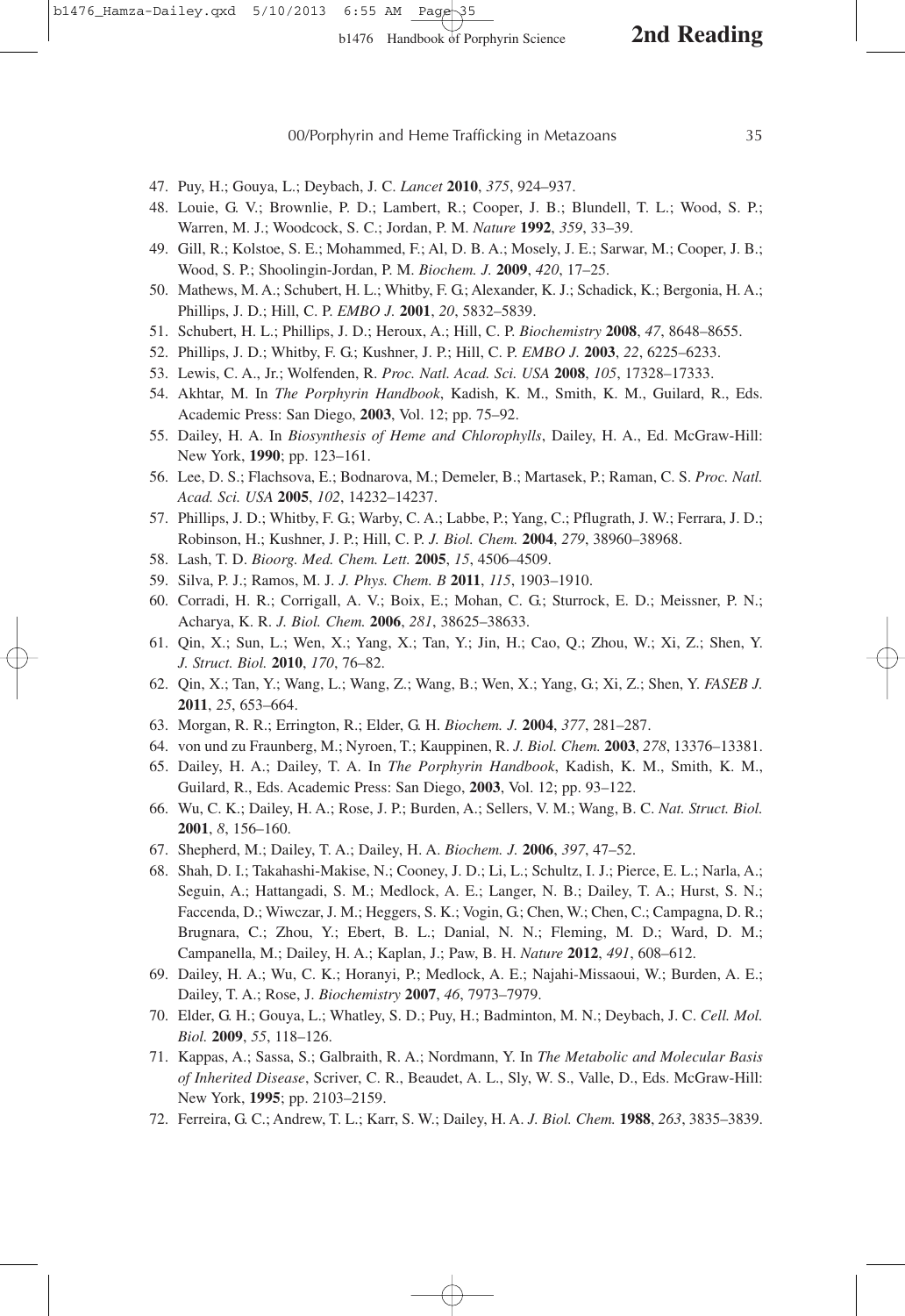# **2nd Reading**

00/Porphyrin and Heme Trafficking in Metazoans 35

- 47. Puy, H.; Gouya, L.; Deybach, J. C. *Lancet* **2010**, *375*, 924–937.
- 48. Louie, G. V.; Brownlie, P. D.; Lambert, R.; Cooper, J. B.; Blundell, T. L.; Wood, S. P.; Warren, M. J.; Woodcock, S. C.; Jordan, P. M. *Nature* **1992**, *359*, 33–39.
- 49. Gill, R.; Kolstoe, S. E.; Mohammed, F.; Al, D. B. A.; Mosely, J. E.; Sarwar, M.; Cooper, J. B.; Wood, S. P.; Shoolingin-Jordan, P. M. *Biochem. J.* **2009**, *420*, 17–25.
- 50. Mathews, M. A.; Schubert, H. L.; Whitby, F. G.; Alexander, K. J.; Schadick, K.; Bergonia, H. A.; Phillips, J. D.; Hill, C. P. *EMBO J.* **2001**, *20*, 5832–5839.
- 51. Schubert, H. L.; Phillips, J. D.; Heroux, A.; Hill, C. P. *Biochemistry* **2008**, *47*, 8648–8655.
- 52. Phillips, J. D.; Whitby, F. G.; Kushner, J. P.; Hill, C. P. *EMBO J.* **2003**, *22*, 6225–6233.
- 53. Lewis, C. A., Jr.; Wolfenden, R. *Proc. Natl. Acad. Sci. USA* **2008**, *105*, 17328–17333.
- 54. Akhtar, M. In *The Porphyrin Handbook*, Kadish, K. M., Smith, K. M., Guilard, R., Eds. Academic Press: San Diego, **2003**, Vol. 12; pp. 75–92.
- 55. Dailey, H. A. In *Biosynthesis of Heme and Chlorophylls*, Dailey, H. A., Ed. McGraw-Hill: New York, **1990**; pp. 123–161.
- 56. Lee, D. S.; Flachsova, E.; Bodnarova, M.; Demeler, B.; Martasek, P.; Raman, C. S. *Proc. Natl. Acad. Sci. USA* **2005**, *102*, 14232–14237.
- 57. Phillips, J. D.; Whitby, F. G.; Warby, C. A.; Labbe, P.; Yang, C.; Pflugrath, J. W.; Ferrara, J. D.; Robinson, H.; Kushner, J. P.; Hill, C. P. *J. Biol. Chem.* **2004**, *279*, 38960–38968.
- 58. Lash, T. D. *Bioorg. Med. Chem. Lett.* **2005**, *15*, 4506–4509.
- 59. Silva, P. J.; Ramos, M. J. *J. Phys. Chem. B* **2011**, *115*, 1903–1910.
- 60. Corradi, H. R.; Corrigall, A. V.; Boix, E.; Mohan, C. G.; Sturrock, E. D.; Meissner, P. N.; Acharya, K. R. *J. Biol. Chem.* **2006**, *281*, 38625–38633.
- 61. Qin, X.; Sun, L.; Wen, X.; Yang, X.; Tan, Y.; Jin, H.; Cao, Q.; Zhou, W.; Xi, Z.; Shen, Y. *J. Struct. Biol.* **2010**, *170*, 76–82.
- 62. Qin, X.; Tan, Y.; Wang, L.; Wang, Z.; Wang, B.; Wen, X.; Yang, G.; Xi, Z.; Shen, Y. *FASEB J.* **2011**, *25*, 653–664.
- 63. Morgan, R. R.; Errington, R.; Elder, G. H. *Biochem. J.* **2004**, *377*, 281–287.
- 64. von und zu Fraunberg, M.; Nyroen, T.; Kauppinen, R. *J. Biol. Chem.* **2003**, *278*, 13376–13381.
- 65. Dailey, H. A.; Dailey, T. A. In *The Porphyrin Handbook*, Kadish, K. M., Smith, K. M., Guilard, R., Eds. Academic Press: San Diego, **2003**, Vol. 12; pp. 93–122.
- 66. Wu, C. K.; Dailey, H. A.; Rose, J. P.; Burden, A.; Sellers, V. M.; Wang, B. C. *Nat. Struct. Biol.* **2001**, *8*, 156–160.
- 67. Shepherd, M.; Dailey, T. A.; Dailey, H. A. *Biochem. J.* **2006**, *397*, 47–52.
- 68. Shah, D. I.; Takahashi-Makise, N.; Cooney, J. D.; Li, L.; Schultz, I. J.; Pierce, E. L.; Narla, A.; Seguin, A.; Hattangadi, S. M.; Medlock, A. E.; Langer, N. B.; Dailey, T. A.; Hurst, S. N.; Faccenda, D.; Wiwczar, J. M.; Heggers, S. K.; Vogin, G.; Chen, W.; Chen, C.; Campagna, D. R.; Brugnara, C.; Zhou, Y.; Ebert, B. L.; Danial, N. N.; Fleming, M. D.; Ward, D. M.; Campanella, M.; Dailey, H. A.; Kaplan, J.; Paw, B. H. *Nature* **2012**, *491*, 608–612.
- 69. Dailey, H. A.; Wu, C. K.; Horanyi, P.; Medlock, A. E.; Najahi-Missaoui, W.; Burden, A. E.; Dailey, T. A.; Rose, J. *Biochemistry* **2007**, *46*, 7973–7979.
- 70. Elder, G. H.; Gouya, L.; Whatley, S. D.; Puy, H.; Badminton, M. N.; Deybach, J. C. *Cell. Mol. Biol.* **2009**, *55*, 118–126.
- 71. Kappas, A.; Sassa, S.; Galbraith, R. A.; Nordmann, Y. In *The Metabolic and Molecular Basis of Inherited Disease*, Scriver, C. R., Beaudet, A. L., Sly, W. S., Valle, D., Eds. McGraw-Hill: New York, **1995**; pp. 2103–2159.
- 72. Ferreira, G. C.; Andrew, T. L.; Karr, S. W.; Dailey, H. A. *J. Biol. Chem.* **1988**, *263*, 3835–3839.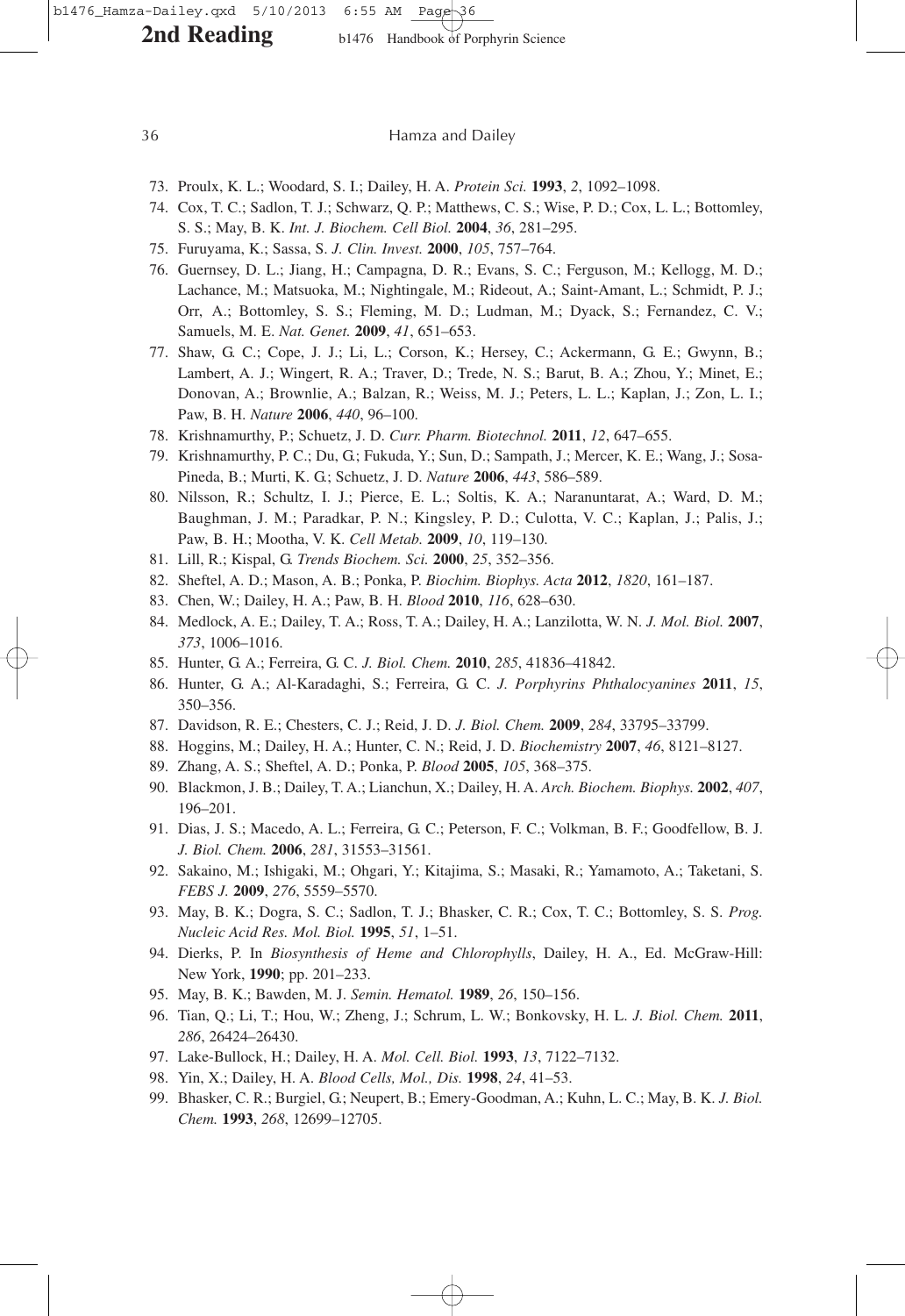b1476 Handbook of Porphyrin Science

#### 36 Hamza and Dailey

- 73. Proulx, K. L.; Woodard, S. I.; Dailey, H. A. *Protein Sci.* **1993**, *2*, 1092–1098.
- 74. Cox, T. C.; Sadlon, T. J.; Schwarz, Q. P.; Matthews, C. S.; Wise, P. D.; Cox, L. L.; Bottomley, S. S.; May, B. K. *Int. J. Biochem. Cell Biol.* **2004**, *36*, 281–295.
- 75. Furuyama, K.; Sassa, S. *J. Clin. Invest.* **2000**, *105*, 757–764.
- 76. Guernsey, D. L.; Jiang, H.; Campagna, D. R.; Evans, S. C.; Ferguson, M.; Kellogg, M. D.; Lachance, M.; Matsuoka, M.; Nightingale, M.; Rideout, A.; Saint-Amant, L.; Schmidt, P. J.; Orr, A.; Bottomley, S. S.; Fleming, M. D.; Ludman, M.; Dyack, S.; Fernandez, C. V.; Samuels, M. E. *Nat. Genet.* **2009**, *41*, 651–653.
- 77. Shaw, G. C.; Cope, J. J.; Li, L.; Corson, K.; Hersey, C.; Ackermann, G. E.; Gwynn, B.; Lambert, A. J.; Wingert, R. A.; Traver, D.; Trede, N. S.; Barut, B. A.; Zhou, Y.; Minet, E.; Donovan, A.; Brownlie, A.; Balzan, R.; Weiss, M. J.; Peters, L. L.; Kaplan, J.; Zon, L. I.; Paw, B. H. *Nature* **2006**, *440*, 96–100.
- 78. Krishnamurthy, P.; Schuetz, J. D. *Curr. Pharm. Biotechnol.* **2011**, *12*, 647–655.
- 79. Krishnamurthy, P. C.; Du, G.; Fukuda, Y.; Sun, D.; Sampath, J.; Mercer, K. E.; Wang, J.; Sosa-Pineda, B.; Murti, K. G.; Schuetz, J. D. *Nature* **2006**, *443*, 586–589.
- 80. Nilsson, R.; Schultz, I. J.; Pierce, E. L.; Soltis, K. A.; Naranuntarat, A.; Ward, D. M.; Baughman, J. M.; Paradkar, P. N.; Kingsley, P. D.; Culotta, V. C.; Kaplan, J.; Palis, J.; Paw, B. H.; Mootha, V. K. *Cell Metab.* **2009**, *10*, 119–130.
- 81. Lill, R.; Kispal, G. *Trends Biochem. Sci.* **2000**, *25*, 352–356.
- 82. Sheftel, A. D.; Mason, A. B.; Ponka, P. *Biochim. Biophys. Acta* **2012**, *1820*, 161–187.
- 83. Chen, W.; Dailey, H. A.; Paw, B. H. *Blood* **2010**, *116*, 628–630.
- 84. Medlock, A. E.; Dailey, T. A.; Ross, T. A.; Dailey, H. A.; Lanzilotta, W. N. *J. Mol. Biol.* **2007**, *373*, 1006–1016.
- 85. Hunter, G. A.; Ferreira, G. C. *J. Biol. Chem.* **2010**, *285*, 41836–41842.
- 86. Hunter, G. A.; Al-Karadaghi, S.; Ferreira, G. C. *J. Porphyrins Phthalocyanines* **2011**, *15*, 350–356.
- 87. Davidson, R. E.; Chesters, C. J.; Reid, J. D. *J. Biol. Chem.* **2009**, *284*, 33795–33799.
- 88. Hoggins, M.; Dailey, H. A.; Hunter, C. N.; Reid, J. D. *Biochemistry* **2007**, *46*, 8121–8127.
- 89. Zhang, A. S.; Sheftel, A. D.; Ponka, P. *Blood* **2005**, *105*, 368–375.
- 90. Blackmon, J. B.; Dailey, T. A.; Lianchun, X.; Dailey, H. A. *Arch. Biochem. Biophys.* **2002**, *407*, 196–201.
- 91. Dias, J. S.; Macedo, A. L.; Ferreira, G. C.; Peterson, F. C.; Volkman, B. F.; Goodfellow, B. J. *J. Biol. Chem.* **2006**, *281*, 31553–31561.
- 92. Sakaino, M.; Ishigaki, M.; Ohgari, Y.; Kitajima, S.; Masaki, R.; Yamamoto, A.; Taketani, S. *FEBS J.* **2009**, *276*, 5559–5570.
- 93. May, B. K.; Dogra, S. C.; Sadlon, T. J.; Bhasker, C. R.; Cox, T. C.; Bottomley, S. S. *Prog. Nucleic Acid Res. Mol. Biol.* **1995**, *51*, 1–51.
- 94. Dierks, P. In *Biosynthesis of Heme and Chlorophylls*, Dailey, H. A., Ed. McGraw-Hill: New York, **1990**; pp. 201–233.
- 95. May, B. K.; Bawden, M. J. *Semin. Hematol.* **1989**, *26*, 150–156.
- 96. Tian, Q.; Li, T.; Hou, W.; Zheng, J.; Schrum, L. W.; Bonkovsky, H. L. *J. Biol. Chem.* **2011**, *286*, 26424–26430.
- 97. Lake-Bullock, H.; Dailey, H. A. *Mol. Cell. Biol.* **1993**, *13*, 7122–7132.
- 98. Yin, X.; Dailey, H. A. *Blood Cells, Mol., Dis.* **1998**, *24*, 41–53.
- 99. Bhasker, C. R.; Burgiel, G.; Neupert, B.; Emery-Goodman, A.; Kuhn, L. C.; May, B. K. *J. Biol. Chem.* **1993**, *268*, 12699–12705.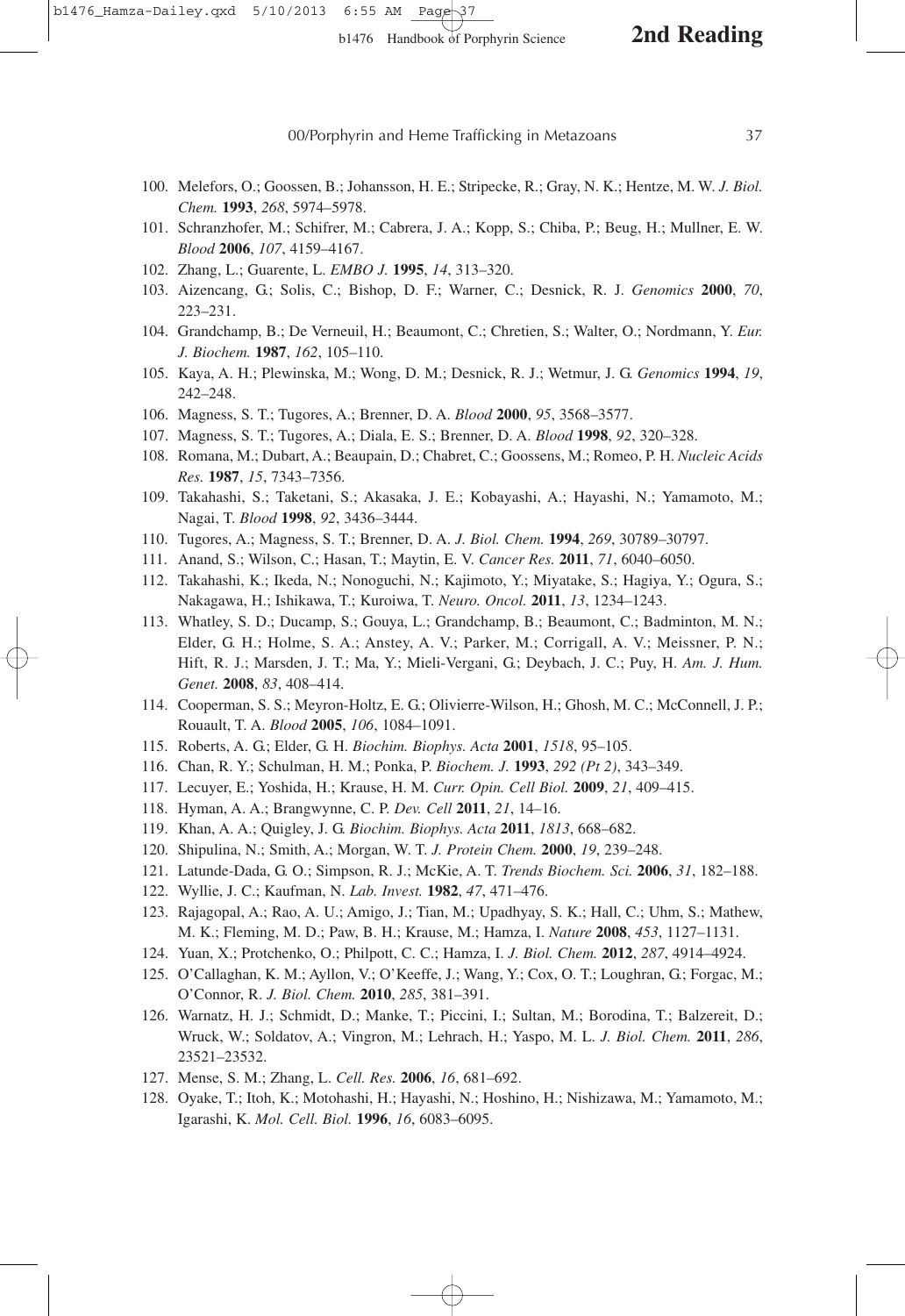# **2nd Reading**

00/Porphyrin and Heme Trafficking in Metazoans 37

- 100. Melefors, O.; Goossen, B.; Johansson, H. E.; Stripecke, R.; Gray, N. K.; Hentze, M. W. *J. Biol. Chem.* **1993**, *268*, 5974–5978.
- 101. Schranzhofer, M.; Schifrer, M.; Cabrera, J. A.; Kopp, S.; Chiba, P.; Beug, H.; Mullner, E. W. *Blood* **2006**, *107*, 4159–4167.
- 102. Zhang, L.; Guarente, L. *EMBO J.* **1995**, *14*, 313–320.
- 103. Aizencang, G.; Solis, C.; Bishop, D. F.; Warner, C.; Desnick, R. J. *Genomics* **2000**, *70*, 223–231.
- 104. Grandchamp, B.; De Verneuil, H.; Beaumont, C.; Chretien, S.; Walter, O.; Nordmann, Y. *Eur. J. Biochem.* **1987**, *162*, 105–110.
- 105. Kaya, A. H.; Plewinska, M.; Wong, D. M.; Desnick, R. J.; Wetmur, J. G. *Genomics* **1994**, *19*, 242–248.
- 106. Magness, S. T.; Tugores, A.; Brenner, D. A. *Blood* **2000**, *95*, 3568–3577.
- 107. Magness, S. T.; Tugores, A.; Diala, E. S.; Brenner, D. A. *Blood* **1998**, *92*, 320–328.
- 108. Romana, M.; Dubart, A.; Beaupain, D.; Chabret, C.; Goossens, M.; Romeo, P. H. *Nucleic Acids Res.* **1987**, *15*, 7343–7356.
- 109. Takahashi, S.; Taketani, S.; Akasaka, J. E.; Kobayashi, A.; Hayashi, N.; Yamamoto, M.; Nagai, T. *Blood* **1998**, *92*, 3436–3444.
- 110. Tugores, A.; Magness, S. T.; Brenner, D. A. *J. Biol. Chem.* **1994**, *269*, 30789–30797.
- 111. Anand, S.; Wilson, C.; Hasan, T.; Maytin, E. V. *Cancer Res.* **2011**, *71*, 6040–6050.
- 112. Takahashi, K.; Ikeda, N.; Nonoguchi, N.; Kajimoto, Y.; Miyatake, S.; Hagiya, Y.; Ogura, S.; Nakagawa, H.; Ishikawa, T.; Kuroiwa, T. *Neuro. Oncol.* **2011**, *13*, 1234–1243.
- 113. Whatley, S. D.; Ducamp, S.; Gouya, L.; Grandchamp, B.; Beaumont, C.; Badminton, M. N.; Elder, G. H.; Holme, S. A.; Anstey, A. V.; Parker, M.; Corrigall, A. V.; Meissner, P. N.; Hift, R. J.; Marsden, J. T.; Ma, Y.; Mieli-Vergani, G.; Deybach, J. C.; Puy, H. *Am. J. Hum. Genet.* **2008**, *83*, 408–414.
- 114. Cooperman, S. S.; Meyron-Holtz, E. G.; Olivierre-Wilson, H.; Ghosh, M. C.; McConnell, J. P.; Rouault, T. A. *Blood* **2005**, *106*, 1084–1091.
- 115. Roberts, A. G.; Elder, G. H. *Biochim. Biophys. Acta* **2001**, *1518*, 95–105.
- 116. Chan, R. Y.; Schulman, H. M.; Ponka, P. *Biochem. J.* **1993**, *292 (Pt 2)*, 343–349.
- 117. Lecuyer, E.; Yoshida, H.; Krause, H. M. *Curr. Opin. Cell Biol.* **2009**, *21*, 409–415.
- 118. Hyman, A. A.; Brangwynne, C. P. *Dev. Cell* **2011**, *21*, 14–16.
- 119. Khan, A. A.; Quigley, J. G. *Biochim. Biophys. Acta* **2011**, *1813*, 668–682.
- 120. Shipulina, N.; Smith, A.; Morgan, W. T. *J. Protein Chem.* **2000**, *19*, 239–248.
- 121. Latunde-Dada, G. O.; Simpson, R. J.; McKie, A. T. *Trends Biochem. Sci.* **2006**, *31*, 182–188.
- 122. Wyllie, J. C.; Kaufman, N. *Lab. Invest.* **1982**, *47*, 471–476.
- 123. Rajagopal, A.; Rao, A. U.; Amigo, J.; Tian, M.; Upadhyay, S. K.; Hall, C.; Uhm, S.; Mathew, M. K.; Fleming, M. D.; Paw, B. H.; Krause, M.; Hamza, I. *Nature* **2008**, *453*, 1127–1131.
- 124. Yuan, X.; Protchenko, O.; Philpott, C. C.; Hamza, I. *J. Biol. Chem.* **2012**, *287*, 4914–4924.
- 125. O'Callaghan, K. M.; Ayllon, V.; O'Keeffe, J.; Wang, Y.; Cox, O. T.; Loughran, G.; Forgac, M.; O'Connor, R. *J. Biol. Chem.* **2010**, *285*, 381–391.
- 126. Warnatz, H. J.; Schmidt, D.; Manke, T.; Piccini, I.; Sultan, M.; Borodina, T.; Balzereit, D.; Wruck, W.; Soldatov, A.; Vingron, M.; Lehrach, H.; Yaspo, M. L. *J. Biol. Chem.* **2011**, *286*, 23521–23532.
- 127. Mense, S. M.; Zhang, L. *Cell. Res.* **2006**, *16*, 681–692.
- 128. Oyake, T.; Itoh, K.; Motohashi, H.; Hayashi, N.; Hoshino, H.; Nishizawa, M.; Yamamoto, M.; Igarashi, K. *Mol. Cell. Biol.* **1996**, *16*, 6083–6095.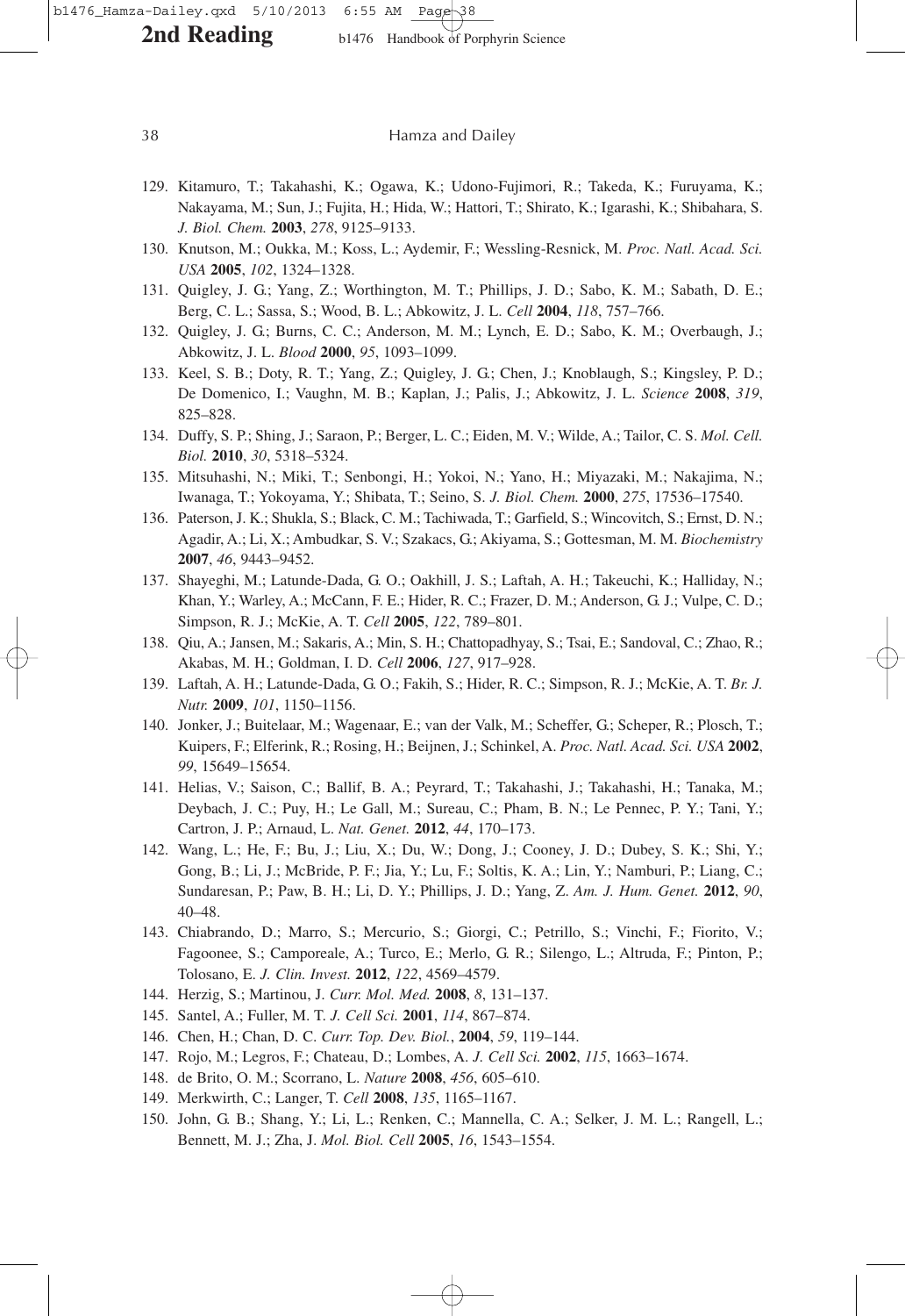b1476 Handbook of Porphyrin Science

#### 38 Hamza and Dailey

- 129. Kitamuro, T.; Takahashi, K.; Ogawa, K.; Udono-Fujimori, R.; Takeda, K.; Furuyama, K.; Nakayama, M.; Sun, J.; Fujita, H.; Hida, W.; Hattori, T.; Shirato, K.; Igarashi, K.; Shibahara, S. *J. Biol. Chem.* **2003**, *278*, 9125–9133.
- 130. Knutson, M.; Oukka, M.; Koss, L.; Aydemir, F.; Wessling-Resnick, M. *Proc. Natl. Acad. Sci. USA* **2005**, *102*, 1324–1328.
- 131. Quigley, J. G.; Yang, Z.; Worthington, M. T.; Phillips, J. D.; Sabo, K. M.; Sabath, D. E.; Berg, C. L.; Sassa, S.; Wood, B. L.; Abkowitz, J. L. *Cell* **2004**, *118*, 757–766.
- 132. Quigley, J. G.; Burns, C. C.; Anderson, M. M.; Lynch, E. D.; Sabo, K. M.; Overbaugh, J.; Abkowitz, J. L. *Blood* **2000**, *95*, 1093–1099.
- 133. Keel, S. B.; Doty, R. T.; Yang, Z.; Quigley, J. G.; Chen, J.; Knoblaugh, S.; Kingsley, P. D.; De Domenico, I.; Vaughn, M. B.; Kaplan, J.; Palis, J.; Abkowitz, J. L. *Science* **2008**, *319*, 825–828.
- 134. Duffy, S. P.; Shing, J.; Saraon, P.; Berger, L. C.; Eiden, M. V.; Wilde, A.; Tailor, C. S. *Mol. Cell. Biol.* **2010**, *30*, 5318–5324.
- 135. Mitsuhashi, N.; Miki, T.; Senbongi, H.; Yokoi, N.; Yano, H.; Miyazaki, M.; Nakajima, N.; Iwanaga, T.; Yokoyama, Y.; Shibata, T.; Seino, S. *J. Biol. Chem.* **2000**, *275*, 17536–17540.
- 136. Paterson, J. K.; Shukla, S.; Black, C. M.; Tachiwada, T.; Garfield, S.; Wincovitch, S.; Ernst, D. N.; Agadir, A.; Li, X.; Ambudkar, S. V.; Szakacs, G.; Akiyama, S.; Gottesman, M. M. *Biochemistry* **2007**, *46*, 9443–9452.
- 137. Shayeghi, M.; Latunde-Dada, G. O.; Oakhill, J. S.; Laftah, A. H.; Takeuchi, K.; Halliday, N.; Khan, Y.; Warley, A.; McCann, F. E.; Hider, R. C.; Frazer, D. M.; Anderson, G. J.; Vulpe, C. D.; Simpson, R. J.; McKie, A. T. *Cell* **2005**, *122*, 789–801.
- 138. Qiu, A.; Jansen, M.; Sakaris, A.; Min, S. H.; Chattopadhyay, S.; Tsai, E.; Sandoval, C.; Zhao, R.; Akabas, M. H.; Goldman, I. D. *Cell* **2006**, *127*, 917–928.
- 139. Laftah, A. H.; Latunde-Dada, G. O.; Fakih, S.; Hider, R. C.; Simpson, R. J.; McKie, A. T. *Br. J. Nutr.* **2009**, *101*, 1150–1156.
- 140. Jonker, J.; Buitelaar, M.; Wagenaar, E.; van der Valk, M.; Scheffer, G.; Scheper, R.; Plosch, T.; Kuipers, F.; Elferink, R.; Rosing, H.; Beijnen, J.; Schinkel, A. *Proc. Natl. Acad. Sci. USA* **2002**, *99*, 15649–15654.
- 141. Helias, V.; Saison, C.; Ballif, B. A.; Peyrard, T.; Takahashi, J.; Takahashi, H.; Tanaka, M.; Deybach, J. C.; Puy, H.; Le Gall, M.; Sureau, C.; Pham, B. N.; Le Pennec, P. Y.; Tani, Y.; Cartron, J. P.; Arnaud, L. *Nat. Genet.* **2012**, *44*, 170–173.
- 142. Wang, L.; He, F.; Bu, J.; Liu, X.; Du, W.; Dong, J.; Cooney, J. D.; Dubey, S. K.; Shi, Y.; Gong, B.; Li, J.; McBride, P. F.; Jia, Y.; Lu, F.; Soltis, K. A.; Lin, Y.; Namburi, P.; Liang, C.; Sundaresan, P.; Paw, B. H.; Li, D. Y.; Phillips, J. D.; Yang, Z. *Am. J. Hum. Genet.* **2012**, *90*, 40–48.
- 143. Chiabrando, D.; Marro, S.; Mercurio, S.; Giorgi, C.; Petrillo, S.; Vinchi, F.; Fiorito, V.; Fagoonee, S.; Camporeale, A.; Turco, E.; Merlo, G. R.; Silengo, L.; Altruda, F.; Pinton, P.; Tolosano, E. *J. Clin. Invest.* **2012**, *122*, 4569–4579.
- 144. Herzig, S.; Martinou, J. *Curr. Mol. Med.* **2008**, *8*, 131–137.
- 145. Santel, A.; Fuller, M. T. *J. Cell Sci.* **2001**, *114*, 867–874.
- 146. Chen, H.; Chan, D. C. *Curr. Top. Dev. Biol.*, **2004**, *59*, 119–144.
- 147. Rojo, M.; Legros, F.; Chateau, D.; Lombes, A. *J. Cell Sci.* **2002**, *115*, 1663–1674.
- 148. de Brito, O. M.; Scorrano, L. *Nature* **2008**, *456*, 605–610.
- 149. Merkwirth, C.; Langer, T. *Cell* **2008**, *135*, 1165–1167.
- 150. John, G. B.; Shang, Y.; Li, L.; Renken, C.; Mannella, C. A.; Selker, J. M. L.; Rangell, L.; Bennett, M. J.; Zha, J. *Mol. Biol. Cell* **2005**, *16*, 1543–1554.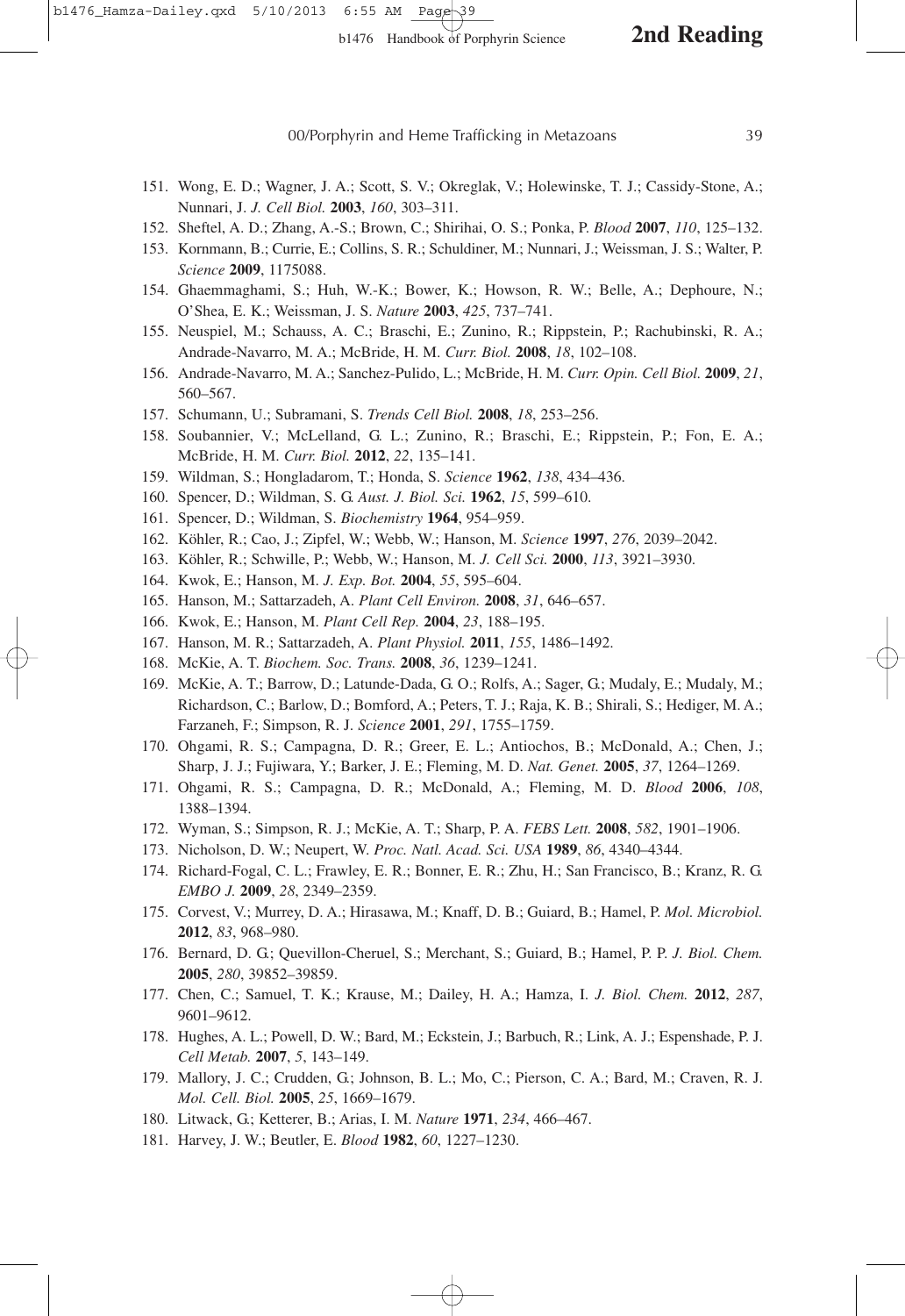# **2nd Reading**

00/Porphyrin and Heme Trafficking in Metazoans 39

- 151. Wong, E. D.; Wagner, J. A.; Scott, S. V.; Okreglak, V.; Holewinske, T. J.; Cassidy-Stone, A.; Nunnari, J. *J. Cell Biol.* **2003**, *160*, 303–311.
- 152. Sheftel, A. D.; Zhang, A.-S.; Brown, C.; Shirihai, O. S.; Ponka, P. *Blood* **2007**, *110*, 125–132.
- 153. Kornmann, B.; Currie, E.; Collins, S. R.; Schuldiner, M.; Nunnari, J.; Weissman, J. S.; Walter, P. *Science* **2009**, 1175088.
- 154. Ghaemmaghami, S.; Huh, W.-K.; Bower, K.; Howson, R. W.; Belle, A.; Dephoure, N.; O'Shea, E. K.; Weissman, J. S. *Nature* **2003**, *425*, 737–741.
- 155. Neuspiel, M.; Schauss, A. C.; Braschi, E.; Zunino, R.; Rippstein, P.; Rachubinski, R. A.; Andrade-Navarro, M. A.; McBride, H. M. *Curr. Biol.* **2008**, *18*, 102–108.
- 156. Andrade-Navarro, M. A.; Sanchez-Pulido, L.; McBride, H. M. *Curr. Opin. Cell Biol.* **2009**, *21*, 560–567.
- 157. Schumann, U.; Subramani, S. *Trends Cell Biol.* **2008**, *18*, 253–256.
- 158. Soubannier, V.; McLelland, G. L.; Zunino, R.; Braschi, E.; Rippstein, P.; Fon, E. A.; McBride, H. M. *Curr. Biol.* **2012**, *22*, 135–141.
- 159. Wildman, S.; Hongladarom, T.; Honda, S. *Science* **1962**, *138*, 434–436.
- 160. Spencer, D.; Wildman, S. G. *Aust. J. Biol. Sci.* **1962**, *15*, 599–610.
- 161. Spencer, D.; Wildman, S. *Biochemistry* **1964**, 954–959.
- 162. Köhler, R.; Cao, J.; Zipfel, W.; Webb, W.; Hanson, M. *Science* **1997**, *276*, 2039–2042.
- 163. Köhler, R.; Schwille, P.; Webb, W.; Hanson, M. *J. Cell Sci.* **2000**, *113*, 3921–3930.
- 164. Kwok, E.; Hanson, M. *J. Exp. Bot.* **2004**, *55*, 595–604.
- 165. Hanson, M.; Sattarzadeh, A. *Plant Cell Environ.* **2008**, *31*, 646–657.
- 166. Kwok, E.; Hanson, M. *Plant Cell Rep.* **2004**, *23*, 188–195.
- 167. Hanson, M. R.; Sattarzadeh, A. *Plant Physiol.* **2011**, *155*, 1486–1492.
- 168. McKie, A. T. *Biochem. Soc. Trans.* **2008**, *36*, 1239–1241.
- 169. McKie, A. T.; Barrow, D.; Latunde-Dada, G. O.; Rolfs, A.; Sager, G.; Mudaly, E.; Mudaly, M.; Richardson, C.; Barlow, D.; Bomford, A.; Peters, T. J.; Raja, K. B.; Shirali, S.; Hediger, M. A.; Farzaneh, F.; Simpson, R. J. *Science* **2001**, *291*, 1755–1759.
- 170. Ohgami, R. S.; Campagna, D. R.; Greer, E. L.; Antiochos, B.; McDonald, A.; Chen, J.; Sharp, J. J.; Fujiwara, Y.; Barker, J. E.; Fleming, M. D. *Nat. Genet.* **2005**, *37*, 1264–1269.
- 171. Ohgami, R. S.; Campagna, D. R.; McDonald, A.; Fleming, M. D. *Blood* **2006**, *108*, 1388–1394.
- 172. Wyman, S.; Simpson, R. J.; McKie, A. T.; Sharp, P. A. *FEBS Lett.* **2008**, *582*, 1901–1906.
- 173. Nicholson, D. W.; Neupert, W. *Proc. Natl. Acad. Sci. USA* **1989**, *86*, 4340–4344.
- 174. Richard-Fogal, C. L.; Frawley, E. R.; Bonner, E. R.; Zhu, H.; San Francisco, B.; Kranz, R. G. *EMBO J.* **2009**, *28*, 2349–2359.
- 175. Corvest, V.; Murrey, D. A.; Hirasawa, M.; Knaff, D. B.; Guiard, B.; Hamel, P. *Mol. Microbiol.* **2012**, *83*, 968–980.
- 176. Bernard, D. G.; Quevillon-Cheruel, S.; Merchant, S.; Guiard, B.; Hamel, P. P. *J. Biol. Chem.* **2005**, *280*, 39852–39859.
- 177. Chen, C.; Samuel, T. K.; Krause, M.; Dailey, H. A.; Hamza, I. *J. Biol. Chem.* **2012**, *287*, 9601–9612.
- 178. Hughes, A. L.; Powell, D. W.; Bard, M.; Eckstein, J.; Barbuch, R.; Link, A. J.; Espenshade, P. J. *Cell Metab.* **2007**, *5*, 143–149.
- 179. Mallory, J. C.; Crudden, G.; Johnson, B. L.; Mo, C.; Pierson, C. A.; Bard, M.; Craven, R. J. *Mol. Cell. Biol.* **2005**, *25*, 1669–1679.
- 180. Litwack, G.; Ketterer, B.; Arias, I. M. *Nature* **1971**, *234*, 466–467.
- 181. Harvey, J. W.; Beutler, E. *Blood* **1982**, *60*, 1227–1230.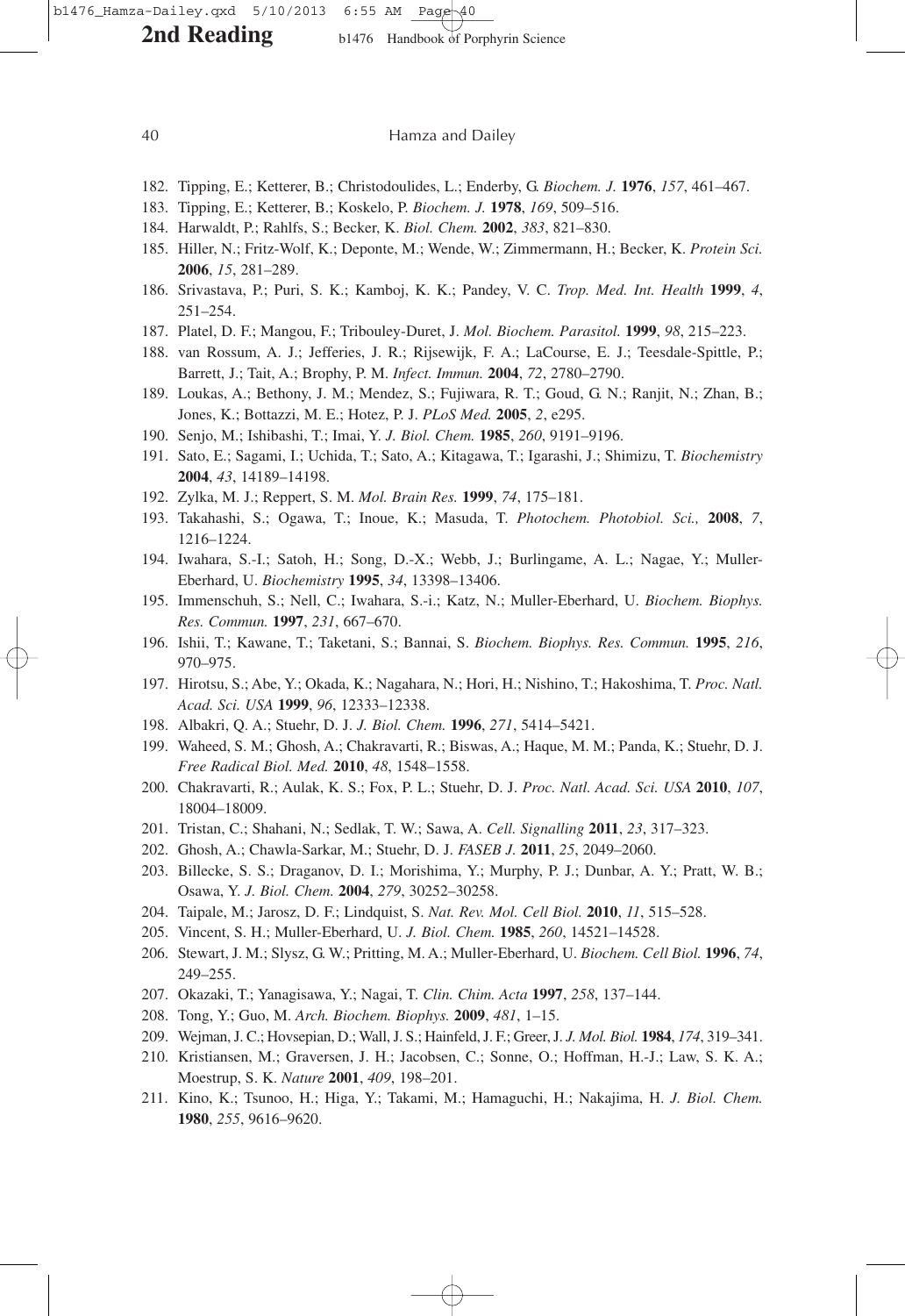b1476 Handbook of Porphyrin Science

#### 40 Hamza and Dailey

- 182. Tipping, E.; Ketterer, B.; Christodoulides, L.; Enderby, G. *Biochem. J.* **1976**, *157*, 461–467.
- 183. Tipping, E.; Ketterer, B.; Koskelo, P. *Biochem. J.* **1978**, *169*, 509–516.
- 184. Harwaldt, P.; Rahlfs, S.; Becker, K. *Biol. Chem.* **2002**, *383*, 821–830.
- 185. Hiller, N.; Fritz-Wolf, K.; Deponte, M.; Wende, W.; Zimmermann, H.; Becker, K. *Protein Sci.* **2006**, *15*, 281–289.
- 186. Srivastava, P.; Puri, S. K.; Kamboj, K. K.; Pandey, V. C. *Trop. Med. Int. Health* **1999**, *4*, 251–254.
- 187. Platel, D. F.; Mangou, F.; Tribouley-Duret, J. *Mol. Biochem. Parasitol.* **1999**, *98*, 215–223.
- 188. van Rossum, A. J.; Jefferies, J. R.; Rijsewijk, F. A.; LaCourse, E. J.; Teesdale-Spittle, P.; Barrett, J.; Tait, A.; Brophy, P. M. *Infect. Immun.* **2004**, *72*, 2780–2790.
- 189. Loukas, A.; Bethony, J. M.; Mendez, S.; Fujiwara, R. T.; Goud, G. N.; Ranjit, N.; Zhan, B.; Jones, K.; Bottazzi, M. E.; Hotez, P. J. *PLoS Med.* **2005**, *2*, e295.
- 190. Senjo, M.; Ishibashi, T.; Imai, Y. *J. Biol. Chem.* **1985**, *260*, 9191–9196.
- 191. Sato, E.; Sagami, I.; Uchida, T.; Sato, A.; Kitagawa, T.; Igarashi, J.; Shimizu, T. *Biochemistry* **2004**, *43*, 14189–14198.
- 192. Zylka, M. J.; Reppert, S. M. *Mol. Brain Res.* **1999**, *74*, 175–181.
- 193. Takahashi, S.; Ogawa, T.; Inoue, K.; Masuda, T. *Photochem. Photobiol. Sci.,* **2008**, *7*, 1216–1224.
- 194. Iwahara, S.-I.; Satoh, H.; Song, D.-X.; Webb, J.; Burlingame, A. L.; Nagae, Y.; Muller-Eberhard, U. *Biochemistry* **1995**, *34*, 13398–13406.
- 195. Immenschuh, S.; Nell, C.; Iwahara, S.-i.; Katz, N.; Muller-Eberhard, U. *Biochem. Biophys. Res. Commun.* **1997**, *231*, 667–670.
- 196. Ishii, T.; Kawane, T.; Taketani, S.; Bannai, S. *Biochem. Biophys. Res. Commun.* **1995**, *216*, 970–975.
- 197. Hirotsu, S.; Abe, Y.; Okada, K.; Nagahara, N.; Hori, H.; Nishino, T.; Hakoshima, T. *Proc. Natl. Acad. Sci. USA* **1999**, *96*, 12333–12338.
- 198. Albakri, Q. A.; Stuehr, D. J. *J. Biol. Chem.* **1996**, *271*, 5414–5421.
- 199. Waheed, S. M.; Ghosh, A.; Chakravarti, R.; Biswas, A.; Haque, M. M.; Panda, K.; Stuehr, D. J. *Free Radical Biol. Med.* **2010**, *48*, 1548–1558.
- 200. Chakravarti, R.; Aulak, K. S.; Fox, P. L.; Stuehr, D. J. *Proc. Natl. Acad. Sci. USA* **2010**, *107*, 18004–18009.
- 201. Tristan, C.; Shahani, N.; Sedlak, T. W.; Sawa, A. *Cell. Signalling* **2011**, *23*, 317–323.
- 202. Ghosh, A.; Chawla-Sarkar, M.; Stuehr, D. J. *FASEB J.* **2011**, *25*, 2049–2060.
- 203. Billecke, S. S.; Draganov, D. I.; Morishima, Y.; Murphy, P. J.; Dunbar, A. Y.; Pratt, W. B.; Osawa, Y. *J. Biol. Chem.* **2004**, *279*, 30252–30258.
- 204. Taipale, M.; Jarosz, D. F.; Lindquist, S. *Nat. Rev. Mol. Cell Biol.* **2010**, *11*, 515–528.
- 205. Vincent, S. H.; Muller-Eberhard, U. *J. Biol. Chem.* **1985**, *260*, 14521–14528.
- 206. Stewart, J. M.; Slysz, G. W.; Pritting, M. A.; Muller-Eberhard, U. *Biochem. Cell Biol.* **1996**, *74*, 249–255.
- 207. Okazaki, T.; Yanagisawa, Y.; Nagai, T. *Clin. Chim. Acta* **1997**, *258*, 137–144.
- 208. Tong, Y.; Guo, M. *Arch. Biochem. Biophys.* **2009**, *481*, 1–15.
- 209. Wejman, J. C.; Hovsepian, D.; Wall, J. S.; Hainfeld, J. F.; Greer, J. *J. Mol. Biol.* **1984**, *174*, 319–341.
- 210. Kristiansen, M.; Graversen, J. H.; Jacobsen, C.; Sonne, O.; Hoffman, H.-J.; Law, S. K. A.; Moestrup, S. K. *Nature* **2001**, *409*, 198–201.
- 211. Kino, K.; Tsunoo, H.; Higa, Y.; Takami, M.; Hamaguchi, H.; Nakajima, H. *J. Biol. Chem.* **1980**, *255*, 9616–9620.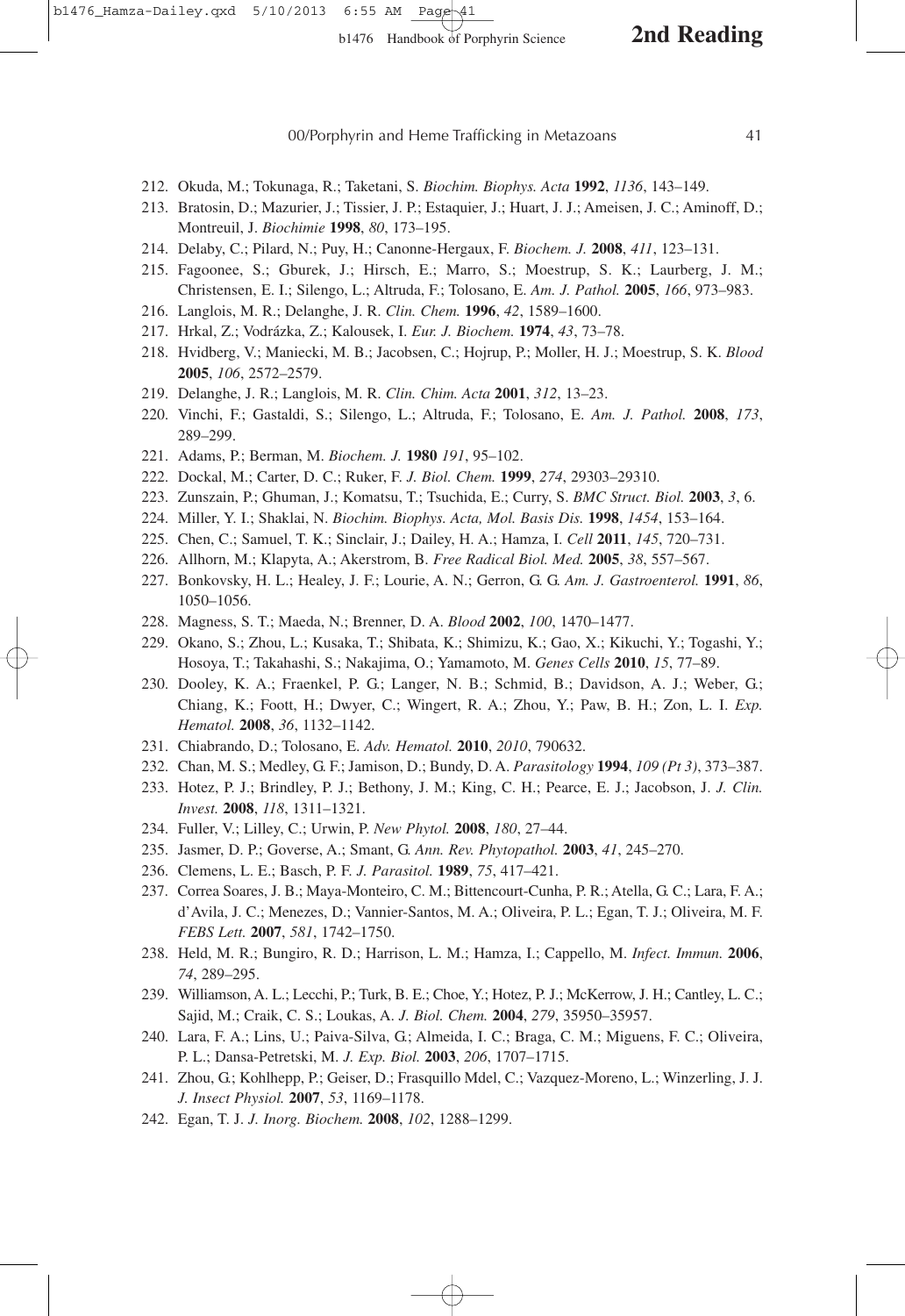# **2nd Reading**

00/Porphyrin and Heme Trafficking in Metazoans 41

- 212. Okuda, M.; Tokunaga, R.; Taketani, S. *Biochim. Biophys. Acta* **1992**, *1136*, 143–149.
- 213. Bratosin, D.; Mazurier, J.; Tissier, J. P.; Estaquier, J.; Huart, J. J.; Ameisen, J. C.; Aminoff, D.; Montreuil, J. *Biochimie* **1998**, *80*, 173–195.
- 214. Delaby, C.; Pilard, N.; Puy, H.; Canonne-Hergaux, F. *Biochem. J.* **2008**, *411*, 123–131.
- 215. Fagoonee, S.; Gburek, J.; Hirsch, E.; Marro, S.; Moestrup, S. K.; Laurberg, J. M.; Christensen, E. I.; Silengo, L.; Altruda, F.; Tolosano, E. *Am. J. Pathol.* **2005**, *166*, 973–983.
- 216. Langlois, M. R.; Delanghe, J. R. *Clin. Chem.* **1996**, *42*, 1589–1600.
- 217. Hrkal, Z.; Vodrázka, Z.; Kalousek, I. *Eur. J. Biochem.* **1974**, *43*, 73–78.
- 218. Hvidberg, V.; Maniecki, M. B.; Jacobsen, C.; Hojrup, P.; Moller, H. J.; Moestrup, S. K. *Blood* **2005**, *106*, 2572–2579.
- 219. Delanghe, J. R.; Langlois, M. R. *Clin. Chim. Acta* **2001**, *312*, 13–23.
- 220. Vinchi, F.; Gastaldi, S.; Silengo, L.; Altruda, F.; Tolosano, E. *Am. J. Pathol.* **2008**, *173*, 289–299.
- 221. Adams, P.; Berman, M. *Biochem. J.* **1980** *191*, 95–102.
- 222. Dockal, M.; Carter, D. C.; Ruker, F. *J. Biol. Chem.* **1999**, *274*, 29303–29310.
- 223. Zunszain, P.; Ghuman, J.; Komatsu, T.; Tsuchida, E.; Curry, S. *BMC Struct. Biol.* **2003**, *3*, 6.
- 224. Miller, Y. I.; Shaklai, N. *Biochim. Biophys. Acta, Mol. Basis Dis.* **1998**, *1454*, 153–164.
- 225. Chen, C.; Samuel, T. K.; Sinclair, J.; Dailey, H. A.; Hamza, I. *Cell* **2011**, *145*, 720–731.
- 226. Allhorn, M.; Klapyta, A.; Akerstrom, B. *Free Radical Biol. Med.* **2005**, *38*, 557–567.
- 227. Bonkovsky, H. L.; Healey, J. F.; Lourie, A. N.; Gerron, G. G. *Am. J. Gastroenterol.* **1991**, *86*, 1050–1056.
- 228. Magness, S. T.; Maeda, N.; Brenner, D. A. *Blood* **2002**, *100*, 1470–1477.
- 229. Okano, S.; Zhou, L.; Kusaka, T.; Shibata, K.; Shimizu, K.; Gao, X.; Kikuchi, Y.; Togashi, Y.; Hosoya, T.; Takahashi, S.; Nakajima, O.; Yamamoto, M. *Genes Cells* **2010**, *15*, 77–89.
- 230. Dooley, K. A.; Fraenkel, P. G.; Langer, N. B.; Schmid, B.; Davidson, A. J.; Weber, G.; Chiang, K.; Foott, H.; Dwyer, C.; Wingert, R. A.; Zhou, Y.; Paw, B. H.; Zon, L. I. *Exp. Hematol.* **2008**, *36*, 1132–1142.
- 231. Chiabrando, D.; Tolosano, E. *Adv. Hematol.* **2010**, *2010*, 790632.
- 232. Chan, M. S.; Medley, G. F.; Jamison, D.; Bundy, D. A. *Parasitology* **1994**, *109 (Pt 3)*, 373–387.
- 233. Hotez, P. J.; Brindley, P. J.; Bethony, J. M.; King, C. H.; Pearce, E. J.; Jacobson, J. *J. Clin. Invest.* **2008**, *118*, 1311–1321.
- 234. Fuller, V.; Lilley, C.; Urwin, P. *New Phytol.* **2008**, *180*, 27–44.
- 235. Jasmer, D. P.; Goverse, A.; Smant, G. *Ann. Rev. Phytopathol.* **2003**, *41*, 245–270.
- 236. Clemens, L. E.; Basch, P. F. *J. Parasitol.* **1989**, *75*, 417–421.
- 237. Correa Soares, J. B.; Maya-Monteiro, C. M.; Bittencourt-Cunha, P. R.; Atella, G. C.; Lara, F. A.; d'Avila, J. C.; Menezes, D.; Vannier-Santos, M. A.; Oliveira, P. L.; Egan, T. J.; Oliveira, M. F. *FEBS Lett.* **2007**, *581*, 1742–1750.
- 238. Held, M. R.; Bungiro, R. D.; Harrison, L. M.; Hamza, I.; Cappello, M. *Infect. Immun.* **2006**, *74*, 289–295.
- 239. Williamson, A. L.; Lecchi, P.; Turk, B. E.; Choe, Y.; Hotez, P. J.; McKerrow, J. H.; Cantley, L. C.; Sajid, M.; Craik, C. S.; Loukas, A. *J. Biol. Chem.* **2004**, *279*, 35950–35957.
- 240. Lara, F. A.; Lins, U.; Paiva-Silva, G.; Almeida, I. C.; Braga, C. M.; Miguens, F. C.; Oliveira, P. L.; Dansa-Petretski, M. *J. Exp. Biol.* **2003**, *206*, 1707–1715.
- 241. Zhou, G.; Kohlhepp, P.; Geiser, D.; Frasquillo Mdel, C.; Vazquez-Moreno, L.; Winzerling, J. J. *J. Insect Physiol.* **2007**, *53*, 1169–1178.
- 242. Egan, T. J. *J. Inorg. Biochem.* **2008**, *102*, 1288–1299.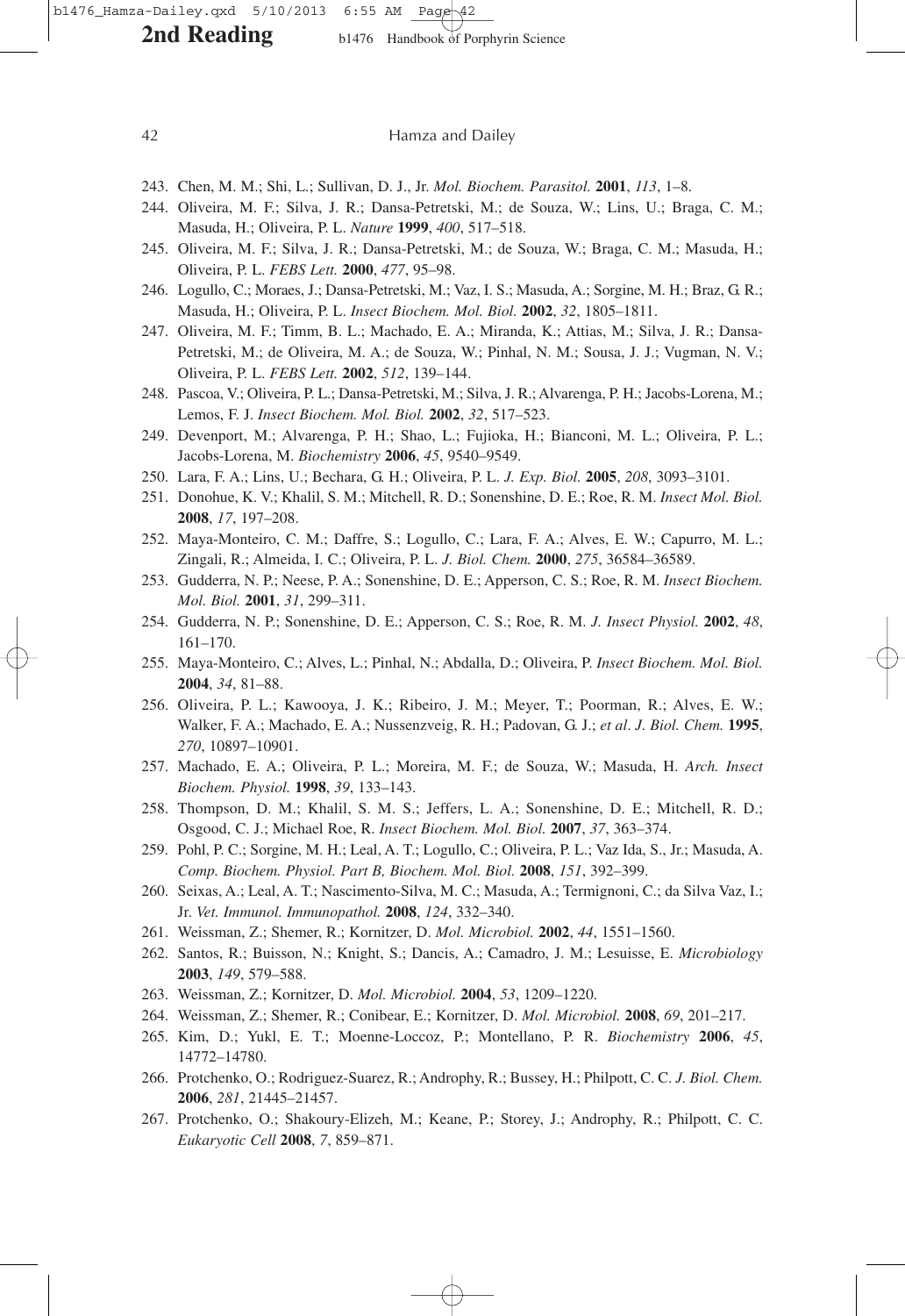b1476 Handbook of Porphyrin Science

#### 42 Hamza and Dailey

- 243. Chen, M. M.; Shi, L.; Sullivan, D. J., Jr. *Mol. Biochem. Parasitol.* **2001**, *113*, 1–8.
- 244. Oliveira, M. F.; Silva, J. R.; Dansa-Petretski, M.; de Souza, W.; Lins, U.; Braga, C. M.; Masuda, H.; Oliveira, P. L. *Nature* **1999**, *400*, 517–518.
- 245. Oliveira, M. F.; Silva, J. R.; Dansa-Petretski, M.; de Souza, W.; Braga, C. M.; Masuda, H.; Oliveira, P. L. *FEBS Lett.* **2000**, *477*, 95–98.
- 246. Logullo, C.; Moraes, J.; Dansa-Petretski, M.; Vaz, I. S.; Masuda, A.; Sorgine, M. H.; Braz, G. R.; Masuda, H.; Oliveira, P. L. *Insect Biochem. Mol. Biol.* **2002**, *32*, 1805–1811.
- 247. Oliveira, M. F.; Timm, B. L.; Machado, E. A.; Miranda, K.; Attias, M.; Silva, J. R.; Dansa-Petretski, M.; de Oliveira, M. A.; de Souza, W.; Pinhal, N. M.; Sousa, J. J.; Vugman, N. V.; Oliveira, P. L. *FEBS Lett.* **2002**, *512*, 139–144.
- 248. Pascoa, V.; Oliveira, P. L.; Dansa-Petretski, M.; Silva, J. R.; Alvarenga, P. H.; Jacobs-Lorena, M.; Lemos, F. J. *Insect Biochem. Mol. Biol.* **2002**, *32*, 517–523.
- 249. Devenport, M.; Alvarenga, P. H.; Shao, L.; Fujioka, H.; Bianconi, M. L.; Oliveira, P. L.; Jacobs-Lorena, M. *Biochemistry* **2006**, *45*, 9540–9549.
- 250. Lara, F. A.; Lins, U.; Bechara, G. H.; Oliveira, P. L. *J. Exp. Biol.* **2005**, *208*, 3093–3101.
- 251. Donohue, K. V.; Khalil, S. M.; Mitchell, R. D.; Sonenshine, D. E.; Roe, R. M. *Insect Mol. Biol.* **2008**, *17*, 197–208.
- 252. Maya-Monteiro, C. M.; Daffre, S.; Logullo, C.; Lara, F. A.; Alves, E. W.; Capurro, M. L.; Zingali, R.; Almeida, I. C.; Oliveira, P. L. *J. Biol. Chem.* **2000**, *275*, 36584–36589.
- 253. Gudderra, N. P.; Neese, P. A.; Sonenshine, D. E.; Apperson, C. S.; Roe, R. M. *Insect Biochem. Mol. Biol.* **2001**, *31*, 299–311.
- 254. Gudderra, N. P.; Sonenshine, D. E.; Apperson, C. S.; Roe, R. M. *J. Insect Physiol.* **2002**, *48*, 161–170.
- 255. Maya-Monteiro, C.; Alves, L.; Pinhal, N.; Abdalla, D.; Oliveira, P. *Insect Biochem. Mol. Biol.* **2004**, *34*, 81–88.
- 256. Oliveira, P. L.; Kawooya, J. K.; Ribeiro, J. M.; Meyer, T.; Poorman, R.; Alves, E. W.; Walker, F. A.; Machado, E. A.; Nussenzveig, R. H.; Padovan, G. J.; *et al*. *J. Biol. Chem.* **1995**, *270*, 10897–10901.
- 257. Machado, E. A.; Oliveira, P. L.; Moreira, M. F.; de Souza, W.; Masuda, H. *Arch. Insect Biochem. Physiol.* **1998**, *39*, 133–143.
- 258. Thompson, D. M.; Khalil, S. M. S.; Jeffers, L. A.; Sonenshine, D. E.; Mitchell, R. D.; Osgood, C. J.; Michael Roe, R. *Insect Biochem. Mol. Biol.* **2007**, *37*, 363–374.
- 259. Pohl, P. C.; Sorgine, M. H.; Leal, A. T.; Logullo, C.; Oliveira, P. L.; Vaz Ida, S., Jr.; Masuda, A. *Comp. Biochem. Physiol. Part B, Biochem. Mol. Biol.* **2008**, *151*, 392–399.
- 260. Seixas, A.; Leal, A. T.; Nascimento-Silva, M. C.; Masuda, A.; Termignoni, C.; da Silva Vaz, I.; Jr. *Vet. Immunol. Immunopathol.* **2008**, *124*, 332–340.
- 261. Weissman, Z.; Shemer, R.; Kornitzer, D. *Mol. Microbiol.* **2002**, *44*, 1551–1560.
- 262. Santos, R.; Buisson, N.; Knight, S.; Dancis, A.; Camadro, J. M.; Lesuisse, E. *Microbiology* **2003**, *149*, 579–588.
- 263. Weissman, Z.; Kornitzer, D. *Mol. Microbiol.* **2004**, *53*, 1209–1220.
- 264. Weissman, Z.; Shemer, R.; Conibear, E.; Kornitzer, D. *Mol. Microbiol.* **2008**, *69*, 201–217.
- 265. Kim, D.; Yukl, E. T.; Moenne-Loccoz, P.; Montellano, P. R. *Biochemistry* **2006**, *45*, 14772–14780.
- 266. Protchenko, O.; Rodriguez-Suarez, R.; Androphy, R.; Bussey, H.; Philpott, C. C. *J. Biol. Chem.* **2006**, *281*, 21445–21457.
- 267. Protchenko, O.; Shakoury-Elizeh, M.; Keane, P.; Storey, J.; Androphy, R.; Philpott, C. C. *Eukaryotic Cell* **2008**, *7*, 859–871.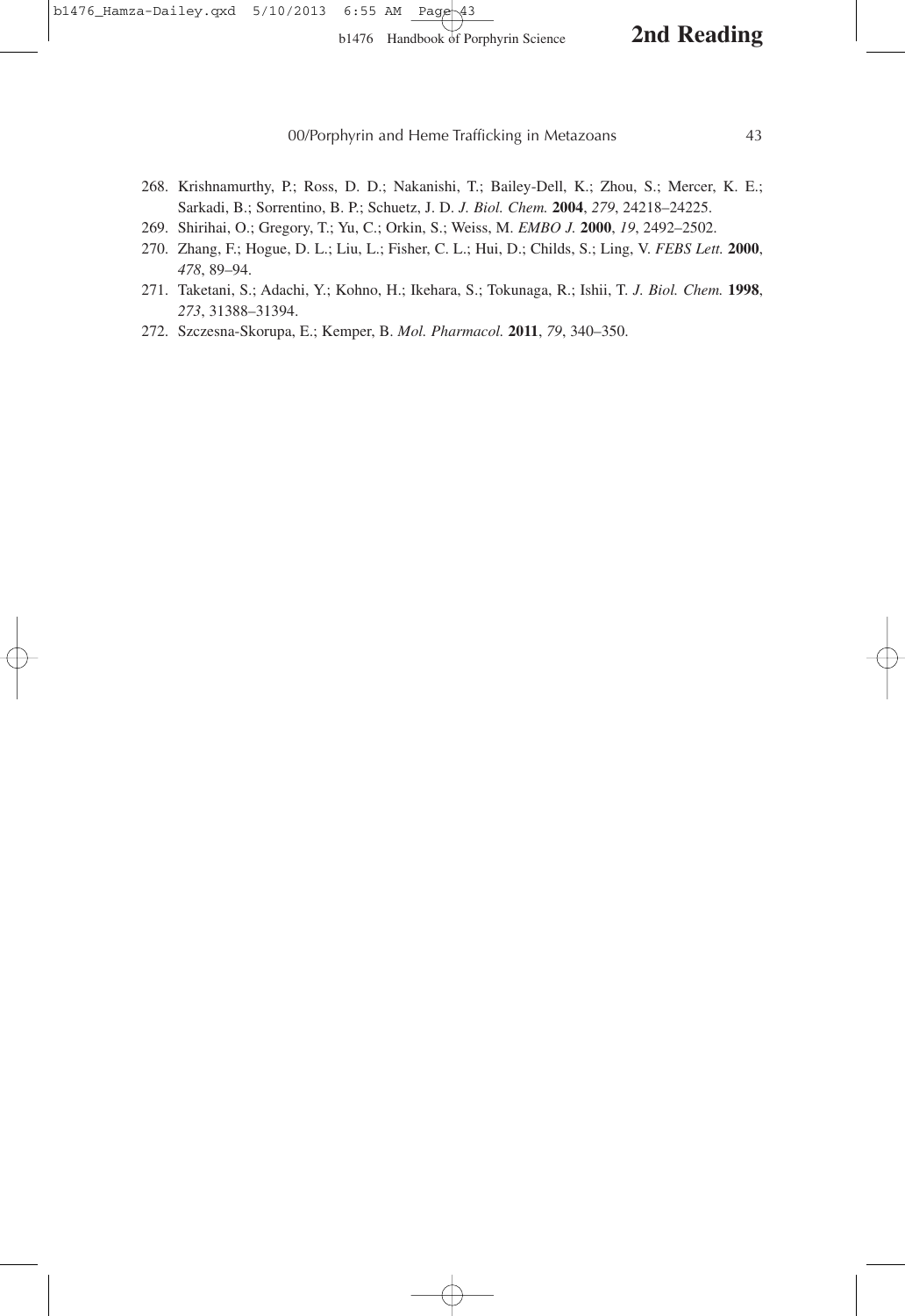# **2nd Reading**

00/Porphyrin and Heme Trafficking in Metazoans 43

- 268. Krishnamurthy, P.; Ross, D. D.; Nakanishi, T.; Bailey-Dell, K.; Zhou, S.; Mercer, K. E.; Sarkadi, B.; Sorrentino, B. P.; Schuetz, J. D. *J. Biol. Chem.* **2004**, *279*, 24218–24225.
- 269. Shirihai, O.; Gregory, T.; Yu, C.; Orkin, S.; Weiss, M. *EMBO J.* **2000**, *19*, 2492–2502.
- 270. Zhang, F.; Hogue, D. L.; Liu, L.; Fisher, C. L.; Hui, D.; Childs, S.; Ling, V. *FEBS Lett.* **2000**, *478*, 89–94.
- 271. Taketani, S.; Adachi, Y.; Kohno, H.; Ikehara, S.; Tokunaga, R.; Ishii, T. *J. Biol. Chem.* **1998**, *273*, 31388–31394.
- 272. Szczesna-Skorupa, E.; Kemper, B. *Mol. Pharmacol.* **2011**, *79*, 340–350.